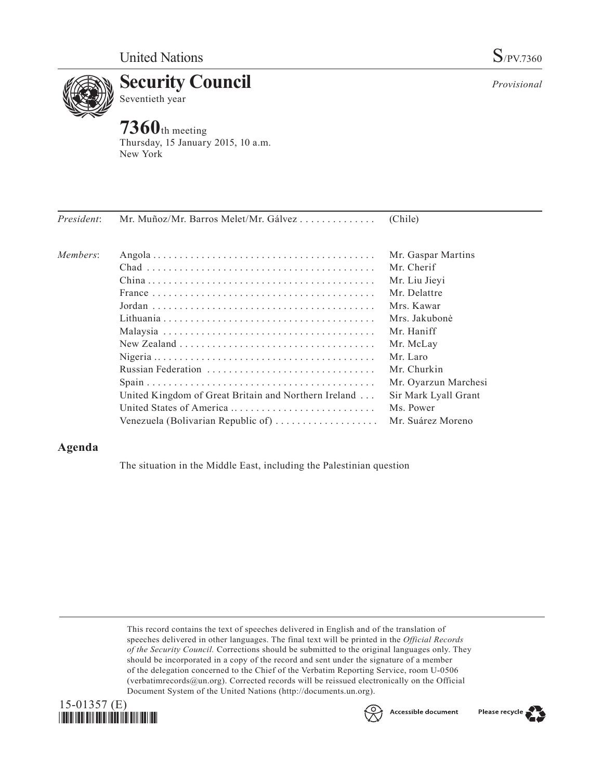

**7360**th meeting Thursday, 15 January 2015, 10 a.m. New York

| President: | Mr. Muñoz/Mr. Barros Melet/Mr. Gálvez                | (Chile)              |
|------------|------------------------------------------------------|----------------------|
| Members:   |                                                      | Mr. Gaspar Martins   |
|            |                                                      | Mr. Cherif           |
|            |                                                      | Mr. Liu Jieyi        |
|            |                                                      | Mr. Delattre         |
|            |                                                      | Mrs. Kawar           |
|            |                                                      | Mrs. Jakubonė        |
|            |                                                      | Mr. Haniff           |
|            |                                                      | Mr. McLay            |
|            |                                                      | Mr. Laro             |
|            |                                                      | Mr. Churkin          |
|            |                                                      | Mr. Oyarzun Marchesi |
|            | United Kingdom of Great Britain and Northern Ireland | Sir Mark Lyall Grant |
|            | United States of America                             | Ms. Power            |
|            | Venezuela (Bolivarian Republic of)                   | Mr. Suárez Moreno    |
|            |                                                      |                      |

# **Agenda**

The situation in the Middle East, including the Palestinian question

This record contains the text of speeches delivered in English and of the translation of speeches delivered in other languages. The final text will be printed in the *Official Records of the Security Council.* Corrections should be submitted to the original languages only. They should be incorporated in a copy of the record and sent under the signature of a member of the delegation concerned to the Chief of the Verbatim Reporting Service, room U-0506 ([verbatimrecords@un.org](mailto:verbatimrecords%40un.org?subject=)). Corrected records will be reissued electronically on the Official Document System of the United Nations [\(http://documents.un.org\)](http://documents.un.org).





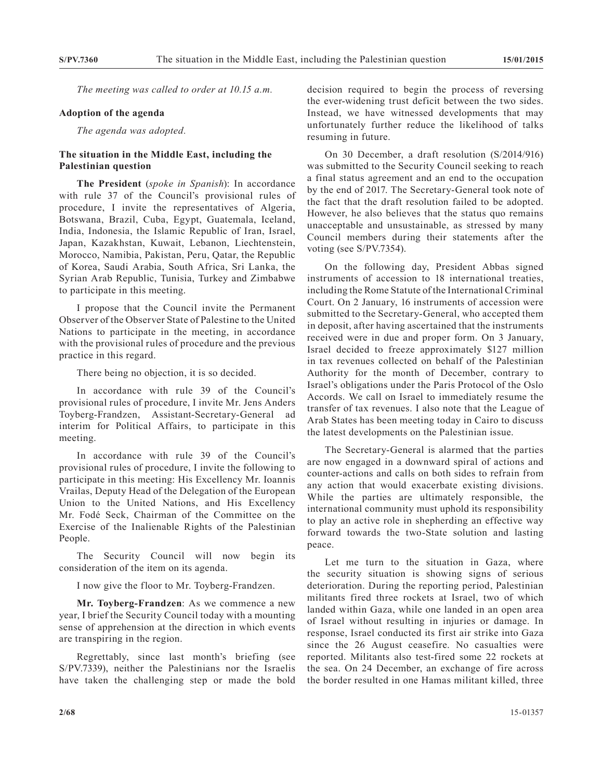*The meeting was called to order at 10.15 a.m.*

#### **Adoption of the agenda**

*The agenda was adopted.*

# **The situation in the Middle East, including the Palestinian question**

**The President** (*spoke in Spanish*): In accordance with rule 37 of the Council's provisional rules of procedure, I invite the representatives of Algeria, Botswana, Brazil, Cuba, Egypt, Guatemala, Iceland, India, Indonesia, the Islamic Republic of Iran, Israel, Japan, Kazakhstan, Kuwait, Lebanon, Liechtenstein, Morocco, Namibia, Pakistan, Peru, Qatar, the Republic of Korea, Saudi Arabia, South Africa, Sri Lanka, the Syrian Arab Republic, Tunisia, Turkey and Zimbabwe to participate in this meeting.

I propose that the Council invite the Permanent Observer of the Observer State of Palestine to the United Nations to participate in the meeting, in accordance with the provisional rules of procedure and the previous practice in this regard.

There being no objection, it is so decided.

In accordance with rule 39 of the Council's provisional rules of procedure, I invite Mr. Jens Anders Toyberg-Frandzen, Assistant-Secretary-General ad interim for Political Affairs, to participate in this meeting.

In accordance with rule 39 of the Council's provisional rules of procedure, I invite the following to participate in this meeting: His Excellency Mr. Ioannis Vrailas, Deputy Head of the Delegation of the European Union to the United Nations, and His Excellency Mr. Fodé Seck, Chairman of the Committee on the Exercise of the Inalienable Rights of the Palestinian People.

The Security Council will now begin its consideration of the item on its agenda.

I now give the floor to Mr. Toyberg-Frandzen.

**Mr. Toyberg-Frandzen**: As we commence a new year, I brief the Security Council today with a mounting sense of apprehension at the direction in which events are transpiring in the region.

Regrettably, since last month's briefing (see S/PV.7339), neither the Palestinians nor the Israelis have taken the challenging step or made the bold decision required to begin the process of reversing the ever-widening trust deficit between the two sides. Instead, we have witnessed developments that may unfortunately further reduce the likelihood of talks resuming in future.

On 30 December, a draft resolution (S/2014/916) was submitted to the Security Council seeking to reach a final status agreement and an end to the occupation by the end of 2017. The Secretary-General took note of the fact that the draft resolution failed to be adopted. However, he also believes that the status quo remains unacceptable and unsustainable, as stressed by many Council members during their statements after the voting (see S/PV.7354).

On the following day, President Abbas signed instruments of accession to 18 international treaties, including the Rome Statute of the International Criminal Court. On 2 January, 16 instruments of accession were submitted to the Secretary-General, who accepted them in deposit, after having ascertained that the instruments received were in due and proper form. On 3 January, Israel decided to freeze approximately \$127 million in tax revenues collected on behalf of the Palestinian Authority for the month of December, contrary to Israel's obligations under the Paris Protocol of the Oslo Accords. We call on Israel to immediately resume the transfer of tax revenues. I also note that the League of Arab States has been meeting today in Cairo to discuss the latest developments on the Palestinian issue.

The Secretary-General is alarmed that the parties are now engaged in a downward spiral of actions and counter-actions and calls on both sides to refrain from any action that would exacerbate existing divisions. While the parties are ultimately responsible, the international community must uphold its responsibility to play an active role in shepherding an effective way forward towards the two-State solution and lasting peace.

Let me turn to the situation in Gaza, where the security situation is showing signs of serious deterioration. During the reporting period, Palestinian militants fired three rockets at Israel, two of which landed within Gaza, while one landed in an open area of Israel without resulting in injuries or damage. In response, Israel conducted its first air strike into Gaza since the 26 August ceasefire. No casualties were reported. Militants also test-fired some 22 rockets at the sea. On 24 December, an exchange of fire across the border resulted in one Hamas militant killed, three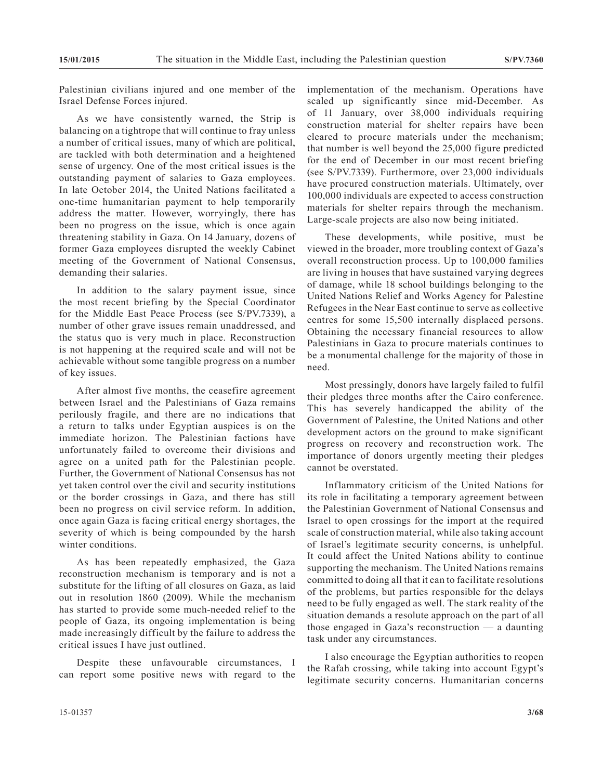Palestinian civilians injured and one member of the Israel Defense Forces injured.

As we have consistently warned, the Strip is balancing on a tightrope that will continue to fray unless a number of critical issues, many of which are political, are tackled with both determination and a heightened sense of urgency. One of the most critical issues is the outstanding payment of salaries to Gaza employees. In late October 2014, the United Nations facilitated a one-time humanitarian payment to help temporarily address the matter. However, worryingly, there has been no progress on the issue, which is once again threatening stability in Gaza. On 14 January, dozens of former Gaza employees disrupted the weekly Cabinet meeting of the Government of National Consensus, demanding their salaries.

In addition to the salary payment issue, since the most recent briefing by the Special Coordinator for the Middle East Peace Process (see S/PV.7339), a number of other grave issues remain unaddressed, and the status quo is very much in place. Reconstruction is not happening at the required scale and will not be achievable without some tangible progress on a number of key issues.

After almost five months, the ceasefire agreement between Israel and the Palestinians of Gaza remains perilously fragile, and there are no indications that a return to talks under Egyptian auspices is on the immediate horizon. The Palestinian factions have unfortunately failed to overcome their divisions and agree on a united path for the Palestinian people. Further, the Government of National Consensus has not yet taken control over the civil and security institutions or the border crossings in Gaza, and there has still been no progress on civil service reform. In addition, once again Gaza is facing critical energy shortages, the severity of which is being compounded by the harsh winter conditions.

As has been repeatedly emphasized, the Gaza reconstruction mechanism is temporary and is not a substitute for the lifting of all closures on Gaza, as laid out in resolution 1860 (2009). While the mechanism has started to provide some much-needed relief to the people of Gaza, its ongoing implementation is being made increasingly difficult by the failure to address the critical issues I have just outlined.

Despite these unfavourable circumstances, I can report some positive news with regard to the implementation of the mechanism. Operations have scaled up significantly since mid-December. As of 11 January, over 38,000 individuals requiring construction material for shelter repairs have been cleared to procure materials under the mechanism; that number is well beyond the 25,000 figure predicted for the end of December in our most recent briefing (see S/PV.7339). Furthermore, over 23,000 individuals have procured construction materials. Ultimately, over 100,000 individuals are expected to access construction materials for shelter repairs through the mechanism. Large-scale projects are also now being initiated.

These developments, while positive, must be viewed in the broader, more troubling context of Gaza's overall reconstruction process. Up to 100,000 families are living in houses that have sustained varying degrees of damage, while 18 school buildings belonging to the United Nations Relief and Works Agency for Palestine Refugees in the Near East continue to serve as collective centres for some 15,500 internally displaced persons. Obtaining the necessary financial resources to allow Palestinians in Gaza to procure materials continues to be a monumental challenge for the majority of those in need.

Most pressingly, donors have largely failed to fulfil their pledges three months after the Cairo conference. This has severely handicapped the ability of the Government of Palestine, the United Nations and other development actors on the ground to make significant progress on recovery and reconstruction work. The importance of donors urgently meeting their pledges cannot be overstated.

Inflammatory criticism of the United Nations for its role in facilitating a temporary agreement between the Palestinian Government of National Consensus and Israel to open crossings for the import at the required scale of construction material, while also taking account of Israel's legitimate security concerns, is unhelpful. It could affect the United Nations ability to continue supporting the mechanism. The United Nations remains committed to doing all that it can to facilitate resolutions of the problems, but parties responsible for the delays need to be fully engaged as well. The stark reality of the situation demands a resolute approach on the part of all those engaged in Gaza's reconstruction — a daunting task under any circumstances.

I also encourage the Egyptian authorities to reopen the Rafah crossing, while taking into account Egypt's legitimate security concerns. Humanitarian concerns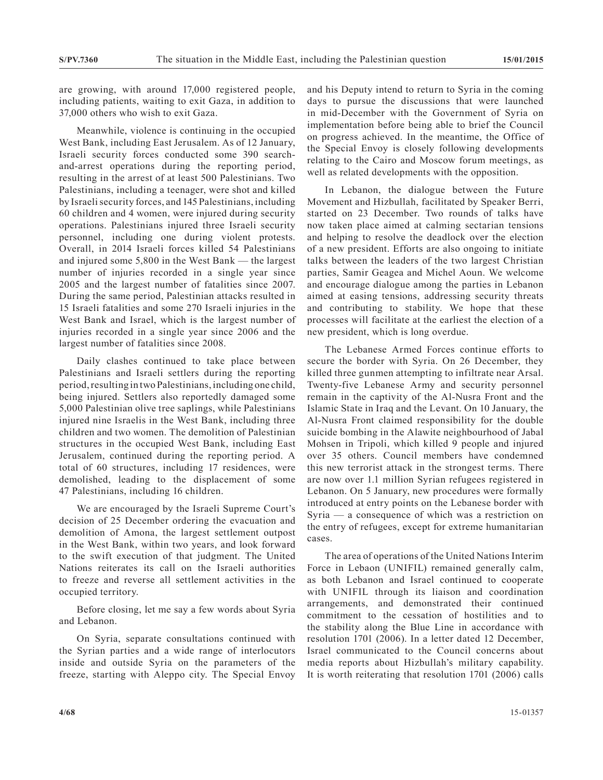are growing, with around 17,000 registered people, including patients, waiting to exit Gaza, in addition to 37,000 others who wish to exit Gaza.

Meanwhile, violence is continuing in the occupied West Bank, including East Jerusalem. As of 12 January, Israeli security forces conducted some 390 searchand-arrest operations during the reporting period, resulting in the arrest of at least 500 Palestinians. Two Palestinians, including a teenager, were shot and killed by Israeli security forces, and 145 Palestinians, including 60 children and 4 women, were injured during security operations. Palestinians injured three Israeli security personnel, including one during violent protests. Overall, in 2014 Israeli forces killed 54 Palestinians and injured some 5,800 in the West Bank — the largest number of injuries recorded in a single year since 2005 and the largest number of fatalities since 2007. During the same period, Palestinian attacks resulted in 15 Israeli fatalities and some 270 Israeli injuries in the West Bank and Israel, which is the largest number of injuries recorded in a single year since 2006 and the largest number of fatalities since 2008.

Daily clashes continued to take place between Palestinians and Israeli settlers during the reporting period, resulting in two Palestinians, including one child, being injured. Settlers also reportedly damaged some 5,000 Palestinian olive tree saplings, while Palestinians injured nine Israelis in the West Bank, including three children and two women. The demolition of Palestinian structures in the occupied West Bank, including East Jerusalem, continued during the reporting period. A total of 60 structures, including 17 residences, were demolished, leading to the displacement of some 47 Palestinians, including 16 children.

We are encouraged by the Israeli Supreme Court's decision of 25 December ordering the evacuation and demolition of Amona, the largest settlement outpost in the West Bank, within two years, and look forward to the swift execution of that judgment. The United Nations reiterates its call on the Israeli authorities to freeze and reverse all settlement activities in the occupied territory.

Before closing, let me say a few words about Syria and Lebanon.

On Syria, separate consultations continued with the Syrian parties and a wide range of interlocutors inside and outside Syria on the parameters of the freeze, starting with Aleppo city. The Special Envoy and his Deputy intend to return to Syria in the coming days to pursue the discussions that were launched in mid-December with the Government of Syria on implementation before being able to brief the Council on progress achieved. In the meantime, the Office of the Special Envoy is closely following developments relating to the Cairo and Moscow forum meetings, as well as related developments with the opposition.

In Lebanon, the dialogue between the Future Movement and Hizbullah, facilitated by Speaker Berri, started on 23 December. Two rounds of talks have now taken place aimed at calming sectarian tensions and helping to resolve the deadlock over the election of a new president. Efforts are also ongoing to initiate talks between the leaders of the two largest Christian parties, Samir Geagea and Michel Aoun. We welcome and encourage dialogue among the parties in Lebanon aimed at easing tensions, addressing security threats and contributing to stability. We hope that these processes will facilitate at the earliest the election of a new president, which is long overdue.

The Lebanese Armed Forces continue efforts to secure the border with Syria. On 26 December, they killed three gunmen attempting to infiltrate near Arsal. Twenty-five Lebanese Army and security personnel remain in the captivity of the Al-Nusra Front and the Islamic State in Iraq and the Levant. On 10 January, the Al-Nusra Front claimed responsibility for the double suicide bombing in the Alawite neighbourhood of Jabal Mohsen in Tripoli, which killed 9 people and injured over 35 others. Council members have condemned this new terrorist attack in the strongest terms. There are now over 1.1 million Syrian refugees registered in Lebanon. On 5 January, new procedures were formally introduced at entry points on the Lebanese border with Syria — a consequence of which was a restriction on the entry of refugees, except for extreme humanitarian cases.

The area of operations of the United Nations Interim Force in Lebaon (UNIFIL) remained generally calm, as both Lebanon and Israel continued to cooperate with UNIFIL through its liaison and coordination arrangements, and demonstrated their continued commitment to the cessation of hostilities and to the stability along the Blue Line in accordance with resolution 1701 (2006). In a letter dated 12 December, Israel communicated to the Council concerns about media reports about Hizbullah's military capability. It is worth reiterating that resolution 1701 (2006) calls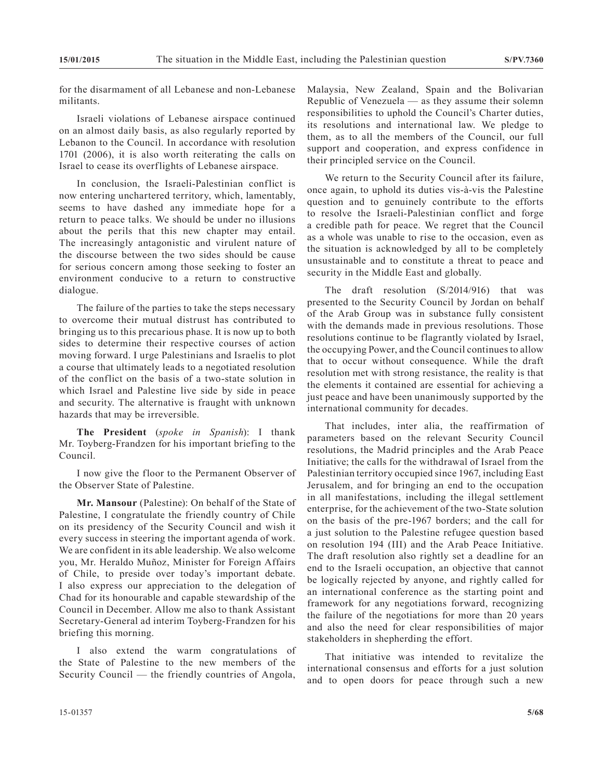for the disarmament of all Lebanese and non-Lebanese militants.

Israeli violations of Lebanese airspace continued on an almost daily basis, as also regularly reported by Lebanon to the Council. In accordance with resolution 1701 (2006), it is also worth reiterating the calls on Israel to cease its overflights of Lebanese airspace.

In conclusion, the Israeli-Palestinian conflict is now entering unchartered territory, which, lamentably, seems to have dashed any immediate hope for a return to peace talks. We should be under no illusions about the perils that this new chapter may entail. The increasingly antagonistic and virulent nature of the discourse between the two sides should be cause for serious concern among those seeking to foster an environment conducive to a return to constructive dialogue.

The failure of the parties to take the steps necessary to overcome their mutual distrust has contributed to bringing us to this precarious phase. It is now up to both sides to determine their respective courses of action moving forward. I urge Palestinians and Israelis to plot a course that ultimately leads to a negotiated resolution of the conflict on the basis of a two-state solution in which Israel and Palestine live side by side in peace and security. The alternative is fraught with unknown hazards that may be irreversible.

**The President** (*spoke in Spanish*): I thank Mr. Toyberg-Frandzen for his important briefing to the Council.

I now give the floor to the Permanent Observer of the Observer State of Palestine.

**Mr. Mansour** (Palestine): On behalf of the State of Palestine, I congratulate the friendly country of Chile on its presidency of the Security Council and wish it every success in steering the important agenda of work. We are confident in its able leadership. We also welcome you, Mr. Heraldo Muñoz, Minister for Foreign Affairs of Chile, to preside over today's important debate. I also express our appreciation to the delegation of Chad for its honourable and capable stewardship of the Council in December. Allow me also to thank Assistant Secretary-General ad interim Toyberg-Frandzen for his briefing this morning.

I also extend the warm congratulations of the State of Palestine to the new members of the Security Council — the friendly countries of Angola,

Malaysia, New Zealand, Spain and the Bolivarian Republic of Venezuela — as they assume their solemn responsibilities to uphold the Council's Charter duties, its resolutions and international law. We pledge to them, as to all the members of the Council, our full support and cooperation, and express confidence in their principled service on the Council.

We return to the Security Council after its failure, once again, to uphold its duties vis-à-vis the Palestine question and to genuinely contribute to the efforts to resolve the Israeli-Palestinian conflict and forge a credible path for peace. We regret that the Council as a whole was unable to rise to the occasion, even as the situation is acknowledged by all to be completely unsustainable and to constitute a threat to peace and security in the Middle East and globally.

The draft resolution (S/2014/916) that was presented to the Security Council by Jordan on behalf of the Arab Group was in substance fully consistent with the demands made in previous resolutions. Those resolutions continue to be flagrantly violated by Israel, the occupying Power, and the Council continues to allow that to occur without consequence. While the draft resolution met with strong resistance, the reality is that the elements it contained are essential for achieving a just peace and have been unanimously supported by the international community for decades.

That includes, inter alia, the reaffirmation of parameters based on the relevant Security Council resolutions, the Madrid principles and the Arab Peace Initiative; the calls for the withdrawal of Israel from the Palestinian territory occupied since 1967, including East Jerusalem, and for bringing an end to the occupation in all manifestations, including the illegal settlement enterprise, for the achievement of the two-State solution on the basis of the pre-1967 borders; and the call for a just solution to the Palestine refugee question based on resolution 194 (III) and the Arab Peace Initiative. The draft resolution also rightly set a deadline for an end to the Israeli occupation, an objective that cannot be logically rejected by anyone, and rightly called for an international conference as the starting point and framework for any negotiations forward, recognizing the failure of the negotiations for more than 20 years and also the need for clear responsibilities of major stakeholders in shepherding the effort.

That initiative was intended to revitalize the international consensus and efforts for a just solution and to open doors for peace through such a new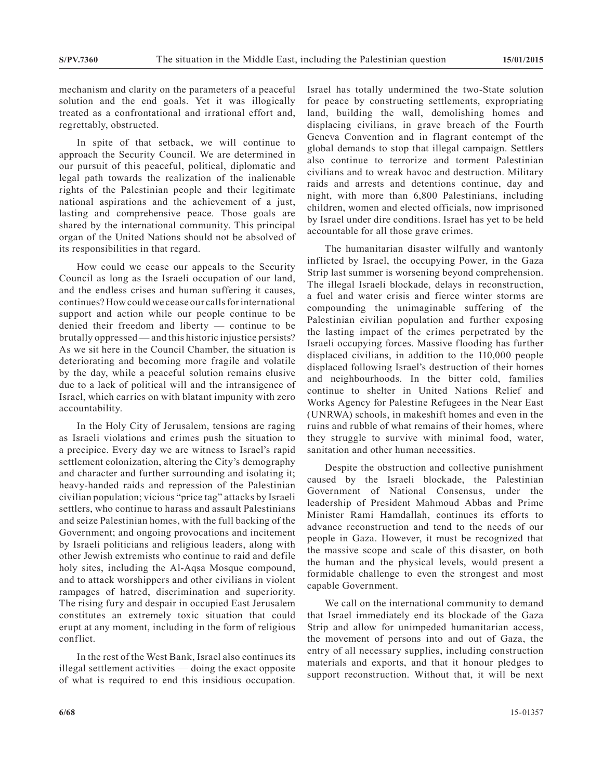mechanism and clarity on the parameters of a peaceful solution and the end goals. Yet it was illogically treated as a confrontational and irrational effort and, regrettably, obstructed.

In spite of that setback, we will continue to approach the Security Council. We are determined in our pursuit of this peaceful, political, diplomatic and legal path towards the realization of the inalienable rights of the Palestinian people and their legitimate national aspirations and the achievement of a just, lasting and comprehensive peace. Those goals are shared by the international community. This principal organ of the United Nations should not be absolved of its responsibilities in that regard.

How could we cease our appeals to the Security Council as long as the Israeli occupation of our land, and the endless crises and human suffering it causes, continues? How could we cease our calls for international support and action while our people continue to be denied their freedom and liberty — continue to be brutally oppressed — and this historic injustice persists? As we sit here in the Council Chamber, the situation is deteriorating and becoming more fragile and volatile by the day, while a peaceful solution remains elusive due to a lack of political will and the intransigence of Israel, which carries on with blatant impunity with zero accountability.

In the Holy City of Jerusalem, tensions are raging as Israeli violations and crimes push the situation to a precipice. Every day we are witness to Israel's rapid settlement colonization, altering the City's demography and character and further surrounding and isolating it; heavy-handed raids and repression of the Palestinian civilian population; vicious "price tag" attacks by Israeli settlers, who continue to harass and assault Palestinians and seize Palestinian homes, with the full backing of the Government; and ongoing provocations and incitement by Israeli politicians and religious leaders, along with other Jewish extremists who continue to raid and defile holy sites, including the Al-Aqsa Mosque compound, and to attack worshippers and other civilians in violent rampages of hatred, discrimination and superiority. The rising fury and despair in occupied East Jerusalem constitutes an extremely toxic situation that could erupt at any moment, including in the form of religious conflict.

In the rest of the West Bank, Israel also continues its illegal settlement activities — doing the exact opposite of what is required to end this insidious occupation. Israel has totally undermined the two-State solution for peace by constructing settlements, expropriating land, building the wall, demolishing homes and displacing civilians, in grave breach of the Fourth Geneva Convention and in flagrant contempt of the global demands to stop that illegal campaign. Settlers also continue to terrorize and torment Palestinian civilians and to wreak havoc and destruction. Military raids and arrests and detentions continue, day and night, with more than 6,800 Palestinians, including children, women and elected officials, now imprisoned by Israel under dire conditions. Israel has yet to be held accountable for all those grave crimes.

The humanitarian disaster wilfully and wantonly inflicted by Israel, the occupying Power, in the Gaza Strip last summer is worsening beyond comprehension. The illegal Israeli blockade, delays in reconstruction, a fuel and water crisis and fierce winter storms are compounding the unimaginable suffering of the Palestinian civilian population and further exposing the lasting impact of the crimes perpetrated by the Israeli occupying forces. Massive flooding has further displaced civilians, in addition to the 110,000 people displaced following Israel's destruction of their homes and neighbourhoods. In the bitter cold, families continue to shelter in United Nations Relief and Works Agency for Palestine Refugees in the Near East (UNRWA) schools, in makeshift homes and even in the ruins and rubble of what remains of their homes, where they struggle to survive with minimal food, water, sanitation and other human necessities.

Despite the obstruction and collective punishment caused by the Israeli blockade, the Palestinian Government of National Consensus, under the leadership of President Mahmoud Abbas and Prime Minister Rami Hamdallah, continues its efforts to advance reconstruction and tend to the needs of our people in Gaza. However, it must be recognized that the massive scope and scale of this disaster, on both the human and the physical levels, would present a formidable challenge to even the strongest and most capable Government.

We call on the international community to demand that Israel immediately end its blockade of the Gaza Strip and allow for unimpeded humanitarian access, the movement of persons into and out of Gaza, the entry of all necessary supplies, including construction materials and exports, and that it honour pledges to support reconstruction. Without that, it will be next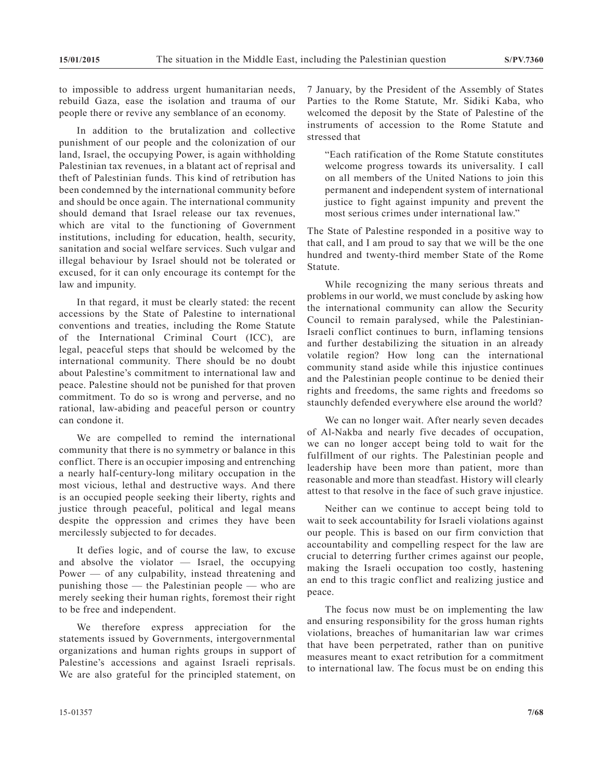to impossible to address urgent humanitarian needs, rebuild Gaza, ease the isolation and trauma of our people there or revive any semblance of an economy.

In addition to the brutalization and collective punishment of our people and the colonization of our land, Israel, the occupying Power, is again withholding Palestinian tax revenues, in a blatant act of reprisal and theft of Palestinian funds. This kind of retribution has been condemned by the international community before and should be once again. The international community should demand that Israel release our tax revenues, which are vital to the functioning of Government institutions, including for education, health, security, sanitation and social welfare services. Such vulgar and illegal behaviour by Israel should not be tolerated or excused, for it can only encourage its contempt for the law and impunity.

In that regard, it must be clearly stated: the recent accessions by the State of Palestine to international conventions and treaties, including the Rome Statute of the International Criminal Court (ICC), are legal, peaceful steps that should be welcomed by the international community. There should be no doubt about Palestine's commitment to international law and peace. Palestine should not be punished for that proven commitment. To do so is wrong and perverse, and no rational, law-abiding and peaceful person or country can condone it.

We are compelled to remind the international community that there is no symmetry or balance in this conflict. There is an occupier imposing and entrenching a nearly half-century-long military occupation in the most vicious, lethal and destructive ways. And there is an occupied people seeking their liberty, rights and justice through peaceful, political and legal means despite the oppression and crimes they have been mercilessly subjected to for decades.

It defies logic, and of course the law, to excuse and absolve the violator — Israel, the occupying Power — of any culpability, instead threatening and punishing those — the Palestinian people — who are merely seeking their human rights, foremost their right to be free and independent.

We therefore express appreciation for the statements issued by Governments, intergovernmental organizations and human rights groups in support of Palestine's accessions and against Israeli reprisals. We are also grateful for the principled statement, on

7 January, by the President of the Assembly of States Parties to the Rome Statute, Mr. Sidiki Kaba, who welcomed the deposit by the State of Palestine of the instruments of accession to the Rome Statute and stressed that

"Each ratification of the Rome Statute constitutes welcome progress towards its universality. I call on all members of the United Nations to join this permanent and independent system of international justice to fight against impunity and prevent the most serious crimes under international law."

The State of Palestine responded in a positive way to that call, and I am proud to say that we will be the one hundred and twenty-third member State of the Rome Statute.

While recognizing the many serious threats and problems in our world, we must conclude by asking how the international community can allow the Security Council to remain paralysed, while the Palestinian-Israeli conflict continues to burn, inflaming tensions and further destabilizing the situation in an already volatile region? How long can the international community stand aside while this injustice continues and the Palestinian people continue to be denied their rights and freedoms, the same rights and freedoms so staunchly defended everywhere else around the world?

We can no longer wait. After nearly seven decades of Al-Nakba and nearly five decades of occupation, we can no longer accept being told to wait for the fulfillment of our rights. The Palestinian people and leadership have been more than patient, more than reasonable and more than steadfast. History will clearly attest to that resolve in the face of such grave injustice.

Neither can we continue to accept being told to wait to seek accountability for Israeli violations against our people. This is based on our firm conviction that accountability and compelling respect for the law are crucial to deterring further crimes against our people, making the Israeli occupation too costly, hastening an end to this tragic conflict and realizing justice and peace.

The focus now must be on implementing the law and ensuring responsibility for the gross human rights violations, breaches of humanitarian law war crimes that have been perpetrated, rather than on punitive measures meant to exact retribution for a commitment to international law. The focus must be on ending this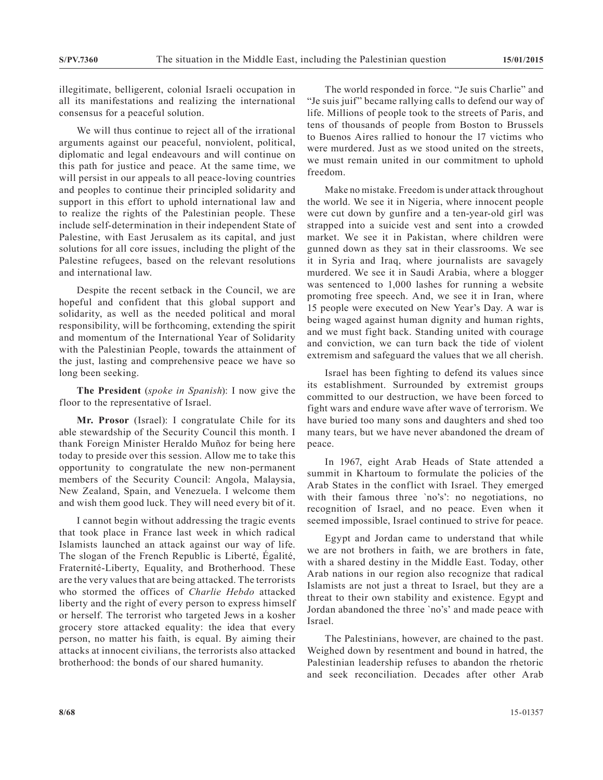illegitimate, belligerent, colonial Israeli occupation in all its manifestations and realizing the international consensus for a peaceful solution.

We will thus continue to reject all of the irrational arguments against our peaceful, nonviolent, political, diplomatic and legal endeavours and will continue on this path for justice and peace. At the same time, we will persist in our appeals to all peace-loving countries and peoples to continue their principled solidarity and support in this effort to uphold international law and to realize the rights of the Palestinian people. These include self-determination in their independent State of Palestine, with East Jerusalem as its capital, and just solutions for all core issues, including the plight of the Palestine refugees, based on the relevant resolutions and international law.

Despite the recent setback in the Council, we are hopeful and confident that this global support and solidarity, as well as the needed political and moral responsibility, will be forthcoming, extending the spirit and momentum of the International Year of Solidarity with the Palestinian People, towards the attainment of the just, lasting and comprehensive peace we have so long been seeking.

# **The President** (*spoke in Spanish*): I now give the floor to the representative of Israel.

**Mr. Prosor** (Israel): I congratulate Chile for its able stewardship of the Security Council this month. I thank Foreign Minister Heraldo Muñoz for being here today to preside over this session. Allow me to take this opportunity to congratulate the new non-permanent members of the Security Council: Angola, Malaysia, New Zealand, Spain, and Venezuela. I welcome them and wish them good luck. They will need every bit of it.

I cannot begin without addressing the tragic events that took place in France last week in which radical Islamists launched an attack against our way of life. The slogan of the French Republic is Liberté, Égalité, Fraternité-Liberty, Equality, and Brotherhood. These are the very values that are being attacked. The terrorists who stormed the offices of *Charlie Hebdo* attacked liberty and the right of every person to express himself or herself. The terrorist who targeted Jews in a kosher grocery store attacked equality: the idea that every person, no matter his faith, is equal. By aiming their attacks at innocent civilians, the terrorists also attacked brotherhood: the bonds of our shared humanity.

The world responded in force. "Je suis Charlie" and "Je suis juif" became rallying calls to defend our way of life. Millions of people took to the streets of Paris, and tens of thousands of people from Boston to Brussels to Buenos Aires rallied to honour the 17 victims who were murdered. Just as we stood united on the streets, we must remain united in our commitment to uphold freedom.

Make no mistake. Freedom is under attack throughout the world. We see it in Nigeria, where innocent people were cut down by gunfire and a ten-year-old girl was strapped into a suicide vest and sent into a crowded market. We see it in Pakistan, where children were gunned down as they sat in their classrooms. We see it in Syria and Iraq, where journalists are savagely murdered. We see it in Saudi Arabia, where a blogger was sentenced to 1,000 lashes for running a website promoting free speech. And, we see it in Iran, where 15 people were executed on New Year's Day. A war is being waged against human dignity and human rights, and we must fight back. Standing united with courage and conviction, we can turn back the tide of violent extremism and safeguard the values that we all cherish.

Israel has been fighting to defend its values since its establishment. Surrounded by extremist groups committed to our destruction, we have been forced to fight wars and endure wave after wave of terrorism. We have buried too many sons and daughters and shed too many tears, but we have never abandoned the dream of peace.

In 1967, eight Arab Heads of State attended a summit in Khartoum to formulate the policies of the Arab States in the conflict with Israel. They emerged with their famous three `no's': no negotiations, no recognition of Israel, and no peace. Even when it seemed impossible, Israel continued to strive for peace.

Egypt and Jordan came to understand that while we are not brothers in faith, we are brothers in fate, with a shared destiny in the Middle East. Today, other Arab nations in our region also recognize that radical Islamists are not just a threat to Israel, but they are a threat to their own stability and existence. Egypt and Jordan abandoned the three `no's' and made peace with Israel.

The Palestinians, however, are chained to the past. Weighed down by resentment and bound in hatred, the Palestinian leadership refuses to abandon the rhetoric and seek reconciliation. Decades after other Arab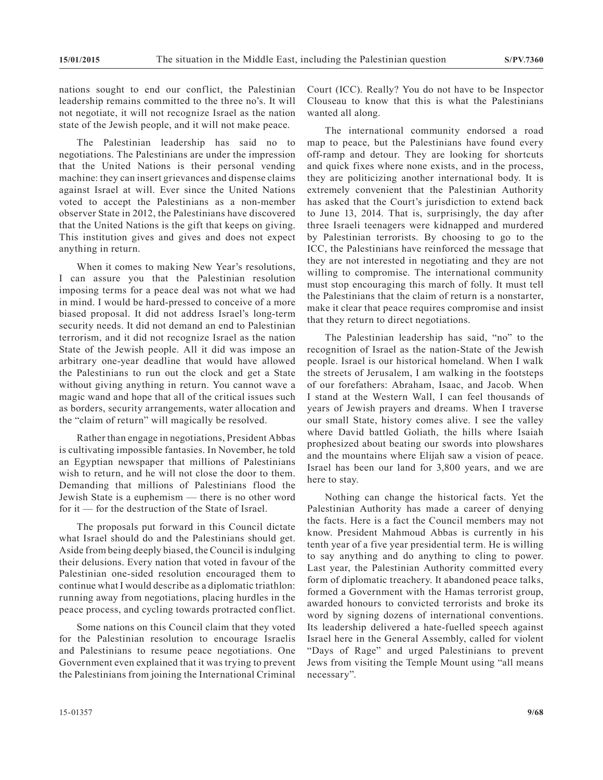nations sought to end our conflict, the Palestinian leadership remains committed to the three no's. It will not negotiate, it will not recognize Israel as the nation state of the Jewish people, and it will not make peace.

The Palestinian leadership has said no to negotiations. The Palestinians are under the impression that the United Nations is their personal vending machine: they can insert grievances and dispense claims against Israel at will. Ever since the United Nations voted to accept the Palestinians as a non-member observer State in 2012, the Palestinians have discovered that the United Nations is the gift that keeps on giving. This institution gives and gives and does not expect anything in return.

When it comes to making New Year's resolutions, I can assure you that the Palestinian resolution imposing terms for a peace deal was not what we had in mind. I would be hard-pressed to conceive of a more biased proposal. It did not address Israel's long-term security needs. It did not demand an end to Palestinian terrorism, and it did not recognize Israel as the nation State of the Jewish people. All it did was impose an arbitrary one-year deadline that would have allowed the Palestinians to run out the clock and get a State without giving anything in return. You cannot wave a magic wand and hope that all of the critical issues such as borders, security arrangements, water allocation and the "claim of return" will magically be resolved.

Rather than engage in negotiations, President Abbas is cultivating impossible fantasies. In November, he told an Egyptian newspaper that millions of Palestinians wish to return, and he will not close the door to them. Demanding that millions of Palestinians flood the Jewish State is a euphemism — there is no other word for it — for the destruction of the State of Israel.

The proposals put forward in this Council dictate what Israel should do and the Palestinians should get. Aside from being deeply biased, the Council is indulging their delusions. Every nation that voted in favour of the Palestinian one-sided resolution encouraged them to continue what I would describe as a diplomatic triathlon: running away from negotiations, placing hurdles in the peace process, and cycling towards protracted conflict.

Some nations on this Council claim that they voted for the Palestinian resolution to encourage Israelis and Palestinians to resume peace negotiations. One Government even explained that it was trying to prevent the Palestinians from joining the International Criminal Court (ICC). Really? You do not have to be Inspector Clouseau to know that this is what the Palestinians wanted all along.

The international community endorsed a road map to peace, but the Palestinians have found every off-ramp and detour. They are looking for shortcuts and quick fixes where none exists, and in the process, they are politicizing another international body. It is extremely convenient that the Palestinian Authority has asked that the Court's jurisdiction to extend back to June 13, 2014. That is, surprisingly, the day after three Israeli teenagers were kidnapped and murdered by Palestinian terrorists. By choosing to go to the ICC, the Palestinians have reinforced the message that they are not interested in negotiating and they are not willing to compromise. The international community must stop encouraging this march of folly. It must tell the Palestinians that the claim of return is a nonstarter, make it clear that peace requires compromise and insist that they return to direct negotiations.

The Palestinian leadership has said, "no" to the recognition of Israel as the nation-State of the Jewish people. Israel is our historical homeland. When I walk the streets of Jerusalem, I am walking in the footsteps of our forefathers: Abraham, Isaac, and Jacob. When I stand at the Western Wall, I can feel thousands of years of Jewish prayers and dreams. When I traverse our small State, history comes alive. I see the valley where David battled Goliath, the hills where Isaiah prophesized about beating our swords into plowshares and the mountains where Elijah saw a vision of peace. Israel has been our land for 3,800 years, and we are here to stay.

Nothing can change the historical facts. Yet the Palestinian Authority has made a career of denying the facts. Here is a fact the Council members may not know. President Mahmoud Abbas is currently in his tenth year of a five year presidential term. He is willing to say anything and do anything to cling to power. Last year, the Palestinian Authority committed every form of diplomatic treachery. It abandoned peace talks, formed a Government with the Hamas terrorist group, awarded honours to convicted terrorists and broke its word by signing dozens of international conventions. Its leadership delivered a hate-fuelled speech against Israel here in the General Assembly, called for violent "Days of Rage" and urged Palestinians to prevent Jews from visiting the Temple Mount using "all means necessary".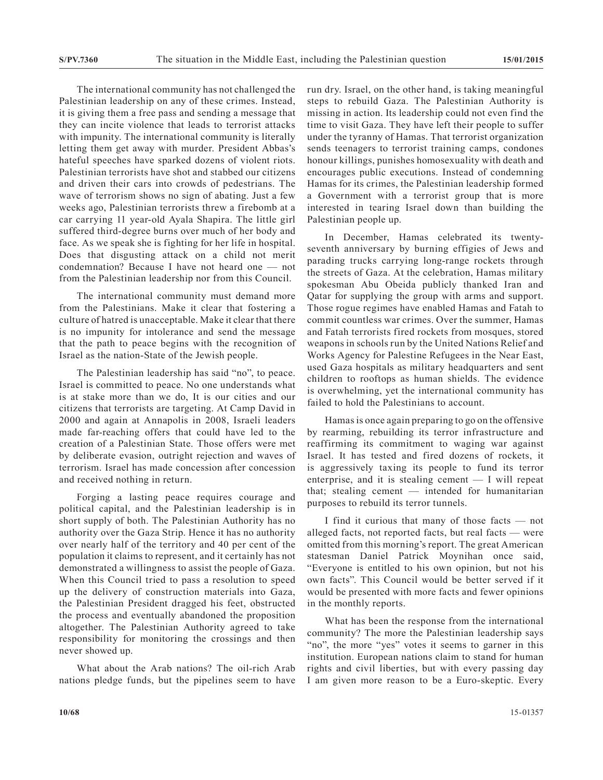The international community has not challenged the Palestinian leadership on any of these crimes. Instead, it is giving them a free pass and sending a message that they can incite violence that leads to terrorist attacks with impunity. The international community is literally letting them get away with murder. President Abbas's hateful speeches have sparked dozens of violent riots. Palestinian terrorists have shot and stabbed our citizens and driven their cars into crowds of pedestrians. The wave of terrorism shows no sign of abating. Just a few weeks ago, Palestinian terrorists threw a firebomb at a car carrying 11 year-old Ayala Shapira. The little girl suffered third-degree burns over much of her body and face. As we speak she is fighting for her life in hospital. Does that disgusting attack on a child not merit condemnation? Because I have not heard one — not from the Palestinian leadership nor from this Council.

The international community must demand more from the Palestinians. Make it clear that fostering a culture of hatred is unacceptable. Make it clear that there is no impunity for intolerance and send the message that the path to peace begins with the recognition of Israel as the nation-State of the Jewish people.

The Palestinian leadership has said "no", to peace. Israel is committed to peace. No one understands what is at stake more than we do, It is our cities and our citizens that terrorists are targeting. At Camp David in 2000 and again at Annapolis in 2008, Israeli leaders made far-reaching offers that could have led to the creation of a Palestinian State. Those offers were met by deliberate evasion, outright rejection and waves of terrorism. Israel has made concession after concession and received nothing in return.

Forging a lasting peace requires courage and political capital, and the Palestinian leadership is in short supply of both. The Palestinian Authority has no authority over the Gaza Strip. Hence it has no authority over nearly half of the territory and 40 per cent of the population it claims to represent, and it certainly has not demonstrated a willingness to assist the people of Gaza. When this Council tried to pass a resolution to speed up the delivery of construction materials into Gaza, the Palestinian President dragged his feet, obstructed the process and eventually abandoned the proposition altogether. The Palestinian Authority agreed to take responsibility for monitoring the crossings and then never showed up.

What about the Arab nations? The oil-rich Arab nations pledge funds, but the pipelines seem to have run dry. Israel, on the other hand, is taking meaningful steps to rebuild Gaza. The Palestinian Authority is missing in action. Its leadership could not even find the time to visit Gaza. They have left their people to suffer under the tyranny of Hamas. That terrorist organization sends teenagers to terrorist training camps, condones honour killings, punishes homosexuality with death and encourages public executions. Instead of condemning Hamas for its crimes, the Palestinian leadership formed a Government with a terrorist group that is more interested in tearing Israel down than building the Palestinian people up.

In December, Hamas celebrated its twentyseventh anniversary by burning effigies of Jews and parading trucks carrying long-range rockets through the streets of Gaza. At the celebration, Hamas military spokesman Abu Obeida publicly thanked Iran and Qatar for supplying the group with arms and support. Those rogue regimes have enabled Hamas and Fatah to commit countless war crimes. Over the summer, Hamas and Fatah terrorists fired rockets from mosques, stored weapons in schools run by the United Nations Relief and Works Agency for Palestine Refugees in the Near East, used Gaza hospitals as military headquarters and sent children to rooftops as human shields. The evidence is overwhelming, yet the international community has failed to hold the Palestinians to account.

Hamas is once again preparing to go on the offensive by rearming, rebuilding its terror infrastructure and reaffirming its commitment to waging war against Israel. It has tested and fired dozens of rockets, it is aggressively taxing its people to fund its terror enterprise, and it is stealing cement  $-$  I will repeat that; stealing cement — intended for humanitarian purposes to rebuild its terror tunnels.

I find it curious that many of those facts — not alleged facts, not reported facts, but real facts — were omitted from this morning's report. The great American statesman Daniel Patrick Moynihan once said, "Everyone is entitled to his own opinion, but not his own facts". This Council would be better served if it would be presented with more facts and fewer opinions in the monthly reports.

What has been the response from the international community? The more the Palestinian leadership says "no", the more "yes" votes it seems to garner in this institution. European nations claim to stand for human rights and civil liberties, but with every passing day I am given more reason to be a Euro-skeptic. Every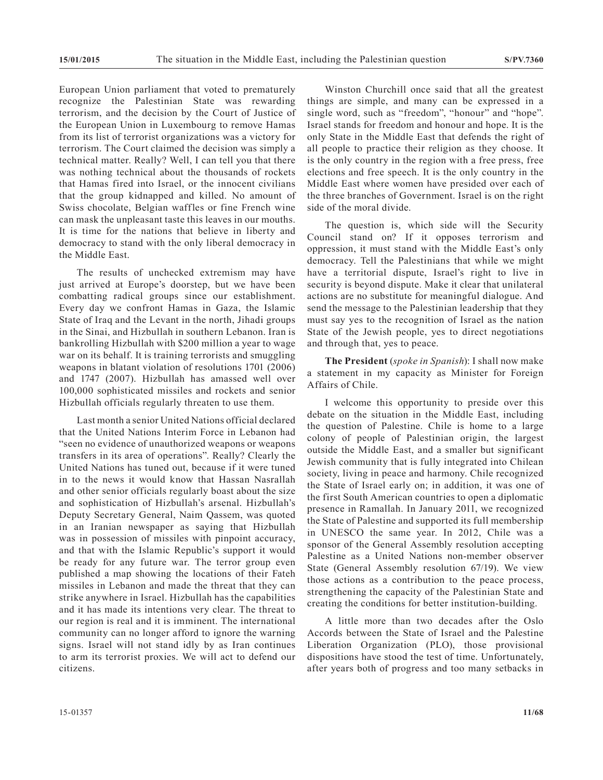European Union parliament that voted to prematurely recognize the Palestinian State was rewarding terrorism, and the decision by the Court of Justice of the European Union in Luxembourg to remove Hamas from its list of terrorist organizations was a victory for terrorism. The Court claimed the decision was simply a technical matter. Really? Well, I can tell you that there was nothing technical about the thousands of rockets that Hamas fired into Israel, or the innocent civilians that the group kidnapped and killed. No amount of Swiss chocolate, Belgian waffles or fine French wine can mask the unpleasant taste this leaves in our mouths. It is time for the nations that believe in liberty and democracy to stand with the only liberal democracy in the Middle East.

The results of unchecked extremism may have just arrived at Europe's doorstep, but we have been combatting radical groups since our establishment. Every day we confront Hamas in Gaza, the Islamic State of Iraq and the Levant in the north, Jihadi groups in the Sinai, and Hizbullah in southern Lebanon. Iran is bankrolling Hizbullah with \$200 million a year to wage war on its behalf. It is training terrorists and smuggling weapons in blatant violation of resolutions 1701 (2006) and 1747 (2007). Hizbullah has amassed well over 100,000 sophisticated missiles and rockets and senior Hizbullah officials regularly threaten to use them.

Last month a senior United Nations official declared that the United Nations Interim Force in Lebanon had "seen no evidence of unauthorized weapons or weapons transfers in its area of operations". Really? Clearly the United Nations has tuned out, because if it were tuned in to the news it would know that Hassan Nasrallah and other senior officials regularly boast about the size and sophistication of Hizbullah's arsenal. Hizbullah's Deputy Secretary General, Naim Qassem, was quoted in an Iranian newspaper as saying that Hizbullah was in possession of missiles with pinpoint accuracy, and that with the Islamic Republic's support it would be ready for any future war. The terror group even published a map showing the locations of their Fateh missiles in Lebanon and made the threat that they can strike anywhere in Israel. Hizbullah has the capabilities and it has made its intentions very clear. The threat to our region is real and it is imminent. The international community can no longer afford to ignore the warning signs. Israel will not stand idly by as Iran continues to arm its terrorist proxies. We will act to defend our citizens.

Winston Churchill once said that all the greatest things are simple, and many can be expressed in a single word, such as "freedom", "honour" and "hope". Israel stands for freedom and honour and hope. It is the only State in the Middle East that defends the right of all people to practice their religion as they choose. It is the only country in the region with a free press, free elections and free speech. It is the only country in the Middle East where women have presided over each of the three branches of Government. Israel is on the right side of the moral divide.

The question is, which side will the Security Council stand on? If it opposes terrorism and oppression, it must stand with the Middle East's only democracy. Tell the Palestinians that while we might have a territorial dispute, Israel's right to live in security is beyond dispute. Make it clear that unilateral actions are no substitute for meaningful dialogue. And send the message to the Palestinian leadership that they must say yes to the recognition of Israel as the nation State of the Jewish people, yes to direct negotiations and through that, yes to peace.

**The President** (*spoke in Spanish*): I shall now make a statement in my capacity as Minister for Foreign Affairs of Chile.

I welcome this opportunity to preside over this debate on the situation in the Middle East, including the question of Palestine. Chile is home to a large colony of people of Palestinian origin, the largest outside the Middle East, and a smaller but significant Jewish community that is fully integrated into Chilean society, living in peace and harmony. Chile recognized the State of Israel early on; in addition, it was one of the first South American countries to open a diplomatic presence in Ramallah. In January 2011, we recognized the State of Palestine and supported its full membership in UNESCO the same year. In 2012, Chile was a sponsor of the General Assembly resolution accepting Palestine as a United Nations non-member observer State (General Assembly resolution 67/19). We view those actions as a contribution to the peace process, strengthening the capacity of the Palestinian State and creating the conditions for better institution-building.

A little more than two decades after the Oslo Accords between the State of Israel and the Palestine Liberation Organization (PLO), those provisional dispositions have stood the test of time. Unfortunately, after years both of progress and too many setbacks in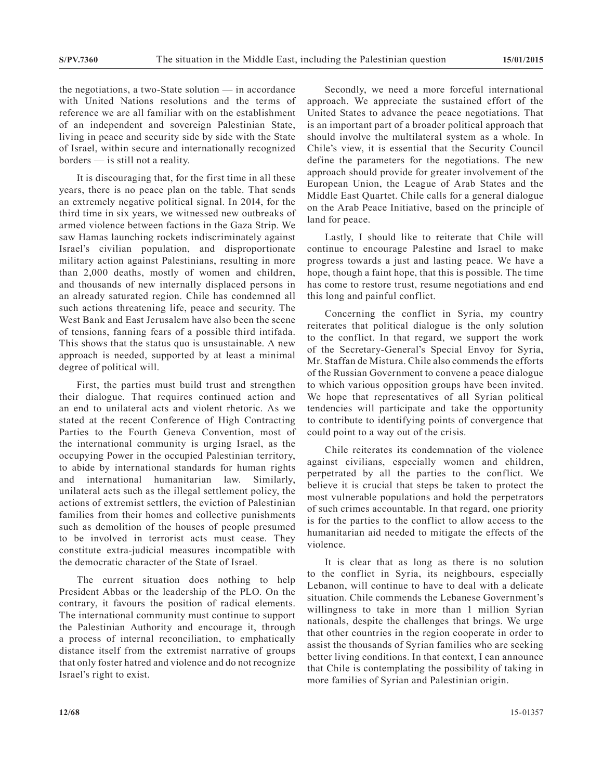the negotiations, a two-State solution — in accordance with United Nations resolutions and the terms of reference we are all familiar with on the establishment of an independent and sovereign Palestinian State, living in peace and security side by side with the State of Israel, within secure and internationally recognized borders — is still not a reality.

It is discouraging that, for the first time in all these years, there is no peace plan on the table. That sends an extremely negative political signal. In 2014, for the third time in six years, we witnessed new outbreaks of armed violence between factions in the Gaza Strip. We saw Hamas launching rockets indiscriminately against Israel's civilian population, and disproportionate military action against Palestinians, resulting in more than 2,000 deaths, mostly of women and children, and thousands of new internally displaced persons in an already saturated region. Chile has condemned all such actions threatening life, peace and security. The West Bank and East Jerusalem have also been the scene of tensions, fanning fears of a possible third intifada. This shows that the status quo is unsustainable. A new approach is needed, supported by at least a minimal degree of political will.

First, the parties must build trust and strengthen their dialogue. That requires continued action and an end to unilateral acts and violent rhetoric. As we stated at the recent Conference of High Contracting Parties to the Fourth Geneva Convention, most of the international community is urging Israel, as the occupying Power in the occupied Palestinian territory, to abide by international standards for human rights and international humanitarian law. Similarly, unilateral acts such as the illegal settlement policy, the actions of extremist settlers, the eviction of Palestinian families from their homes and collective punishments such as demolition of the houses of people presumed to be involved in terrorist acts must cease. They constitute extra-judicial measures incompatible with the democratic character of the State of Israel.

The current situation does nothing to help President Abbas or the leadership of the PLO. On the contrary, it favours the position of radical elements. The international community must continue to support the Palestinian Authority and encourage it, through a process of internal reconciliation, to emphatically distance itself from the extremist narrative of groups that only foster hatred and violence and do not recognize Israel's right to exist.

Secondly, we need a more forceful international approach. We appreciate the sustained effort of the United States to advance the peace negotiations. That is an important part of a broader political approach that should involve the multilateral system as a whole. In Chile's view, it is essential that the Security Council define the parameters for the negotiations. The new approach should provide for greater involvement of the European Union, the League of Arab States and the Middle East Quartet. Chile calls for a general dialogue on the Arab Peace Initiative, based on the principle of land for peace.

Lastly, I should like to reiterate that Chile will continue to encourage Palestine and Israel to make progress towards a just and lasting peace. We have a hope, though a faint hope, that this is possible. The time has come to restore trust, resume negotiations and end this long and painful conflict.

Concerning the conflict in Syria, my country reiterates that political dialogue is the only solution to the conflict. In that regard, we support the work of the Secretary-General's Special Envoy for Syria, Mr. Staffan de Mistura. Chile also commends the efforts of the Russian Government to convene a peace dialogue to which various opposition groups have been invited. We hope that representatives of all Syrian political tendencies will participate and take the opportunity to contribute to identifying points of convergence that could point to a way out of the crisis.

Chile reiterates its condemnation of the violence against civilians, especially women and children, perpetrated by all the parties to the conflict. We believe it is crucial that steps be taken to protect the most vulnerable populations and hold the perpetrators of such crimes accountable. In that regard, one priority is for the parties to the conflict to allow access to the humanitarian aid needed to mitigate the effects of the violence.

It is clear that as long as there is no solution to the conflict in Syria, its neighbours, especially Lebanon, will continue to have to deal with a delicate situation. Chile commends the Lebanese Government's willingness to take in more than 1 million Syrian nationals, despite the challenges that brings. We urge that other countries in the region cooperate in order to assist the thousands of Syrian families who are seeking better living conditions. In that context, I can announce that Chile is contemplating the possibility of taking in more families of Syrian and Palestinian origin.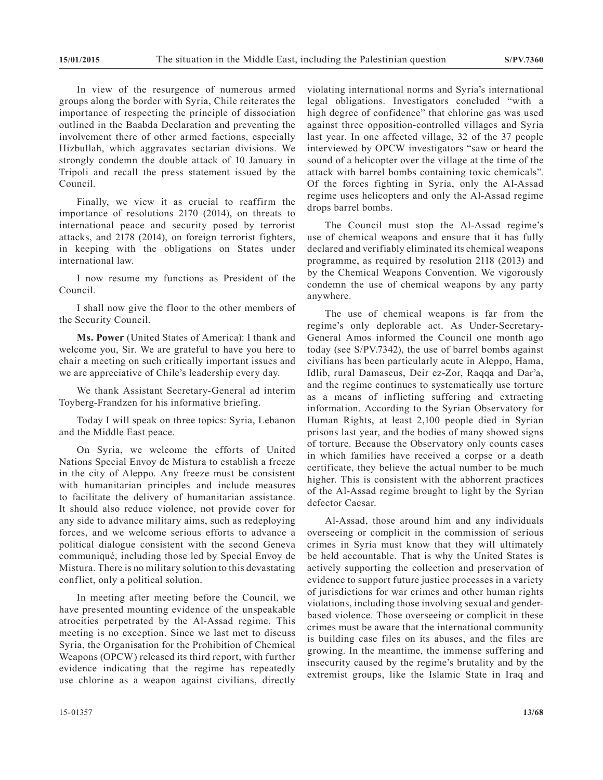In view of the resurgence of numerous armed groups along the border with Syria, Chile reiterates the importance of respecting the principle of dissociation outlined in the Baabda Declaration and preventing the involvement there of other armed factions, especially Hizbullah, which aggravates sectarian divisions. We strongly condemn the double attack of 10 January in Tripoli and recall the press statement issued by the Council.

Finally, we view it as crucial to reaffirm the importance of resolutions 2170 (2014), on threats to international peace and security posed by terrorist attacks, and 2178 (2014), on foreign terrorist fighters, in keeping with the obligations on States under international law.

I now resume my functions as President of the Council.

I shall now give the floor to the other members of the Security Council.

**Ms. Power** (United States of America): I thank and welcome you, Sir. We are grateful to have you here to chair a meeting on such critically important issues and we are appreciative of Chile's leadership every day.

We thank Assistant Secretary-General ad interim Toyberg-Frandzen for his informative briefing.

Today I will speak on three topics: Syria, Lebanon and the Middle East peace.

On Syria, we welcome the efforts of United Nations Special Envoy de Mistura to establish a freeze in the city of Aleppo. Any freeze must be consistent with humanitarian principles and include measures to facilitate the delivery of humanitarian assistance. It should also reduce violence, not provide cover for any side to advance military aims, such as redeploying forces, and we welcome serious efforts to advance a political dialogue consistent with the second Geneva communiqué, including those led by Special Envoy de Mistura. There is no military solution to this devastating conflict, only a political solution.

In meeting after meeting before the Council, we have presented mounting evidence of the unspeakable atrocities perpetrated by the Al-Assad regime. This meeting is no exception. Since we last met to discuss Syria, the Organisation for the Prohibition of Chemical Weapons (OPCW) released its third report, with further evidence indicating that the regime has repeatedly use chlorine as a weapon against civilians, directly

violating international norms and Syria's international legal obligations. Investigators concluded "with a high degree of confidence" that chlorine gas was used against three opposition-controlled villages and Syria last year. In one affected village, 32 of the 37 people interviewed by OPCW investigators "saw or heard the sound of a helicopter over the village at the time of the attack with barrel bombs containing toxic chemicals". Of the forces fighting in Syria, only the Al-Assad regime uses helicopters and only the Al-Assad regime drops barrel bombs.

The Council must stop the Al-Assad regime's use of chemical weapons and ensure that it has fully declared and verifiably eliminated its chemical weapons programme, as required by resolution 2118 (2013) and by the Chemical Weapons Convention. We vigorously condemn the use of chemical weapons by any party anywhere.

The use of chemical weapons is far from the regime's only deplorable act. As Under-Secretary-General Amos informed the Council one month ago today (see S/PV.7342), the use of barrel bombs against civilians has been particularly acute in Aleppo, Hama, Idlib, rural Damascus, Deir ez-Zor, Raqqa and Dar'a, and the regime continues to systematically use torture as a means of inflicting suffering and extracting information. According to the Syrian Observatory for Human Rights, at least 2,100 people died in Syrian prisons last year, and the bodies of many showed signs of torture. Because the Observatory only counts cases in which families have received a corpse or a death certificate, they believe the actual number to be much higher. This is consistent with the abhorrent practices of the Al-Assad regime brought to light by the Syrian defector Caesar.

Al-Assad, those around him and any individuals overseeing or complicit in the commission of serious crimes in Syria must know that they will ultimately be held accountable. That is why the United States is actively supporting the collection and preservation of evidence to support future justice processes in a variety of jurisdictions for war crimes and other human rights violations, including those involving sexual and genderbased violence. Those overseeing or complicit in these crimes must be aware that the international community is building case files on its abuses, and the files are growing. In the meantime, the immense suffering and insecurity caused by the regime's brutality and by the extremist groups, like the Islamic State in Iraq and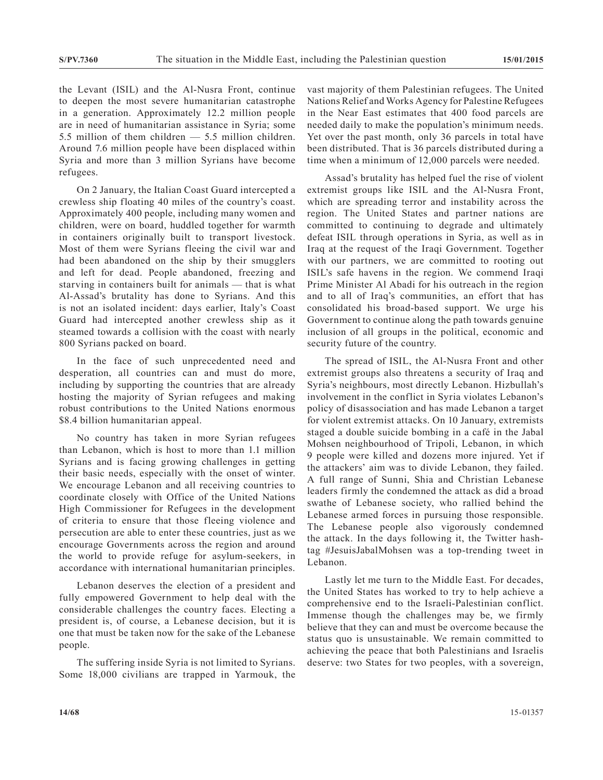the Levant (ISIL) and the Al-Nusra Front, continue to deepen the most severe humanitarian catastrophe in a generation. Approximately 12.2 million people are in need of humanitarian assistance in Syria; some 5.5 million of them children — 5.5 million children. Around 7.6 million people have been displaced within Syria and more than 3 million Syrians have become refugees.

On 2 January, the Italian Coast Guard intercepted a crewless ship floating 40 miles of the country's coast. Approximately 400 people, including many women and children, were on board, huddled together for warmth in containers originally built to transport livestock. Most of them were Syrians fleeing the civil war and had been abandoned on the ship by their smugglers and left for dead. People abandoned, freezing and starving in containers built for animals — that is what Al-Assad's brutality has done to Syrians. And this is not an isolated incident: days earlier, Italy's Coast Guard had intercepted another crewless ship as it steamed towards a collision with the coast with nearly 800 Syrians packed on board.

In the face of such unprecedented need and desperation, all countries can and must do more, including by supporting the countries that are already hosting the majority of Syrian refugees and making robust contributions to the United Nations enormous \$8.4 billion humanitarian appeal.

No country has taken in more Syrian refugees than Lebanon, which is host to more than 1.1 million Syrians and is facing growing challenges in getting their basic needs, especially with the onset of winter. We encourage Lebanon and all receiving countries to coordinate closely with Office of the United Nations High Commissioner for Refugees in the development of criteria to ensure that those fleeing violence and persecution are able to enter these countries, just as we encourage Governments across the region and around the world to provide refuge for asylum-seekers, in accordance with international humanitarian principles.

Lebanon deserves the election of a president and fully empowered Government to help deal with the considerable challenges the country faces. Electing a president is, of course, a Lebanese decision, but it is one that must be taken now for the sake of the Lebanese people.

The suffering inside Syria is not limited to Syrians. Some 18,000 civilians are trapped in Yarmouk, the vast majority of them Palestinian refugees. The United Nations Relief and Works Agency for Palestine Refugees in the Near East estimates that 400 food parcels are needed daily to make the population's minimum needs. Yet over the past month, only 36 parcels in total have been distributed. That is 36 parcels distributed during a time when a minimum of 12,000 parcels were needed.

Assad's brutality has helped fuel the rise of violent extremist groups like ISIL and the Al-Nusra Front, which are spreading terror and instability across the region. The United States and partner nations are committed to continuing to degrade and ultimately defeat ISIL through operations in Syria, as well as in Iraq at the request of the Iraqi Government. Together with our partners, we are committed to rooting out ISIL's safe havens in the region. We commend Iraqi Prime Minister Al Abadi for his outreach in the region and to all of Iraq's communities, an effort that has consolidated his broad-based support. We urge his Government to continue along the path towards genuine inclusion of all groups in the political, economic and security future of the country.

The spread of ISIL, the Al-Nusra Front and other extremist groups also threatens a security of Iraq and Syria's neighbours, most directly Lebanon. Hizbullah's involvement in the conflict in Syria violates Lebanon's policy of disassociation and has made Lebanon a target for violent extremist attacks. On 10 January, extremists staged a double suicide bombing in a café in the Jabal Mohsen neighbourhood of Tripoli, Lebanon, in which 9 people were killed and dozens more injured. Yet if the attackers' aim was to divide Lebanon, they failed. A full range of Sunni, Shia and Christian Lebanese leaders firmly the condemned the attack as did a broad swathe of Lebanese society, who rallied behind the Lebanese armed forces in pursuing those responsible. The Lebanese people also vigorously condemned the attack. In the days following it, the Twitter hashtag #JesuisJabalMohsen was a top-trending tweet in Lebanon.

Lastly let me turn to the Middle East. For decades, the United States has worked to try to help achieve a comprehensive end to the Israeli-Palestinian conflict. Immense though the challenges may be, we firmly believe that they can and must be overcome because the status quo is unsustainable. We remain committed to achieving the peace that both Palestinians and Israelis deserve: two States for two peoples, with a sovereign,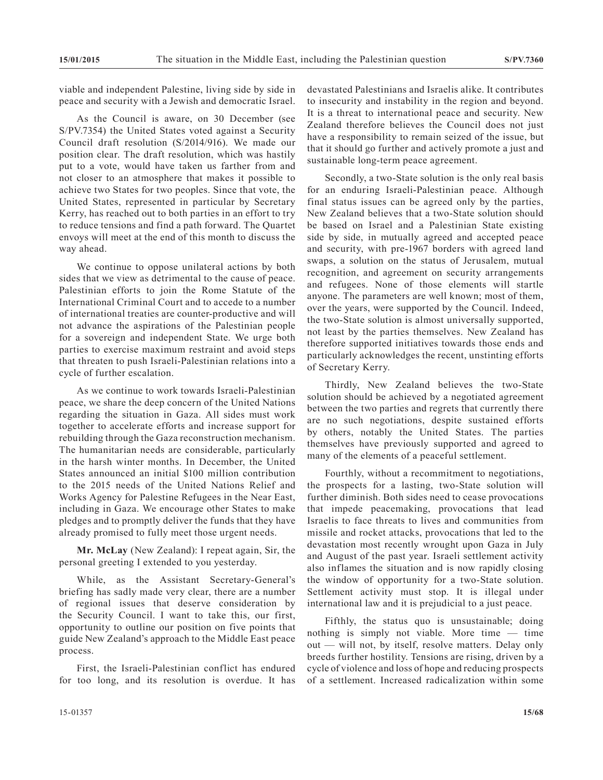viable and independent Palestine, living side by side in peace and security with a Jewish and democratic Israel.

As the Council is aware, on 30 December (see S/PV.7354) the United States voted against a Security Council draft resolution (S/2014/916). We made our position clear. The draft resolution, which was hastily put to a vote, would have taken us farther from and not closer to an atmosphere that makes it possible to achieve two States for two peoples. Since that vote, the United States, represented in particular by Secretary Kerry, has reached out to both parties in an effort to try to reduce tensions and find a path forward. The Quartet envoys will meet at the end of this month to discuss the way ahead.

We continue to oppose unilateral actions by both sides that we view as detrimental to the cause of peace. Palestinian efforts to join the Rome Statute of the International Criminal Court and to accede to a number of international treaties are counter-productive and will not advance the aspirations of the Palestinian people for a sovereign and independent State. We urge both parties to exercise maximum restraint and avoid steps that threaten to push Israeli-Palestinian relations into a cycle of further escalation.

As we continue to work towards Israeli-Palestinian peace, we share the deep concern of the United Nations regarding the situation in Gaza. All sides must work together to accelerate efforts and increase support for rebuilding through the Gaza reconstruction mechanism. The humanitarian needs are considerable, particularly in the harsh winter months. In December, the United States announced an initial \$100 million contribution to the 2015 needs of the United Nations Relief and Works Agency for Palestine Refugees in the Near East, including in Gaza. We encourage other States to make pledges and to promptly deliver the funds that they have already promised to fully meet those urgent needs.

**Mr. McLay** (New Zealand): I repeat again, Sir, the personal greeting I extended to you yesterday.

While, as the Assistant Secretary-General's briefing has sadly made very clear, there are a number of regional issues that deserve consideration by the Security Council. I want to take this, our first, opportunity to outline our position on five points that guide New Zealand's approach to the Middle East peace process.

First, the Israeli-Palestinian conflict has endured for too long, and its resolution is overdue. It has devastated Palestinians and Israelis alike. It contributes to insecurity and instability in the region and beyond. It is a threat to international peace and security. New Zealand therefore believes the Council does not just have a responsibility to remain seized of the issue, but that it should go further and actively promote a just and sustainable long-term peace agreement.

Secondly, a two-State solution is the only real basis for an enduring Israeli-Palestinian peace. Although final status issues can be agreed only by the parties, New Zealand believes that a two-State solution should be based on Israel and a Palestinian State existing side by side, in mutually agreed and accepted peace and security, with pre-1967 borders with agreed land swaps, a solution on the status of Jerusalem, mutual recognition, and agreement on security arrangements and refugees. None of those elements will startle anyone. The parameters are well known; most of them, over the years, were supported by the Council. Indeed, the two-State solution is almost universally supported, not least by the parties themselves. New Zealand has therefore supported initiatives towards those ends and particularly acknowledges the recent, unstinting efforts of Secretary Kerry.

Thirdly, New Zealand believes the two-State solution should be achieved by a negotiated agreement between the two parties and regrets that currently there are no such negotiations, despite sustained efforts by others, notably the United States. The parties themselves have previously supported and agreed to many of the elements of a peaceful settlement.

Fourthly, without a recommitment to negotiations, the prospects for a lasting, two-State solution will further diminish. Both sides need to cease provocations that impede peacemaking, provocations that lead Israelis to face threats to lives and communities from missile and rocket attacks, provocations that led to the devastation most recently wrought upon Gaza in July and August of the past year. Israeli settlement activity also inflames the situation and is now rapidly closing the window of opportunity for a two-State solution. Settlement activity must stop. It is illegal under international law and it is prejudicial to a just peace.

Fifthly, the status quo is unsustainable; doing nothing is simply not viable. More time — time out — will not, by itself, resolve matters. Delay only breeds further hostility. Tensions are rising, driven by a cycle of violence and loss of hope and reducing prospects of a settlement. Increased radicalization within some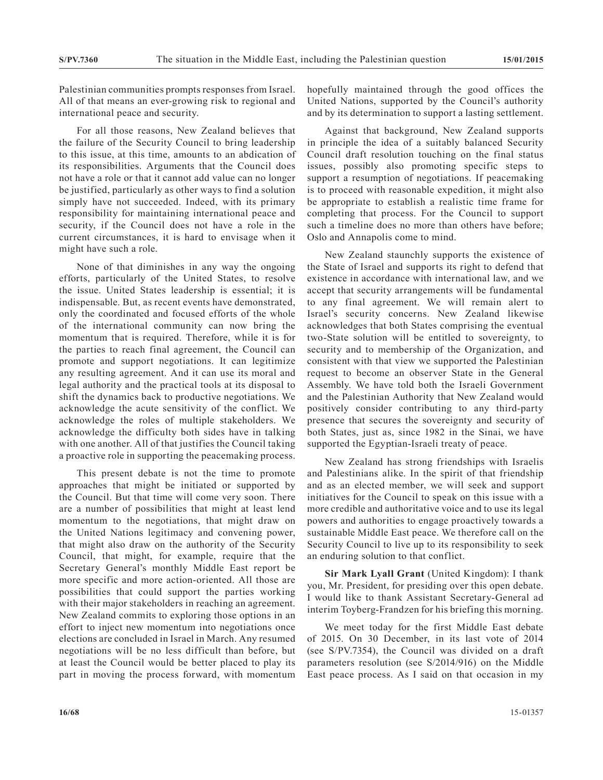Palestinian communities prompts responses from Israel. All of that means an ever-growing risk to regional and international peace and security.

For all those reasons, New Zealand believes that the failure of the Security Council to bring leadership to this issue, at this time, amounts to an abdication of its responsibilities. Arguments that the Council does not have a role or that it cannot add value can no longer be justified, particularly as other ways to find a solution simply have not succeeded. Indeed, with its primary responsibility for maintaining international peace and security, if the Council does not have a role in the current circumstances, it is hard to envisage when it might have such a role.

None of that diminishes in any way the ongoing efforts, particularly of the United States, to resolve the issue. United States leadership is essential; it is indispensable. But, as recent events have demonstrated, only the coordinated and focused efforts of the whole of the international community can now bring the momentum that is required. Therefore, while it is for the parties to reach final agreement, the Council can promote and support negotiations. It can legitimize any resulting agreement. And it can use its moral and legal authority and the practical tools at its disposal to shift the dynamics back to productive negotiations. We acknowledge the acute sensitivity of the conflict. We acknowledge the roles of multiple stakeholders. We acknowledge the difficulty both sides have in talking with one another. All of that justifies the Council taking a proactive role in supporting the peacemaking process.

This present debate is not the time to promote approaches that might be initiated or supported by the Council. But that time will come very soon. There are a number of possibilities that might at least lend momentum to the negotiations, that might draw on the United Nations legitimacy and convening power, that might also draw on the authority of the Security Council, that might, for example, require that the Secretary General's monthly Middle East report be more specific and more action-oriented. All those are possibilities that could support the parties working with their major stakeholders in reaching an agreement. New Zealand commits to exploring those options in an effort to inject new momentum into negotiations once elections are concluded in Israel in March. Any resumed negotiations will be no less difficult than before, but at least the Council would be better placed to play its part in moving the process forward, with momentum

hopefully maintained through the good offices the United Nations, supported by the Council's authority and by its determination to support a lasting settlement.

Against that background, New Zealand supports in principle the idea of a suitably balanced Security Council draft resolution touching on the final status issues, possibly also promoting specific steps to support a resumption of negotiations. If peacemaking is to proceed with reasonable expedition, it might also be appropriate to establish a realistic time frame for completing that process. For the Council to support such a timeline does no more than others have before; Oslo and Annapolis come to mind.

New Zealand staunchly supports the existence of the State of Israel and supports its right to defend that existence in accordance with international law, and we accept that security arrangements will be fundamental to any final agreement. We will remain alert to Israel's security concerns. New Zealand likewise acknowledges that both States comprising the eventual two-State solution will be entitled to sovereignty, to security and to membership of the Organization, and consistent with that view we supported the Palestinian request to become an observer State in the General Assembly. We have told both the Israeli Government and the Palestinian Authority that New Zealand would positively consider contributing to any third-party presence that secures the sovereignty and security of both States, just as, since 1982 in the Sinai, we have supported the Egyptian-Israeli treaty of peace.

New Zealand has strong friendships with Israelis and Palestinians alike. In the spirit of that friendship and as an elected member, we will seek and support initiatives for the Council to speak on this issue with a more credible and authoritative voice and to use its legal powers and authorities to engage proactively towards a sustainable Middle East peace. We therefore call on the Security Council to live up to its responsibility to seek an enduring solution to that conflict.

**Sir Mark Lyall Grant** (United Kingdom): I thank you, Mr. President, for presiding over this open debate. I would like to thank Assistant Secretary-General ad interim Toyberg-Frandzen for his briefing this morning.

We meet today for the first Middle East debate of 2015. On 30 December, in its last vote of 2014 (see S/PV.7354), the Council was divided on a draft parameters resolution (see S/2014/916) on the Middle East peace process. As I said on that occasion in my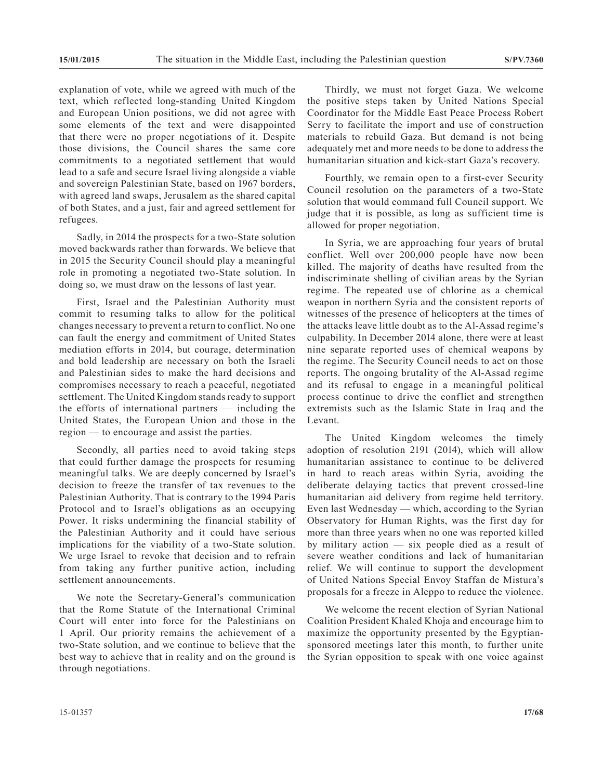explanation of vote, while we agreed with much of the text, which reflected long-standing United Kingdom and European Union positions, we did not agree with some elements of the text and were disappointed that there were no proper negotiations of it. Despite those divisions, the Council shares the same core commitments to a negotiated settlement that would lead to a safe and secure Israel living alongside a viable and sovereign Palestinian State, based on 1967 borders, with agreed land swaps, Jerusalem as the shared capital of both States, and a just, fair and agreed settlement for refugees.

Sadly, in 2014 the prospects for a two-State solution moved backwards rather than forwards. We believe that in 2015 the Security Council should play a meaningful role in promoting a negotiated two-State solution. In doing so, we must draw on the lessons of last year.

First, Israel and the Palestinian Authority must commit to resuming talks to allow for the political changes necessary to prevent a return to conflict. No one can fault the energy and commitment of United States mediation efforts in 2014, but courage, determination and bold leadership are necessary on both the Israeli and Palestinian sides to make the hard decisions and compromises necessary to reach a peaceful, negotiated settlement. The United Kingdom stands ready to support the efforts of international partners — including the United States, the European Union and those in the region — to encourage and assist the parties.

Secondly, all parties need to avoid taking steps that could further damage the prospects for resuming meaningful talks. We are deeply concerned by Israel's decision to freeze the transfer of tax revenues to the Palestinian Authority. That is contrary to the 1994 Paris Protocol and to Israel's obligations as an occupying Power. It risks undermining the financial stability of the Palestinian Authority and it could have serious implications for the viability of a two-State solution. We urge Israel to revoke that decision and to refrain from taking any further punitive action, including settlement announcements.

We note the Secretary-General's communication that the Rome Statute of the International Criminal Court will enter into force for the Palestinians on 1 April. Our priority remains the achievement of a two-State solution, and we continue to believe that the best way to achieve that in reality and on the ground is through negotiations.

Thirdly, we must not forget Gaza. We welcome the positive steps taken by United Nations Special Coordinator for the Middle East Peace Process Robert Serry to facilitate the import and use of construction materials to rebuild Gaza. But demand is not being adequately met and more needs to be done to address the humanitarian situation and kick-start Gaza's recovery.

Fourthly, we remain open to a first-ever Security Council resolution on the parameters of a two-State solution that would command full Council support. We judge that it is possible, as long as sufficient time is allowed for proper negotiation.

In Syria, we are approaching four years of brutal conflict. Well over 200,000 people have now been killed. The majority of deaths have resulted from the indiscriminate shelling of civilian areas by the Syrian regime. The repeated use of chlorine as a chemical weapon in northern Syria and the consistent reports of witnesses of the presence of helicopters at the times of the attacks leave little doubt as to the Al-Assad regime's culpability. In December 2014 alone, there were at least nine separate reported uses of chemical weapons by the regime. The Security Council needs to act on those reports. The ongoing brutality of the Al-Assad regime and its refusal to engage in a meaningful political process continue to drive the conflict and strengthen extremists such as the Islamic State in Iraq and the Levant.

The United Kingdom welcomes the timely adoption of resolution 2191 (2014), which will allow humanitarian assistance to continue to be delivered in hard to reach areas within Syria, avoiding the deliberate delaying tactics that prevent crossed-line humanitarian aid delivery from regime held territory. Even last Wednesday — which, according to the Syrian Observatory for Human Rights, was the first day for more than three years when no one was reported killed by military action — six people died as a result of severe weather conditions and lack of humanitarian relief. We will continue to support the development of United Nations Special Envoy Staffan de Mistura's proposals for a freeze in Aleppo to reduce the violence.

We welcome the recent election of Syrian National Coalition President Khaled Khoja and encourage him to maximize the opportunity presented by the Egyptiansponsored meetings later this month, to further unite the Syrian opposition to speak with one voice against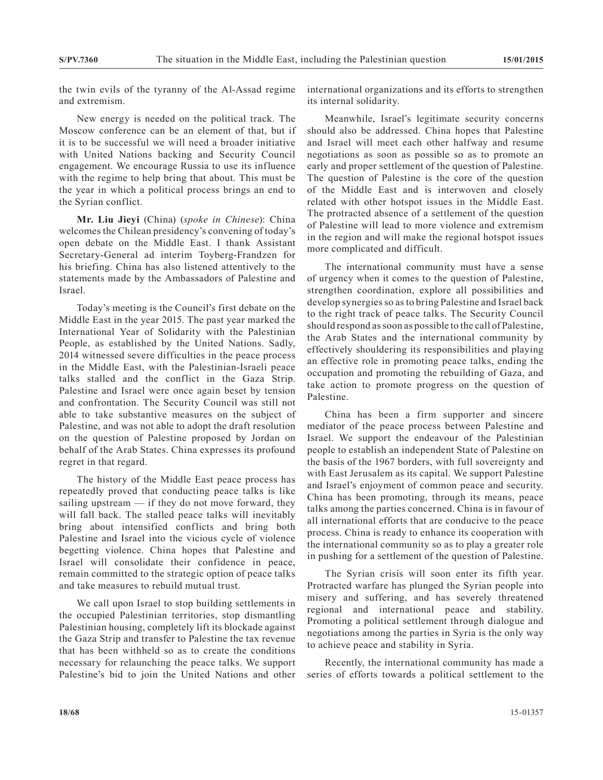the twin evils of the tyranny of the Al-Assad regime and extremism.

New energy is needed on the political track. The Moscow conference can be an element of that, but if it is to be successful we will need a broader initiative with United Nations backing and Security Council engagement. We encourage Russia to use its influence with the regime to help bring that about. This must be the year in which a political process brings an end to the Syrian conflict.

**Mr. Liu Jieyi** (China) (*spoke in Chinese*): China welcomes the Chilean presidency's convening of today's open debate on the Middle East. I thank Assistant Secretary-General ad interim Toyberg-Frandzen for his briefing. China has also listened attentively to the statements made by the Ambassadors of Palestine and Israel.

Today's meeting is the Council's first debate on the Middle East in the year 2015. The past year marked the International Year of Solidarity with the Palestinian People, as established by the United Nations. Sadly, 2014 witnessed severe difficulties in the peace process in the Middle East, with the Palestinian-Israeli peace talks stalled and the conflict in the Gaza Strip. Palestine and Israel were once again beset by tension and confrontation. The Security Council was still not able to take substantive measures on the subject of Palestine, and was not able to adopt the draft resolution on the question of Palestine proposed by Jordan on behalf of the Arab States. China expresses its profound regret in that regard.

The history of the Middle East peace process has repeatedly proved that conducting peace talks is like sailing upstream — if they do not move forward, they will fall back. The stalled peace talks will inevitably bring about intensified conflicts and bring both Palestine and Israel into the vicious cycle of violence begetting violence. China hopes that Palestine and Israel will consolidate their confidence in peace, remain committed to the strategic option of peace talks and take measures to rebuild mutual trust.

We call upon Israel to stop building settlements in the occupied Palestinian territories, stop dismantling Palestinian housing, completely lift its blockade against the Gaza Strip and transfer to Palestine the tax revenue that has been withheld so as to create the conditions necessary for relaunching the peace talks. We support Palestine's bid to join the United Nations and other international organizations and its efforts to strengthen its internal solidarity.

Meanwhile, Israel's legitimate security concerns should also be addressed. China hopes that Palestine and Israel will meet each other halfway and resume negotiations as soon as possible so as to promote an early and proper settlement of the question of Palestine. The question of Palestine is the core of the question of the Middle East and is interwoven and closely related with other hotspot issues in the Middle East. The protracted absence of a settlement of the question of Palestine will lead to more violence and extremism in the region and will make the regional hotspot issues more complicated and difficult.

The international community must have a sense of urgency when it comes to the question of Palestine, strengthen coordination, explore all possibilities and develop synergies so as to bring Palestine and Israel back to the right track of peace talks. The Security Council should respond as soon as possible to the call of Palestine, the Arab States and the international community by effectively shouldering its responsibilities and playing an effective role in promoting peace talks, ending the occupation and promoting the rebuilding of Gaza, and take action to promote progress on the question of Palestine.

China has been a firm supporter and sincere mediator of the peace process between Palestine and Israel. We support the endeavour of the Palestinian people to establish an independent State of Palestine on the basis of the 1967 borders, with full sovereignty and with East Jerusalem as its capital. We support Palestine and Israel's enjoyment of common peace and security. China has been promoting, through its means, peace talks among the parties concerned. China is in favour of all international efforts that are conducive to the peace process. China is ready to enhance its cooperation with the international community so as to play a greater role in pushing for a settlement of the question of Palestine.

The Syrian crisis will soon enter its fifth year. Protracted warfare has plunged the Syrian people into misery and suffering, and has severely threatened regional and international peace and stability. Promoting a political settlement through dialogue and negotiations among the parties in Syria is the only way to achieve peace and stability in Syria.

Recently, the international community has made a series of efforts towards a political settlement to the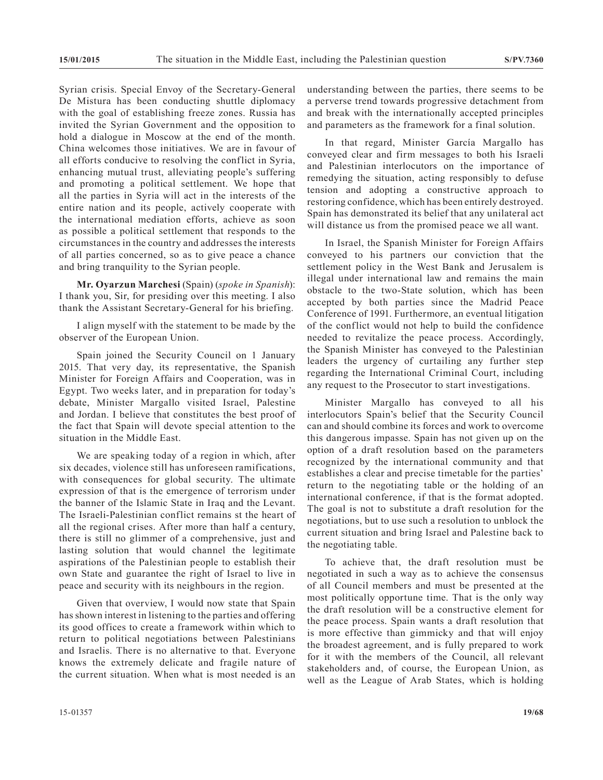Syrian crisis. Special Envoy of the Secretary-General De Mistura has been conducting shuttle diplomacy with the goal of establishing freeze zones. Russia has invited the Syrian Government and the opposition to hold a dialogue in Moscow at the end of the month. China welcomes those initiatives. We are in favour of all efforts conducive to resolving the conflict in Syria, enhancing mutual trust, alleviating people's suffering and promoting a political settlement. We hope that all the parties in Syria will act in the interests of the entire nation and its people, actively cooperate with the international mediation efforts, achieve as soon as possible a political settlement that responds to the circumstances in the country and addresses the interests of all parties concerned, so as to give peace a chance and bring tranquility to the Syrian people.

**Mr. Oyarzun Marchesi** (Spain) (*spoke in Spanish*): I thank you, Sir, for presiding over this meeting. I also thank the Assistant Secretary-General for his briefing.

I align myself with the statement to be made by the observer of the European Union.

Spain joined the Security Council on 1 January 2015. That very day, its representative, the Spanish Minister for Foreign Affairs and Cooperation, was in Egypt. Two weeks later, and in preparation for today's debate, Minister Margallo visited Israel, Palestine and Jordan. I believe that constitutes the best proof of the fact that Spain will devote special attention to the situation in the Middle East.

We are speaking today of a region in which, after six decades, violence still has unforeseen ramifications, with consequences for global security. The ultimate expression of that is the emergence of terrorism under the banner of the Islamic State in Iraq and the Levant. The Israeli-Palestinian conflict remains st the heart of all the regional crises. After more than half a century, there is still no glimmer of a comprehensive, just and lasting solution that would channel the legitimate aspirations of the Palestinian people to establish their own State and guarantee the right of Israel to live in peace and security with its neighbours in the region.

Given that overview, I would now state that Spain has shown interest in listening to the parties and offering its good offices to create a framework within which to return to political negotiations between Palestinians and Israelis. There is no alternative to that. Everyone knows the extremely delicate and fragile nature of the current situation. When what is most needed is an

understanding between the parties, there seems to be a perverse trend towards progressive detachment from and break with the internationally accepted principles and parameters as the framework for a final solution.

In that regard, Minister García Margallo has conveyed clear and firm messages to both his Israeli and Palestinian interlocutors on the importance of remedying the situation, acting responsibly to defuse tension and adopting a constructive approach to restoring confidence, which has been entirely destroyed. Spain has demonstrated its belief that any unilateral act will distance us from the promised peace we all want.

In Israel, the Spanish Minister for Foreign Affairs conveyed to his partners our conviction that the settlement policy in the West Bank and Jerusalem is illegal under international law and remains the main obstacle to the two-State solution, which has been accepted by both parties since the Madrid Peace Conference of 1991. Furthermore, an eventual litigation of the conflict would not help to build the confidence needed to revitalize the peace process. Accordingly, the Spanish Minister has conveyed to the Palestinian leaders the urgency of curtailing any further step regarding the International Criminal Court, including any request to the Prosecutor to start investigations.

Minister Margallo has conveyed to all his interlocutors Spain's belief that the Security Council can and should combine its forces and work to overcome this dangerous impasse. Spain has not given up on the option of a draft resolution based on the parameters recognized by the international community and that establishes a clear and precise timetable for the parties' return to the negotiating table or the holding of an international conference, if that is the format adopted. The goal is not to substitute a draft resolution for the negotiations, but to use such a resolution to unblock the current situation and bring Israel and Palestine back to the negotiating table.

To achieve that, the draft resolution must be negotiated in such a way as to achieve the consensus of all Council members and must be presented at the most politically opportune time. That is the only way the draft resolution will be a constructive element for the peace process. Spain wants a draft resolution that is more effective than gimmicky and that will enjoy the broadest agreement, and is fully prepared to work for it with the members of the Council, all relevant stakeholders and, of course, the European Union, as well as the League of Arab States, which is holding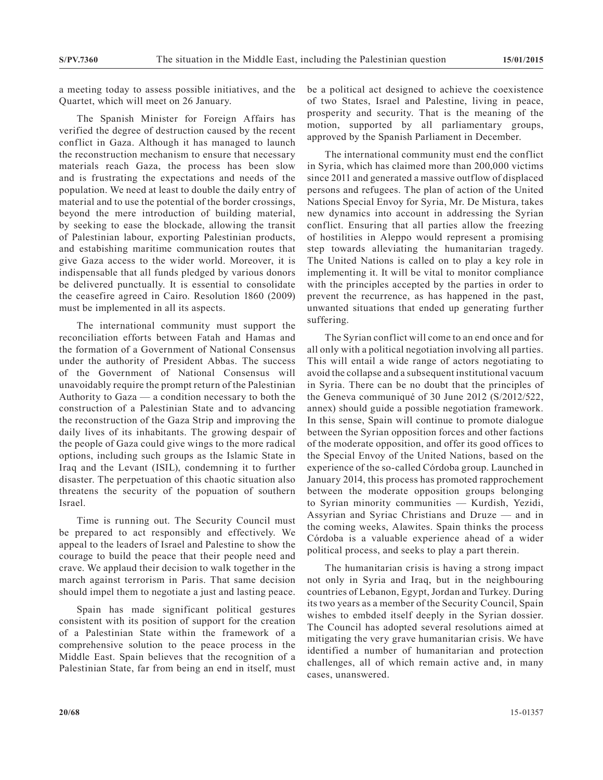a meeting today to assess possible initiatives, and the Quartet, which will meet on 26 January.

The Spanish Minister for Foreign Affairs has verified the degree of destruction caused by the recent conflict in Gaza. Although it has managed to launch the reconstruction mechanism to ensure that necessary materials reach Gaza, the process has been slow and is frustrating the expectations and needs of the population. We need at least to double the daily entry of material and to use the potential of the border crossings, beyond the mere introduction of building material, by seeking to ease the blockade, allowing the transit of Palestinian labour, exporting Palestinian products, and estabishing maritime communication routes that give Gaza access to the wider world. Moreover, it is indispensable that all funds pledged by various donors be delivered punctually. It is essential to consolidate the ceasefire agreed in Cairo. Resolution 1860 (2009) must be implemented in all its aspects.

The international community must support the reconciliation efforts between Fatah and Hamas and the formation of a Government of National Consensus under the authority of President Abbas. The success of the Government of National Consensus will unavoidably require the prompt return of the Palestinian Authority to Gaza — a condition necessary to both the construction of a Palestinian State and to advancing the reconstruction of the Gaza Strip and improving the daily lives of its inhabitants. The growing despair of the people of Gaza could give wings to the more radical options, including such groups as the Islamic State in Iraq and the Levant (ISIL), condemning it to further disaster. The perpetuation of this chaotic situation also threatens the security of the popuation of southern Israel.

Time is running out. The Security Council must be prepared to act responsibly and effectively. We appeal to the leaders of Israel and Palestine to show the courage to build the peace that their people need and crave. We applaud their decision to walk together in the march against terrorism in Paris. That same decision should impel them to negotiate a just and lasting peace.

Spain has made significant political gestures consistent with its position of support for the creation of a Palestinian State within the framework of a comprehensive solution to the peace process in the Middle East. Spain believes that the recognition of a Palestinian State, far from being an end in itself, must be a political act designed to achieve the coexistence of two States, Israel and Palestine, living in peace, prosperity and security. That is the meaning of the motion, supported by all parliamentary groups, approved by the Spanish Parliament in December.

The international community must end the conflict in Syria, which has claimed more than 200,000 victims since 2011 and generated a massive outflow of displaced persons and refugees. The plan of action of the United Nations Special Envoy for Syria, Mr. De Mistura, takes new dynamics into account in addressing the Syrian conflict. Ensuring that all parties allow the freezing of hostilities in Aleppo would represent a promising step towards alleviating the humanitarian tragedy. The United Nations is called on to play a key role in implementing it. It will be vital to monitor compliance with the principles accepted by the parties in order to prevent the recurrence, as has happened in the past, unwanted situations that ended up generating further suffering.

The Syrian conflict will come to an end once and for all only with a political negotiation involving all parties. This will entail a wide range of actors negotiating to avoid the collapse and a subsequent institutional vacuum in Syria. There can be no doubt that the principles of the Geneva communiqué of 30 June 2012 (S/2012/522, annex) should guide a possible negotiation framework. In this sense, Spain will continue to promote dialogue between the Syrian opposition forces and other factions of the moderate opposition, and offer its good offices to the Special Envoy of the United Nations, based on the experience of the so-called Córdoba group. Launched in January 2014, this process has promoted rapprochement between the moderate opposition groups belonging to Syrian minority communities — Kurdish, Yezidi, Assyrian and Syriac Christians and Druze — and in the coming weeks, Alawites. Spain thinks the process Córdoba is a valuable experience ahead of a wider political process, and seeks to play a part therein.

The humanitarian crisis is having a strong impact not only in Syria and Iraq, but in the neighbouring countries of Lebanon, Egypt, Jordan and Turkey. During its two years as a member of the Security Council, Spain wishes to embded itself deeply in the Syrian dossier. The Council has adopted several resolutions aimed at mitigating the very grave humanitarian crisis. We have identified a number of humanitarian and protection challenges, all of which remain active and, in many cases, unanswered.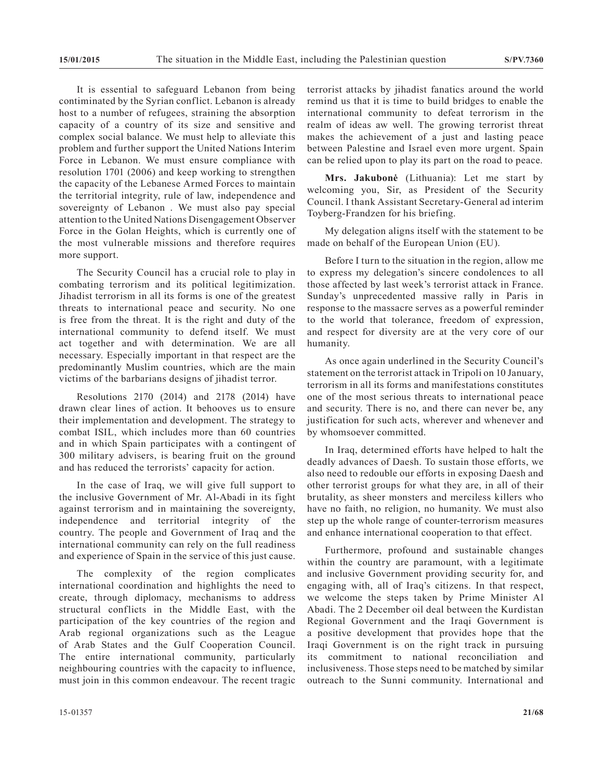It is essential to safeguard Lebanon from being contiminated by the Syrian conflict. Lebanon is already host to a number of refugees, straining the absorption capacity of a country of its size and sensitive and complex social balance. We must help to alleviate this problem and further support the United Nations Interim Force in Lebanon. We must ensure compliance with resolution 1701 (2006) and keep working to strengthen the capacity of the Lebanese Armed Forces to maintain the territorial integrity, rule of law, independence and sovereignty of Lebanon . We must also pay special attention to the United Nations Disengagement Observer Force in the Golan Heights, which is currently one of the most vulnerable missions and therefore requires more support.

The Security Council has a crucial role to play in combating terrorism and its political legitimization. Jihadist terrorism in all its forms is one of the greatest threats to international peace and security. No one is free from the threat. It is the right and duty of the international community to defend itself. We must act together and with determination. We are all necessary. Especially important in that respect are the predominantly Muslim countries, which are the main victims of the barbarians designs of jihadist terror.

Resolutions 2170 (2014) and 2178 (2014) have drawn clear lines of action. It behooves us to ensure their implementation and development. The strategy to combat ISIL, which includes more than 60 countries and in which Spain participates with a contingent of 300 military advisers, is bearing fruit on the ground and has reduced the terrorists' capacity for action.

In the case of Iraq, we will give full support to the inclusive Government of Mr. Al-Abadi in its fight against terrorism and in maintaining the sovereignty, independence and territorial integrity of the country. The people and Government of Iraq and the international community can rely on the full readiness and experience of Spain in the service of this just cause.

The complexity of the region complicates international coordination and highlights the need to create, through diplomacy, mechanisms to address structural conflicts in the Middle East, with the participation of the key countries of the region and Arab regional organizations such as the League of Arab States and the Gulf Cooperation Council. The entire international community, particularly neighbouring countries with the capacity to influence, must join in this common endeavour. The recent tragic

terrorist attacks by jihadist fanatics around the world remind us that it is time to build bridges to enable the international community to defeat terrorism in the realm of ideas aw well. The growing terrorist threat makes the achievement of a just and lasting peace between Palestine and Israel even more urgent. Spain can be relied upon to play its part on the road to peace.

**Mrs. Jakubonė** (Lithuania): Let me start by welcoming you, Sir, as President of the Security Council. I thank Assistant Secretary-General ad interim Toyberg-Frandzen for his briefing.

My delegation aligns itself with the statement to be made on behalf of the European Union (EU).

Before I turn to the situation in the region, allow me to express my delegation's sincere condolences to all those affected by last week's terrorist attack in France. Sunday's unprecedented massive rally in Paris in response to the massacre serves as a powerful reminder to the world that tolerance, freedom of expression, and respect for diversity are at the very core of our humanity.

As once again underlined in the Security Council's statement on the terrorist attack in Tripoli on 10 January, terrorism in all its forms and manifestations constitutes one of the most serious threats to international peace and security. There is no, and there can never be, any justification for such acts, wherever and whenever and by whomsoever committed.

In Iraq, determined efforts have helped to halt the deadly advances of Daesh. To sustain those efforts, we also need to redouble our efforts in exposing Daesh and other terrorist groups for what they are, in all of their brutality, as sheer monsters and merciless killers who have no faith, no religion, no humanity. We must also step up the whole range of counter-terrorism measures and enhance international cooperation to that effect.

Furthermore, profound and sustainable changes within the country are paramount, with a legitimate and inclusive Government providing security for, and engaging with, all of Iraq's citizens. In that respect, we welcome the steps taken by Prime Minister Al Abadi. The 2 December oil deal between the Kurdistan Regional Government and the Iraqi Government is a positive development that provides hope that the Iraqi Government is on the right track in pursuing its commitment to national reconciliation and inclusiveness. Those steps need to be matched by similar outreach to the Sunni community. International and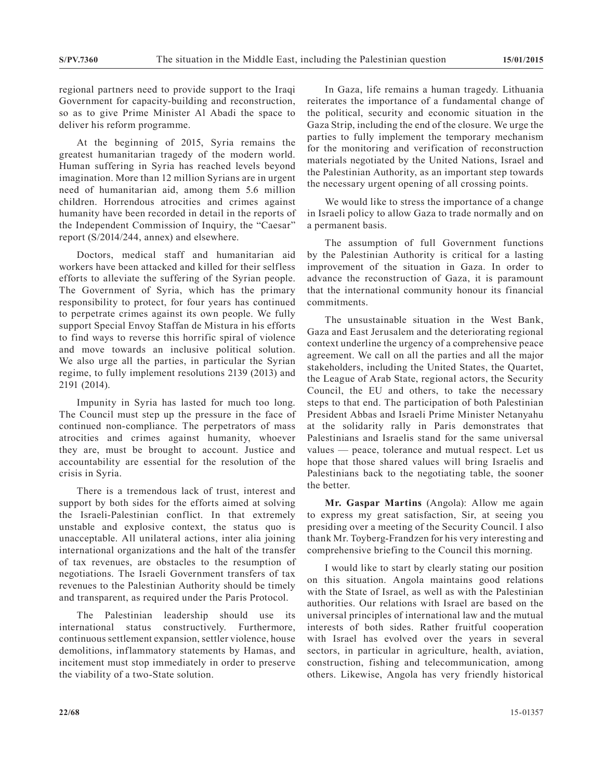regional partners need to provide support to the Iraqi Government for capacity-building and reconstruction, so as to give Prime Minister Al Abadi the space to deliver his reform programme.

At the beginning of 2015, Syria remains the greatest humanitarian tragedy of the modern world. Human suffering in Syria has reached levels beyond imagination. More than 12 million Syrians are in urgent need of humanitarian aid, among them 5.6 million children. Horrendous atrocities and crimes against humanity have been recorded in detail in the reports of the Independent Commission of Inquiry, the "Caesar" report (S/2014/244, annex) and elsewhere.

Doctors, medical staff and humanitarian aid workers have been attacked and killed for their selfless efforts to alleviate the suffering of the Syrian people. The Government of Syria, which has the primary responsibility to protect, for four years has continued to perpetrate crimes against its own people. We fully support Special Envoy Staffan de Mistura in his efforts to find ways to reverse this horrific spiral of violence and move towards an inclusive political solution. We also urge all the parties, in particular the Syrian regime, to fully implement resolutions 2139 (2013) and 2191 (2014).

Impunity in Syria has lasted for much too long. The Council must step up the pressure in the face of continued non-compliance. The perpetrators of mass atrocities and crimes against humanity, whoever they are, must be brought to account. Justice and accountability are essential for the resolution of the crisis in Syria.

There is a tremendous lack of trust, interest and support by both sides for the efforts aimed at solving the Israeli-Palestinian conflict. In that extremely unstable and explosive context, the status quo is unacceptable. All unilateral actions, inter alia joining international organizations and the halt of the transfer of tax revenues, are obstacles to the resumption of negotiations. The Israeli Government transfers of tax revenues to the Palestinian Authority should be timely and transparent, as required under the Paris Protocol.

The Palestinian leadership should use its international status constructively. Furthermore, continuous settlement expansion, settler violence, house demolitions, inflammatory statements by Hamas, and incitement must stop immediately in order to preserve the viability of a two-State solution.

In Gaza, life remains a human tragedy. Lithuania reiterates the importance of a fundamental change of the political, security and economic situation in the Gaza Strip, including the end of the closure. We urge the parties to fully implement the temporary mechanism for the monitoring and verification of reconstruction materials negotiated by the United Nations, Israel and the Palestinian Authority, as an important step towards the necessary urgent opening of all crossing points.

We would like to stress the importance of a change in Israeli policy to allow Gaza to trade normally and on a permanent basis.

The assumption of full Government functions by the Palestinian Authority is critical for a lasting improvement of the situation in Gaza. In order to advance the reconstruction of Gaza, it is paramount that the international community honour its financial commitments.

The unsustainable situation in the West Bank, Gaza and East Jerusalem and the deteriorating regional context underline the urgency of a comprehensive peace agreement. We call on all the parties and all the major stakeholders, including the United States, the Quartet, the League of Arab State, regional actors, the Security Council, the EU and others, to take the necessary steps to that end. The participation of both Palestinian President Abbas and Israeli Prime Minister Netanyahu at the solidarity rally in Paris demonstrates that Palestinians and Israelis stand for the same universal values — peace, tolerance and mutual respect. Let us hope that those shared values will bring Israelis and Palestinians back to the negotiating table, the sooner the better.

**Mr. Gaspar Martins** (Angola): Allow me again to express my great satisfaction, Sir, at seeing you presiding over a meeting of the Security Council. I also thank Mr. Toyberg-Frandzen for his very interesting and comprehensive briefing to the Council this morning.

I would like to start by clearly stating our position on this situation. Angola maintains good relations with the State of Israel, as well as with the Palestinian authorities. Our relations with Israel are based on the universal principles of international law and the mutual interests of both sides. Rather fruitful cooperation with Israel has evolved over the years in several sectors, in particular in agriculture, health, aviation, construction, fishing and telecommunication, among others. Likewise, Angola has very friendly historical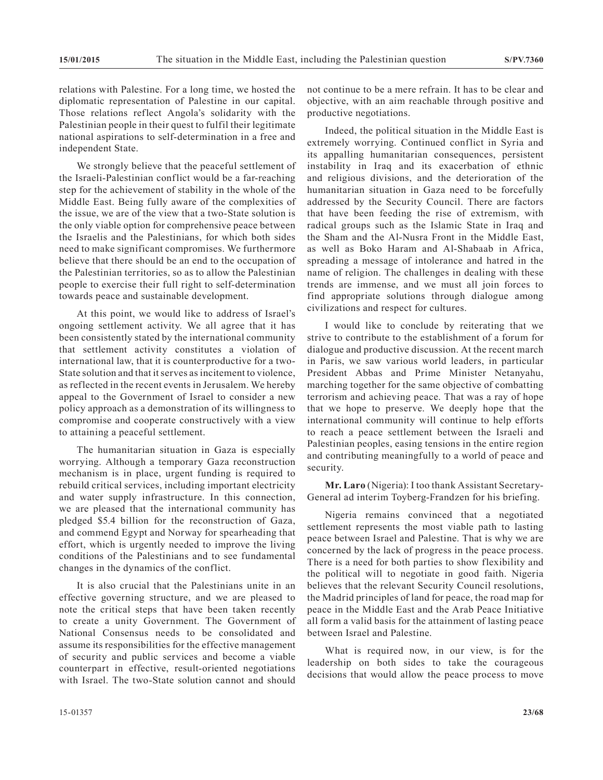relations with Palestine. For a long time, we hosted the diplomatic representation of Palestine in our capital. Those relations reflect Angola's solidarity with the Palestinian people in their quest to fulfil their legitimate national aspirations to self-determination in a free and independent State.

We strongly believe that the peaceful settlement of the Israeli-Palestinian conflict would be a far-reaching step for the achievement of stability in the whole of the Middle East. Being fully aware of the complexities of the issue, we are of the view that a two-State solution is the only viable option for comprehensive peace between the Israelis and the Palestinians, for which both sides need to make significant compromises. We furthermore believe that there should be an end to the occupation of the Palestinian territories, so as to allow the Palestinian people to exercise their full right to self-determination towards peace and sustainable development.

At this point, we would like to address of Israel's ongoing settlement activity. We all agree that it has been consistently stated by the international community that settlement activity constitutes a violation of international law, that it is counterproductive for a two-State solution and that it serves as incitement to violence, as reflected in the recent events in Jerusalem. We hereby appeal to the Government of Israel to consider a new policy approach as a demonstration of its willingness to compromise and cooperate constructively with a view to attaining a peaceful settlement.

The humanitarian situation in Gaza is especially worrying. Although a temporary Gaza reconstruction mechanism is in place, urgent funding is required to rebuild critical services, including important electricity and water supply infrastructure. In this connection, we are pleased that the international community has pledged \$5.4 billion for the reconstruction of Gaza, and commend Egypt and Norway for spearheading that effort, which is urgently needed to improve the living conditions of the Palestinians and to see fundamental changes in the dynamics of the conflict.

It is also crucial that the Palestinians unite in an effective governing structure, and we are pleased to note the critical steps that have been taken recently to create a unity Government. The Government of National Consensus needs to be consolidated and assume its responsibilities for the effective management of security and public services and become a viable counterpart in effective, result-oriented negotiations with Israel. The two-State solution cannot and should

not continue to be a mere refrain. It has to be clear and objective, with an aim reachable through positive and productive negotiations.

Indeed, the political situation in the Middle East is extremely worrying. Continued conflict in Syria and its appalling humanitarian consequences, persistent instability in Iraq and its exacerbation of ethnic and religious divisions, and the deterioration of the humanitarian situation in Gaza need to be forcefully addressed by the Security Council. There are factors that have been feeding the rise of extremism, with radical groups such as the Islamic State in Iraq and the Sham and the Al-Nusra Front in the Middle East, as well as Boko Haram and Al-Shabaab in Africa, spreading a message of intolerance and hatred in the name of religion. The challenges in dealing with these trends are immense, and we must all join forces to find appropriate solutions through dialogue among civilizations and respect for cultures.

I would like to conclude by reiterating that we strive to contribute to the establishment of a forum for dialogue and productive discussion. At the recent march in Paris, we saw various world leaders, in particular President Abbas and Prime Minister Netanyahu, marching together for the same objective of combatting terrorism and achieving peace. That was a ray of hope that we hope to preserve. We deeply hope that the international community will continue to help efforts to reach a peace settlement between the Israeli and Palestinian peoples, easing tensions in the entire region and contributing meaningfully to a world of peace and security.

**Mr. Laro** (Nigeria): I too thank Assistant Secretary-General ad interim Toyberg-Frandzen for his briefing.

Nigeria remains convinced that a negotiated settlement represents the most viable path to lasting peace between Israel and Palestine. That is why we are concerned by the lack of progress in the peace process. There is a need for both parties to show flexibility and the political will to negotiate in good faith. Nigeria believes that the relevant Security Council resolutions, the Madrid principles of land for peace, the road map for peace in the Middle East and the Arab Peace Initiative all form a valid basis for the attainment of lasting peace between Israel and Palestine.

What is required now, in our view, is for the leadership on both sides to take the courageous decisions that would allow the peace process to move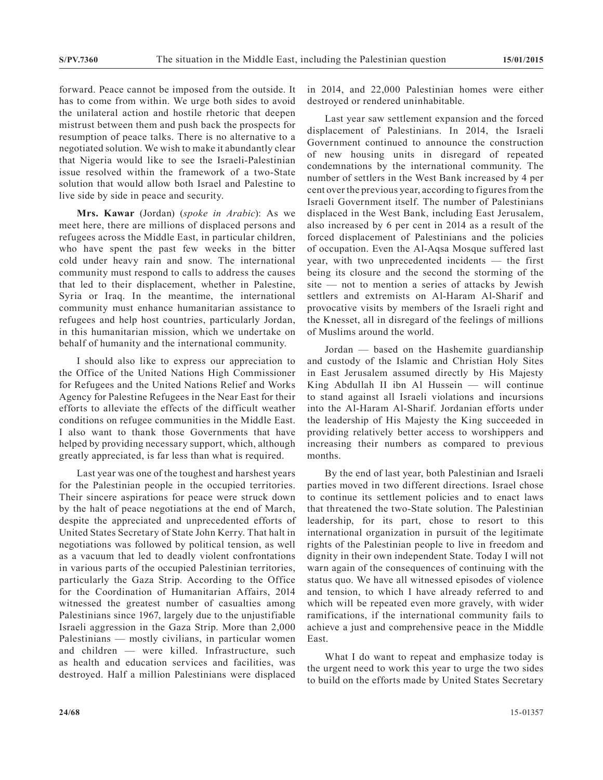forward. Peace cannot be imposed from the outside. It has to come from within. We urge both sides to avoid the unilateral action and hostile rhetoric that deepen mistrust between them and push back the prospects for resumption of peace talks. There is no alternative to a negotiated solution. We wish to make it abundantly clear that Nigeria would like to see the Israeli-Palestinian issue resolved within the framework of a two-State solution that would allow both Israel and Palestine to live side by side in peace and security.

**Mrs. Kawar** (Jordan) (*spoke in Arabic*): As we meet here, there are millions of displaced persons and refugees across the Middle East, in particular children, who have spent the past few weeks in the bitter cold under heavy rain and snow. The international community must respond to calls to address the causes that led to their displacement, whether in Palestine, Syria or Iraq. In the meantime, the international community must enhance humanitarian assistance to refugees and help host countries, particularly Jordan, in this humanitarian mission, which we undertake on behalf of humanity and the international community.

I should also like to express our appreciation to the Office of the United Nations High Commissioner for Refugees and the United Nations Relief and Works Agency for Palestine Refugees in the Near East for their efforts to alleviate the effects of the difficult weather conditions on refugee communities in the Middle East. I also want to thank those Governments that have helped by providing necessary support, which, although greatly appreciated, is far less than what is required.

Last year was one of the toughest and harshest years for the Palestinian people in the occupied territories. Their sincere aspirations for peace were struck down by the halt of peace negotiations at the end of March, despite the appreciated and unprecedented efforts of United States Secretary of State John Kerry. That halt in negotiations was followed by political tension, as well as a vacuum that led to deadly violent confrontations in various parts of the occupied Palestinian territories, particularly the Gaza Strip. According to the Office for the Coordination of Humanitarian Affairs, 2014 witnessed the greatest number of casualties among Palestinians since 1967, largely due to the unjustifiable Israeli aggression in the Gaza Strip. More than 2,000 Palestinians — mostly civilians, in particular women and children — were killed. Infrastructure, such as health and education services and facilities, was destroyed. Half a million Palestinians were displaced

in 2014, and 22,000 Palestinian homes were either destroyed or rendered uninhabitable.

Last year saw settlement expansion and the forced displacement of Palestinians. In 2014, the Israeli Government continued to announce the construction of new housing units in disregard of repeated condemnations by the international community. The number of settlers in the West Bank increased by 4 per cent over the previous year, according to figures from the Israeli Government itself. The number of Palestinians displaced in the West Bank, including East Jerusalem, also increased by 6 per cent in 2014 as a result of the forced displacement of Palestinians and the policies of occupation. Even the Al-Aqsa Mosque suffered last year, with two unprecedented incidents — the first being its closure and the second the storming of the site — not to mention a series of attacks by Jewish settlers and extremists on Al-Haram Al-Sharif and provocative visits by members of the Israeli right and the Knesset, all in disregard of the feelings of millions of Muslims around the world.

Jordan — based on the Hashemite guardianship and custody of the Islamic and Christian Holy Sites in East Jerusalem assumed directly by His Majesty King Abdullah II ibn Al Hussein — will continue to stand against all Israeli violations and incursions into the Al-Haram Al-Sharif. Jordanian efforts under the leadership of His Majesty the King succeeded in providing relatively better access to worshippers and increasing their numbers as compared to previous months.

By the end of last year, both Palestinian and Israeli parties moved in two different directions. Israel chose to continue its settlement policies and to enact laws that threatened the two-State solution. The Palestinian leadership, for its part, chose to resort to this international organization in pursuit of the legitimate rights of the Palestinian people to live in freedom and dignity in their own independent State. Today I will not warn again of the consequences of continuing with the status quo. We have all witnessed episodes of violence and tension, to which I have already referred to and which will be repeated even more gravely, with wider ramifications, if the international community fails to achieve a just and comprehensive peace in the Middle East.

What I do want to repeat and emphasize today is the urgent need to work this year to urge the two sides to build on the efforts made by United States Secretary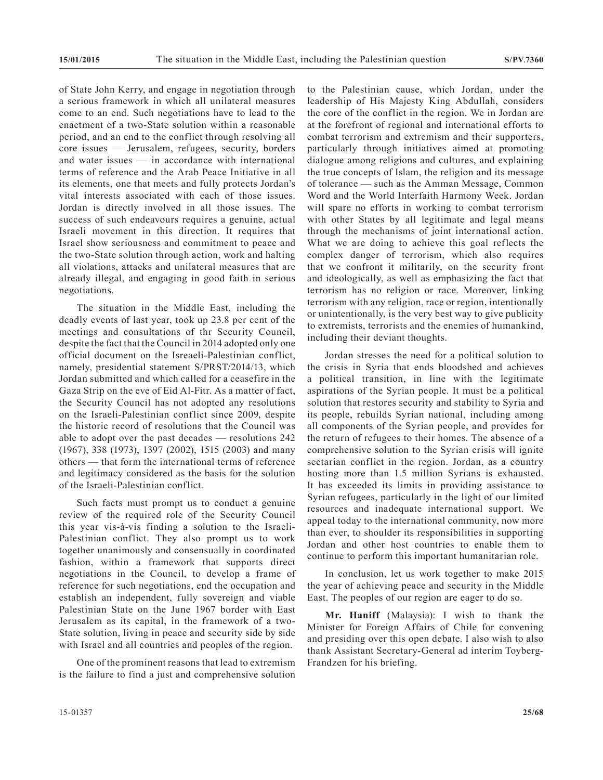of State John Kerry, and engage in negotiation through a serious framework in which all unilateral measures come to an end. Such negotiations have to lead to the enactment of a two-State solution within a reasonable period, and an end to the conflict through resolving all core issues — Jerusalem, refugees, security, borders and water issues — in accordance with international terms of reference and the Arab Peace Initiative in all its elements, one that meets and fully protects Jordan's vital interests associated with each of those issues. Jordan is directly involved in all those issues. The success of such endeavours requires a genuine, actual Israeli movement in this direction. It requires that Israel show seriousness and commitment to peace and the two-State solution through action, work and halting all violations, attacks and unilateral measures that are already illegal, and engaging in good faith in serious negotiations.

The situation in the Middle East, including the deadly events of last year, took up 23.8 per cent of the meetings and consultations of thr Security Council, despite the fact that the Council in 2014 adopted only one official document on the Isreaeli-Palestinian conflict, namely, presidential statement S/PRST/2014/13, which Jordan submitted and which called for a ceasefire in the Gaza Strip on the eve of Eid Al-Fitr. As a matter of fact, the Security Council has not adopted any resolutions on the Israeli-Palestinian conflict since 2009, despite the historic record of resolutions that the Council was able to adopt over the past decades — resolutions 242 (1967), 338 (1973), 1397 (2002), 1515 (2003) and many others — that form the international terms of reference and legitimacy considered as the basis for the solution of the Israeli-Palestinian conflict.

Such facts must prompt us to conduct a genuine review of the required role of the Security Council this year vis-à-vis finding a solution to the Israeli-Palestinian conflict. They also prompt us to work together unanimously and consensually in coordinated fashion, within a framework that supports direct negotiations in the Council, to develop a frame of reference for such negotiations, end the occupation and establish an independent, fully sovereign and viable Palestinian State on the June 1967 border with East Jerusalem as its capital, in the framework of a two-State solution, living in peace and security side by side with Israel and all countries and peoples of the region.

One of the prominent reasons that lead to extremism is the failure to find a just and comprehensive solution to the Palestinian cause, which Jordan, under the leadership of His Majesty King Abdullah, considers the core of the conflict in the region. We in Jordan are at the forefront of regional and international efforts to combat terrorism and extremism and their supporters, particularly through initiatives aimed at promoting dialogue among religions and cultures, and explaining the true concepts of Islam, the religion and its message of tolerance — such as the Amman Message, Common Word and the World Interfaith Harmony Week. Jordan will spare no efforts in working to combat terrorism with other States by all legitimate and legal means through the mechanisms of joint international action. What we are doing to achieve this goal reflects the complex danger of terrorism, which also requires that we confront it militarily, on the security front and ideologically, as well as emphasizing the fact that terrorism has no religion or race. Moreover, linking terrorism with any religion, race or region, intentionally or unintentionally, is the very best way to give publicity to extremists, terrorists and the enemies of humankind, including their deviant thoughts.

Jordan stresses the need for a political solution to the crisis in Syria that ends bloodshed and achieves a political transition, in line with the legitimate aspirations of the Syrian people. It must be a political solution that restores security and stability to Syria and its people, rebuilds Syrian national, including among all components of the Syrian people, and provides for the return of refugees to their homes. The absence of a comprehensive solution to the Syrian crisis will ignite sectarian conflict in the region. Jordan, as a country hosting more than 1.5 million Syrians is exhausted. It has exceeded its limits in providing assistance to Syrian refugees, particularly in the light of our limited resources and inadequate international support. We appeal today to the international community, now more than ever, to shoulder its responsibilities in supporting Jordan and other host countries to enable them to continue to perform this important humanitarian role.

In conclusion, let us work together to make 2015 the year of achieving peace and security in the Middle East. The peoples of our region are eager to do so.

**Mr. Haniff** (Malaysia): I wish to thank the Minister for Foreign Affairs of Chile for convening and presiding over this open debate. I also wish to also thank Assistant Secretary-General ad interim Toyberg-Frandzen for his briefing.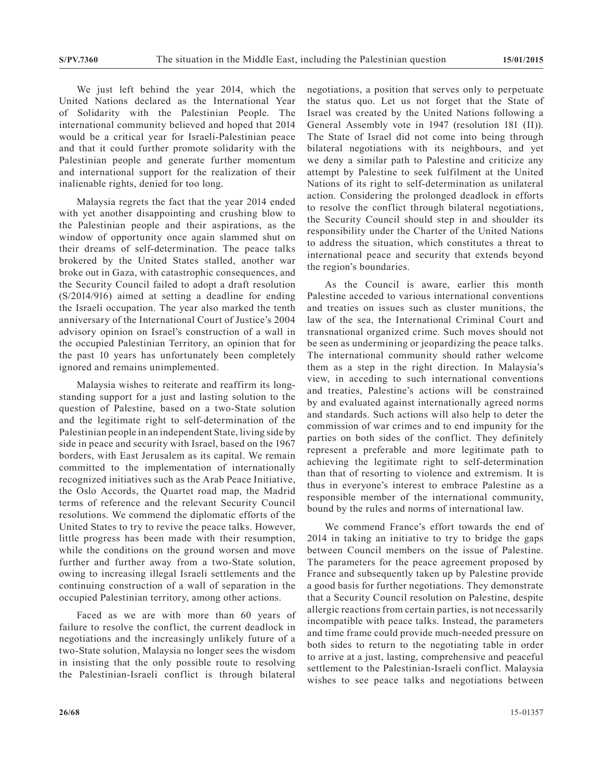We just left behind the year 2014, which the United Nations declared as the International Year of Solidarity with the Palestinian People. The international community believed and hoped that 2014 would be a critical year for Israeli-Palestinian peace and that it could further promote solidarity with the Palestinian people and generate further momentum and international support for the realization of their inalienable rights, denied for too long.

Malaysia regrets the fact that the year 2014 ended with yet another disappointing and crushing blow to the Palestinian people and their aspirations, as the window of opportunity once again slammed shut on their dreams of self-determination. The peace talks brokered by the United States stalled, another war broke out in Gaza, with catastrophic consequences, and the Security Council failed to adopt a draft resolution (S/2014/916) aimed at setting a deadline for ending the Israeli occupation. The year also marked the tenth anniversary of the International Court of Justice's 2004 advisory opinion on Israel's construction of a wall in the occupied Palestinian Territory, an opinion that for the past 10 years has unfortunately been completely ignored and remains unimplemented.

Malaysia wishes to reiterate and reaffirm its longstanding support for a just and lasting solution to the question of Palestine, based on a two-State solution and the legitimate right to self-determination of the Palestinian people in an independent State, living side by side in peace and security with Israel, based on the 1967 borders, with East Jerusalem as its capital. We remain committed to the implementation of internationally recognized initiatives such as the Arab Peace Initiative, the Oslo Accords, the Quartet road map, the Madrid terms of reference and the relevant Security Council resolutions. We commend the diplomatic efforts of the United States to try to revive the peace talks. However, little progress has been made with their resumption, while the conditions on the ground worsen and move further and further away from a two-State solution, owing to increasing illegal Israeli settlements and the continuing construction of a wall of separation in the occupied Palestinian territory, among other actions.

Faced as we are with more than 60 years of failure to resolve the conflict, the current deadlock in negotiations and the increasingly unlikely future of a two-State solution, Malaysia no longer sees the wisdom in insisting that the only possible route to resolving the Palestinian-Israeli conflict is through bilateral

negotiations, a position that serves only to perpetuate the status quo. Let us not forget that the State of Israel was created by the United Nations following a General Assembly vote in 1947 (resolution 181 (II)). The State of Israel did not come into being through bilateral negotiations with its neighbours, and yet we deny a similar path to Palestine and criticize any attempt by Palestine to seek fulfilment at the United Nations of its right to self-determination as unilateral action. Considering the prolonged deadlock in efforts to resolve the conflict through bilateral negotiations, the Security Council should step in and shoulder its responsibility under the Charter of the United Nations to address the situation, which constitutes a threat to international peace and security that extends beyond the region's boundaries.

As the Council is aware, earlier this month Palestine acceded to various international conventions and treaties on issues such as cluster munitions, the law of the sea, the International Criminal Court and transnational organized crime. Such moves should not be seen as undermining or jeopardizing the peace talks. The international community should rather welcome them as a step in the right direction. In Malaysia's view, in acceding to such international conventions and treaties, Palestine's actions will be constrained by and evaluated against internationally agreed norms and standards. Such actions will also help to deter the commission of war crimes and to end impunity for the parties on both sides of the conflict. They definitely represent a preferable and more legitimate path to achieving the legitimate right to self-determination than that of resorting to violence and extremism. It is thus in everyone's interest to embrace Palestine as a responsible member of the international community, bound by the rules and norms of international law.

We commend France's effort towards the end of 2014 in taking an initiative to try to bridge the gaps between Council members on the issue of Palestine. The parameters for the peace agreement proposed by France and subsequently taken up by Palestine provide a good basis for further negotiations. They demonstrate that a Security Council resolution on Palestine, despite allergic reactions from certain parties, is not necessarily incompatible with peace talks. Instead, the parameters and time frame could provide much-needed pressure on both sides to return to the negotiating table in order to arrive at a just, lasting, comprehensive and peaceful settlement to the Palestinian-Israeli conflict. Malaysia wishes to see peace talks and negotiations between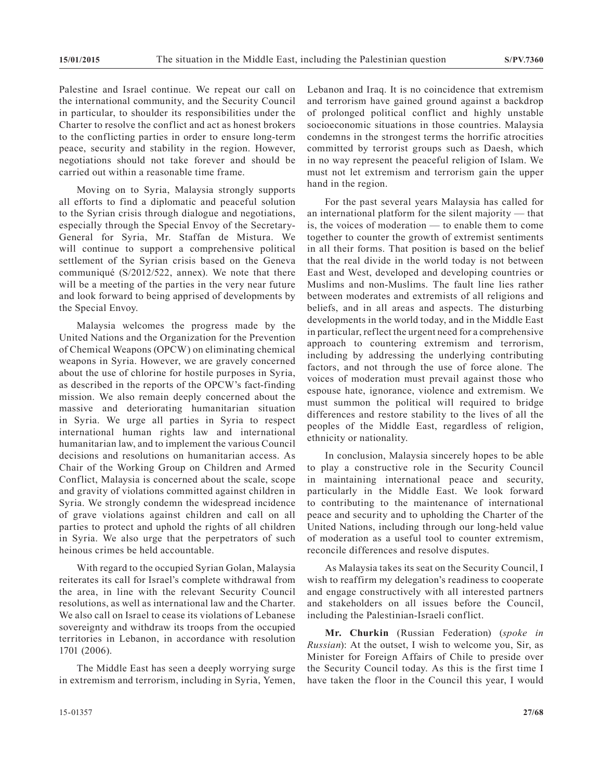Palestine and Israel continue. We repeat our call on the international community, and the Security Council in particular, to shoulder its responsibilities under the Charter to resolve the conflict and act as honest brokers to the conflicting parties in order to ensure long-term peace, security and stability in the region. However, negotiations should not take forever and should be carried out within a reasonable time frame.

Moving on to Syria, Malaysia strongly supports all efforts to find a diplomatic and peaceful solution to the Syrian crisis through dialogue and negotiations, especially through the Special Envoy of the Secretary-General for Syria, Mr. Staffan de Mistura. We will continue to support a comprehensive political settlement of the Syrian crisis based on the Geneva communiqué (S/2012/522, annex). We note that there will be a meeting of the parties in the very near future and look forward to being apprised of developments by the Special Envoy.

Malaysia welcomes the progress made by the United Nations and the Organization for the Prevention of Chemical Weapons (OPCW) on eliminating chemical weapons in Syria. However, we are gravely concerned about the use of chlorine for hostile purposes in Syria, as described in the reports of the OPCW's fact-finding mission. We also remain deeply concerned about the massive and deteriorating humanitarian situation in Syria. We urge all parties in Syria to respect international human rights law and international humanitarian law, and to implement the various Council decisions and resolutions on humanitarian access. As Chair of the Working Group on Children and Armed Conflict, Malaysia is concerned about the scale, scope and gravity of violations committed against children in Syria. We strongly condemn the widespread incidence of grave violations against children and call on all parties to protect and uphold the rights of all children in Syria. We also urge that the perpetrators of such heinous crimes be held accountable.

With regard to the occupied Syrian Golan, Malaysia reiterates its call for Israel's complete withdrawal from the area, in line with the relevant Security Council resolutions, as well as international law and the Charter. We also call on Israel to cease its violations of Lebanese sovereignty and withdraw its troops from the occupied territories in Lebanon, in accordance with resolution 1701 (2006).

The Middle East has seen a deeply worrying surge in extremism and terrorism, including in Syria, Yemen, Lebanon and Iraq. It is no coincidence that extremism and terrorism have gained ground against a backdrop of prolonged political conflict and highly unstable socioeconomic situations in those countries. Malaysia condemns in the strongest terms the horrific atrocities committed by terrorist groups such as Daesh, which in no way represent the peaceful religion of Islam. We must not let extremism and terrorism gain the upper hand in the region.

For the past several years Malaysia has called for an international platform for the silent majority — that is, the voices of moderation — to enable them to come together to counter the growth of extremist sentiments in all their forms. That position is based on the belief that the real divide in the world today is not between East and West, developed and developing countries or Muslims and non-Muslims. The fault line lies rather between moderates and extremists of all religions and beliefs, and in all areas and aspects. The disturbing developments in the world today, and in the Middle East in particular, reflect the urgent need for a comprehensive approach to countering extremism and terrorism, including by addressing the underlying contributing factors, and not through the use of force alone. The voices of moderation must prevail against those who espouse hate, ignorance, violence and extremism. We must summon the political will required to bridge differences and restore stability to the lives of all the peoples of the Middle East, regardless of religion, ethnicity or nationality.

In conclusion, Malaysia sincerely hopes to be able to play a constructive role in the Security Council in maintaining international peace and security, particularly in the Middle East. We look forward to contributing to the maintenance of international peace and security and to upholding the Charter of the United Nations, including through our long-held value of moderation as a useful tool to counter extremism, reconcile differences and resolve disputes.

As Malaysia takes its seat on the Security Council, I wish to reaffirm my delegation's readiness to cooperate and engage constructively with all interested partners and stakeholders on all issues before the Council, including the Palestinian-Israeli conflict.

**Mr. Churkin** (Russian Federation) (*spoke in Russian*): At the outset, I wish to welcome you, Sir, as Minister for Foreign Affairs of Chile to preside over the Security Council today. As this is the first time I have taken the floor in the Council this year, I would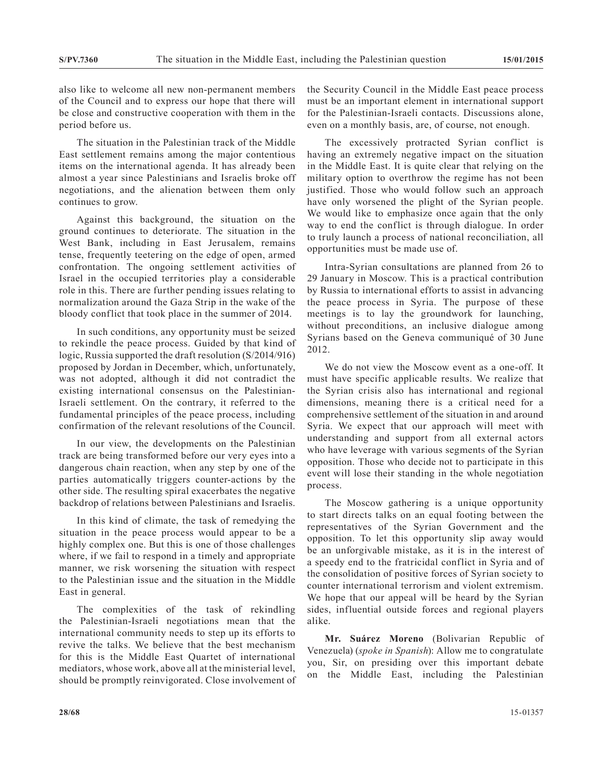also like to welcome all new non-permanent members of the Council and to express our hope that there will be close and constructive cooperation with them in the period before us.

The situation in the Palestinian track of the Middle East settlement remains among the major contentious items on the international agenda. It has already been almost a year since Palestinians and Israelis broke off negotiations, and the alienation between them only continues to grow.

Against this background, the situation on the ground continues to deteriorate. The situation in the West Bank, including in East Jerusalem, remains tense, frequently teetering on the edge of open, armed confrontation. The ongoing settlement activities of Israel in the occupied territories play a considerable role in this. There are further pending issues relating to normalization around the Gaza Strip in the wake of the bloody conflict that took place in the summer of 2014.

In such conditions, any opportunity must be seized to rekindle the peace process. Guided by that kind of logic, Russia supported the draft resolution (S/2014/916) proposed by Jordan in December, which, unfortunately, was not adopted, although it did not contradict the existing international consensus on the Palestinian-Israeli settlement. On the contrary, it referred to the fundamental principles of the peace process, including confirmation of the relevant resolutions of the Council.

In our view, the developments on the Palestinian track are being transformed before our very eyes into a dangerous chain reaction, when any step by one of the parties automatically triggers counter-actions by the other side. The resulting spiral exacerbates the negative backdrop of relations between Palestinians and Israelis.

In this kind of climate, the task of remedying the situation in the peace process would appear to be a highly complex one. But this is one of those challenges where, if we fail to respond in a timely and appropriate manner, we risk worsening the situation with respect to the Palestinian issue and the situation in the Middle East in general.

The complexities of the task of rekindling the Palestinian-Israeli negotiations mean that the international community needs to step up its efforts to revive the talks. We believe that the best mechanism for this is the Middle East Quartet of international mediators, whose work, above all at the ministerial level, should be promptly reinvigorated. Close involvement of the Security Council in the Middle East peace process must be an important element in international support for the Palestinian-Israeli contacts. Discussions alone, even on a monthly basis, are, of course, not enough.

The excessively protracted Syrian conflict is having an extremely negative impact on the situation in the Middle East. It is quite clear that relying on the military option to overthrow the regime has not been justified. Those who would follow such an approach have only worsened the plight of the Syrian people. We would like to emphasize once again that the only way to end the conflict is through dialogue. In order to truly launch a process of national reconciliation, all opportunities must be made use of.

Intra-Syrian consultations are planned from 26 to 29 January in Moscow. This is a practical contribution by Russia to international efforts to assist in advancing the peace process in Syria. The purpose of these meetings is to lay the groundwork for launching, without preconditions, an inclusive dialogue among Syrians based on the Geneva communiqué of 30 June 2012.

We do not view the Moscow event as a one-off. It must have specific applicable results. We realize that the Syrian crisis also has international and regional dimensions, meaning there is a critical need for a comprehensive settlement of the situation in and around Syria. We expect that our approach will meet with understanding and support from all external actors who have leverage with various segments of the Syrian opposition. Those who decide not to participate in this event will lose their standing in the whole negotiation process.

The Moscow gathering is a unique opportunity to start directs talks on an equal footing between the representatives of the Syrian Government and the opposition. To let this opportunity slip away would be an unforgivable mistake, as it is in the interest of a speedy end to the fratricidal conflict in Syria and of the consolidation of positive forces of Syrian society to counter international terrorism and violent extremism. We hope that our appeal will be heard by the Syrian sides, influential outside forces and regional players alike.

**Mr. Suárez Moreno** (Bolivarian Republic of Venezuela) (*spoke in Spanish*): Allow me to congratulate you, Sir, on presiding over this important debate on the Middle East, including the Palestinian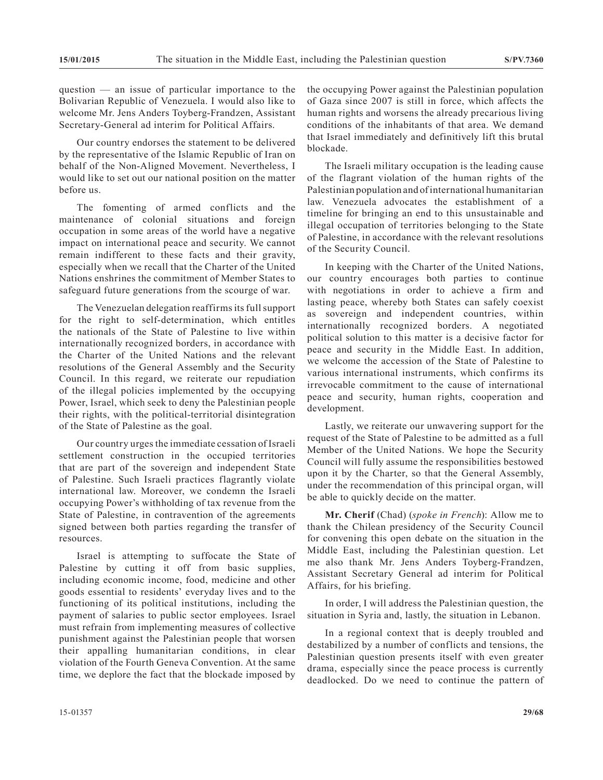question — an issue of particular importance to the Bolivarian Republic of Venezuela. I would also like to welcome Mr. Jens Anders Toyberg-Frandzen, Assistant Secretary-General ad interim for Political Affairs.

Our country endorses the statement to be delivered by the representative of the Islamic Republic of Iran on behalf of the Non-Aligned Movement. Nevertheless, I would like to set out our national position on the matter before us.

The fomenting of armed conflicts and the maintenance of colonial situations and foreign occupation in some areas of the world have a negative impact on international peace and security. We cannot remain indifferent to these facts and their gravity, especially when we recall that the Charter of the United Nations enshrines the commitment of Member States to safeguard future generations from the scourge of war.

The Venezuelan delegation reaffirms its full support for the right to self-determination, which entitles the nationals of the State of Palestine to live within internationally recognized borders, in accordance with the Charter of the United Nations and the relevant resolutions of the General Assembly and the Security Council. In this regard, we reiterate our repudiation of the illegal policies implemented by the occupying Power, Israel, which seek to deny the Palestinian people their rights, with the political-territorial disintegration of the State of Palestine as the goal.

Our country urges the immediate cessation of Israeli settlement construction in the occupied territories that are part of the sovereign and independent State of Palestine. Such Israeli practices flagrantly violate international law. Moreover, we condemn the Israeli occupying Power's withholding of tax revenue from the State of Palestine, in contravention of the agreements signed between both parties regarding the transfer of resources.

Israel is attempting to suffocate the State of Palestine by cutting it off from basic supplies, including economic income, food, medicine and other goods essential to residents' everyday lives and to the functioning of its political institutions, including the payment of salaries to public sector employees. Israel must refrain from implementing measures of collective punishment against the Palestinian people that worsen their appalling humanitarian conditions, in clear violation of the Fourth Geneva Convention. At the same time, we deplore the fact that the blockade imposed by

the occupying Power against the Palestinian population of Gaza since 2007 is still in force, which affects the human rights and worsens the already precarious living conditions of the inhabitants of that area. We demand that Israel immediately and definitively lift this brutal blockade.

The Israeli military occupation is the leading cause of the flagrant violation of the human rights of the Palestinian population and of international humanitarian law. Venezuela advocates the establishment of a timeline for bringing an end to this unsustainable and illegal occupation of territories belonging to the State of Palestine, in accordance with the relevant resolutions of the Security Council.

In keeping with the Charter of the United Nations, our country encourages both parties to continue with negotiations in order to achieve a firm and lasting peace, whereby both States can safely coexist as sovereign and independent countries, within internationally recognized borders. A negotiated political solution to this matter is a decisive factor for peace and security in the Middle East. In addition, we welcome the accession of the State of Palestine to various international instruments, which confirms its irrevocable commitment to the cause of international peace and security, human rights, cooperation and development.

Lastly, we reiterate our unwavering support for the request of the State of Palestine to be admitted as a full Member of the United Nations. We hope the Security Council will fully assume the responsibilities bestowed upon it by the Charter, so that the General Assembly, under the recommendation of this principal organ, will be able to quickly decide on the matter.

**Mr. Cherif** (Chad) (*spoke in French*): Allow me to thank the Chilean presidency of the Security Council for convening this open debate on the situation in the Middle East, including the Palestinian question. Let me also thank Mr. Jens Anders Toyberg-Frandzen, Assistant Secretary General ad interim for Political Affairs, for his briefing.

In order, I will address the Palestinian question, the situation in Syria and, lastly, the situation in Lebanon.

In a regional context that is deeply troubled and destabilized by a number of conflicts and tensions, the Palestinian question presents itself with even greater drama, especially since the peace process is currently deadlocked. Do we need to continue the pattern of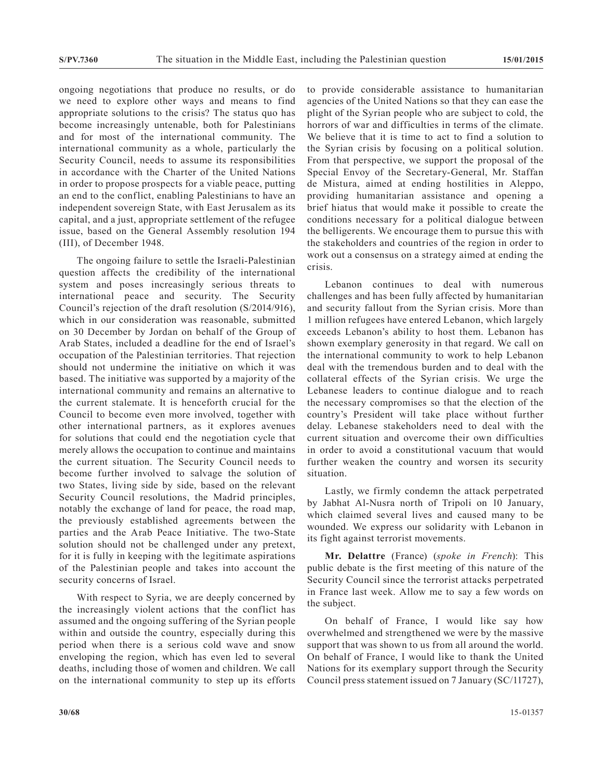ongoing negotiations that produce no results, or do we need to explore other ways and means to find appropriate solutions to the crisis? The status quo has become increasingly untenable, both for Palestinians and for most of the international community. The international community as a whole, particularly the Security Council, needs to assume its responsibilities in accordance with the Charter of the United Nations in order to propose prospects for a viable peace, putting an end to the conflict, enabling Palestinians to have an independent sovereign State, with East Jerusalem as its capital, and a just, appropriate settlement of the refugee issue, based on the General Assembly resolution 194 (III), of December 1948.

The ongoing failure to settle the Israeli-Palestinian question affects the credibility of the international system and poses increasingly serious threats to international peace and security. The Security Council's rejection of the draft resolution (S/2014/916), which in our consideration was reasonable, submitted on 30 December by Jordan on behalf of the Group of Arab States, included a deadline for the end of Israel's occupation of the Palestinian territories. That rejection should not undermine the initiative on which it was based. The initiative was supported by a majority of the international community and remains an alternative to the current stalemate. It is henceforth crucial for the Council to become even more involved, together with other international partners, as it explores avenues for solutions that could end the negotiation cycle that merely allows the occupation to continue and maintains the current situation. The Security Council needs to become further involved to salvage the solution of two States, living side by side, based on the relevant Security Council resolutions, the Madrid principles, notably the exchange of land for peace, the road map, the previously established agreements between the parties and the Arab Peace Initiative. The two-State solution should not be challenged under any pretext, for it is fully in keeping with the legitimate aspirations of the Palestinian people and takes into account the security concerns of Israel.

With respect to Syria, we are deeply concerned by the increasingly violent actions that the conflict has assumed and the ongoing suffering of the Syrian people within and outside the country, especially during this period when there is a serious cold wave and snow enveloping the region, which has even led to several deaths, including those of women and children. We call on the international community to step up its efforts to provide considerable assistance to humanitarian agencies of the United Nations so that they can ease the plight of the Syrian people who are subject to cold, the horrors of war and difficulties in terms of the climate. We believe that it is time to act to find a solution to the Syrian crisis by focusing on a political solution. From that perspective, we support the proposal of the Special Envoy of the Secretary-General, Mr. Staffan de Mistura, aimed at ending hostilities in Aleppo, providing humanitarian assistance and opening a brief hiatus that would make it possible to create the conditions necessary for a political dialogue between the belligerents. We encourage them to pursue this with the stakeholders and countries of the region in order to work out a consensus on a strategy aimed at ending the crisis.

Lebanon continues to deal with numerous challenges and has been fully affected by humanitarian and security fallout from the Syrian crisis. More than 1 million refugees have entered Lebanon, which largely exceeds Lebanon's ability to host them. Lebanon has shown exemplary generosity in that regard. We call on the international community to work to help Lebanon deal with the tremendous burden and to deal with the collateral effects of the Syrian crisis. We urge the Lebanese leaders to continue dialogue and to reach the necessary compromises so that the election of the country's President will take place without further delay. Lebanese stakeholders need to deal with the current situation and overcome their own difficulties in order to avoid a constitutional vacuum that would further weaken the country and worsen its security situation.

Lastly, we firmly condemn the attack perpetrated by Jabhat Al-Nusra north of Tripoli on 10 January, which claimed several lives and caused many to be wounded. We express our solidarity with Lebanon in its fight against terrorist movements.

**Mr. Delattre** (France) (*spoke in French*): This public debate is the first meeting of this nature of the Security Council since the terrorist attacks perpetrated in France last week. Allow me to say a few words on the subject.

On behalf of France, I would like say how overwhelmed and strengthened we were by the massive support that was shown to us from all around the world. On behalf of France, I would like to thank the United Nations for its exemplary support through the Security Council press statement issued on 7 January (SC/11727),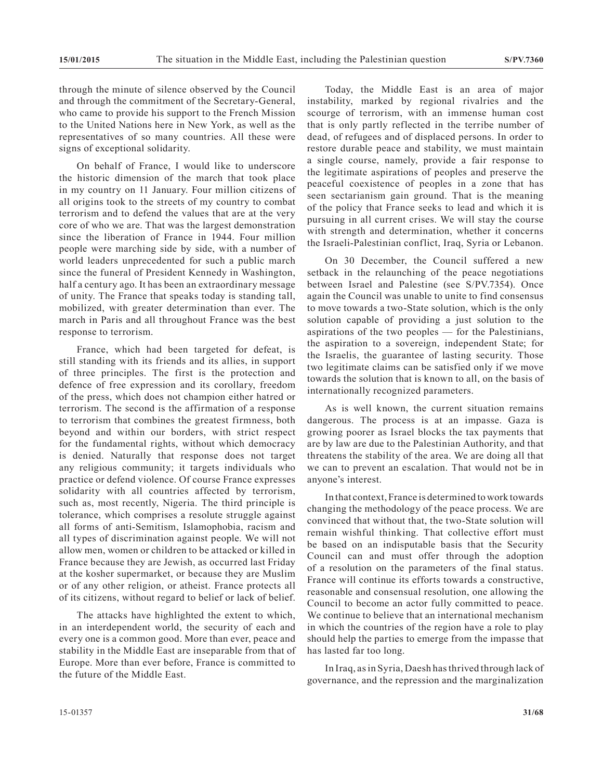through the minute of silence observed by the Council and through the commitment of the Secretary-General, who came to provide his support to the French Mission to the United Nations here in New York, as well as the representatives of so many countries. All these were signs of exceptional solidarity.

On behalf of France, I would like to underscore the historic dimension of the march that took place in my country on 11 January. Four million citizens of all origins took to the streets of my country to combat terrorism and to defend the values that are at the very core of who we are. That was the largest demonstration since the liberation of France in 1944. Four million people were marching side by side, with a number of world leaders unprecedented for such a public march since the funeral of President Kennedy in Washington, half a century ago. It has been an extraordinary message of unity. The France that speaks today is standing tall, mobilized, with greater determination than ever. The march in Paris and all throughout France was the best response to terrorism.

France, which had been targeted for defeat, is still standing with its friends and its allies, in support of three principles. The first is the protection and defence of free expression and its corollary, freedom of the press, which does not champion either hatred or terrorism. The second is the affirmation of a response to terrorism that combines the greatest firmness, both beyond and within our borders, with strict respect for the fundamental rights, without which democracy is denied. Naturally that response does not target any religious community; it targets individuals who practice or defend violence. Of course France expresses solidarity with all countries affected by terrorism, such as, most recently, Nigeria. The third principle is tolerance, which comprises a resolute struggle against all forms of anti-Semitism, Islamophobia, racism and all types of discrimination against people. We will not allow men, women or children to be attacked or killed in France because they are Jewish, as occurred last Friday at the kosher supermarket, or because they are Muslim or of any other religion, or atheist. France protects all of its citizens, without regard to belief or lack of belief.

The attacks have highlighted the extent to which, in an interdependent world, the security of each and every one is a common good. More than ever, peace and stability in the Middle East are inseparable from that of Europe. More than ever before, France is committed to the future of the Middle East.

Today, the Middle East is an area of major instability, marked by regional rivalries and the scourge of terrorism, with an immense human cost that is only partly reflected in the terribe number of dead, of refugees and of displaced persons. In order to restore durable peace and stability, we must maintain a single course, namely, provide a fair response to the legitimate aspirations of peoples and preserve the peaceful coexistence of peoples in a zone that has seen sectarianism gain ground. That is the meaning of the policy that France seeks to lead and which it is pursuing in all current crises. We will stay the course with strength and determination, whether it concerns the Israeli-Palestinian conflict, Iraq, Syria or Lebanon.

On 30 December, the Council suffered a new setback in the relaunching of the peace negotiations between Israel and Palestine (see S/PV.7354). Once again the Council was unable to unite to find consensus to move towards a two-State solution, which is the only solution capable of providing a just solution to the aspirations of the two peoples — for the Palestinians, the aspiration to a sovereign, independent State; for the Israelis, the guarantee of lasting security. Those two legitimate claims can be satisfied only if we move towards the solution that is known to all, on the basis of internationally recognized parameters.

As is well known, the current situation remains dangerous. The process is at an impasse. Gaza is growing poorer as Israel blocks the tax payments that are by law are due to the Palestinian Authority, and that threatens the stability of the area. We are doing all that we can to prevent an escalation. That would not be in anyone's interest.

In that context, France is determined to work towards changing the methodology of the peace process. We are convinced that without that, the two-State solution will remain wishful thinking. That collective effort must be based on an indisputable basis that the Security Council can and must offer through the adoption of a resolution on the parameters of the final status. France will continue its efforts towards a constructive, reasonable and consensual resolution, one allowing the Council to become an actor fully committed to peace. We continue to believe that an international mechanism in which the countries of the region have a role to play should help the parties to emerge from the impasse that has lasted far too long.

In Iraq, as in Syria, Daesh has thrived through lack of governance, and the repression and the marginalization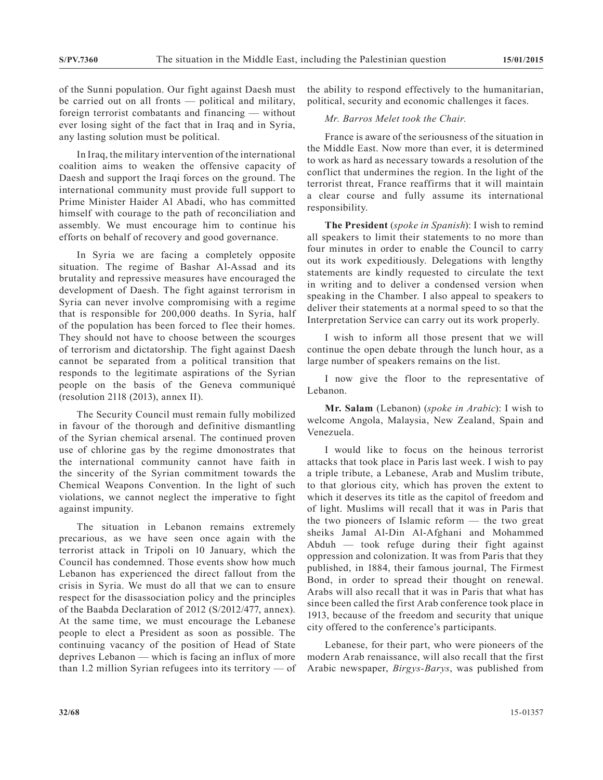of the Sunni population. Our fight against Daesh must be carried out on all fronts — political and military, foreign terrorist combatants and financing — without ever losing sight of the fact that in Iraq and in Syria, any lasting solution must be political.

In Iraq, the military intervention of the international coalition aims to weaken the offensive capacity of Daesh and support the Iraqi forces on the ground. The international community must provide full support to Prime Minister Haider Al Abadi, who has committed himself with courage to the path of reconciliation and assembly. We must encourage him to continue his efforts on behalf of recovery and good governance.

In Syria we are facing a completely opposite situation. The regime of Bashar Al-Assad and its brutality and repressive measures have encouraged the development of Daesh. The fight against terrorism in Syria can never involve compromising with a regime that is responsible for 200,000 deaths. In Syria, half of the population has been forced to flee their homes. They should not have to choose between the scourges of terrorism and dictatorship. The fight against Daesh cannot be separated from a political transition that responds to the legitimate aspirations of the Syrian people on the basis of the Geneva communiqué (resolution 2118 (2013), annex II).

The Security Council must remain fully mobilized in favour of the thorough and definitive dismantling of the Syrian chemical arsenal. The continued proven use of chlorine gas by the regime dmonostrates that the international community cannot have faith in the sincerity of the Syrian commitment towards the Chemical Weapons Convention. In the light of such violations, we cannot neglect the imperative to fight against impunity.

The situation in Lebanon remains extremely precarious, as we have seen once again with the terrorist attack in Tripoli on 10 January, which the Council has condemned. Those events show how much Lebanon has experienced the direct fallout from the crisis in Syria. We must do all that we can to ensure respect for the disassociation policy and the principles of the Baabda Declaration of 2012 (S/2012/477, annex). At the same time, we must encourage the Lebanese people to elect a President as soon as possible. The continuing vacancy of the position of Head of State deprives Lebanon — which is facing an influx of more than 1.2 million Syrian refugees into its territory — of the ability to respond effectively to the humanitarian, political, security and economic challenges it faces.

### *Mr. Barros Melet took the Chair.*

France is aware of the seriousness of the situation in the Middle East. Now more than ever, it is determined to work as hard as necessary towards a resolution of the conflict that undermines the region. In the light of the terrorist threat, France reaffirms that it will maintain a clear course and fully assume its international responsibility.

**The President** (*spoke in Spanish*): I wish to remind all speakers to limit their statements to no more than four minutes in order to enable the Council to carry out its work expeditiously. Delegations with lengthy statements are kindly requested to circulate the text in writing and to deliver a condensed version when speaking in the Chamber. I also appeal to speakers to deliver their statements at a normal speed to so that the Interpretation Service can carry out its work properly.

I wish to inform all those present that we will continue the open debate through the lunch hour, as a large number of speakers remains on the list.

I now give the floor to the representative of Lebanon.

**Mr. Salam** (Lebanon) (*spoke in Arabic*): I wish to welcome Angola, Malaysia, New Zealand, Spain and Venezuela.

I would like to focus on the heinous terrorist attacks that took place in Paris last week. I wish to pay a triple tribute, a Lebanese, Arab and Muslim tribute, to that glorious city, which has proven the extent to which it deserves its title as the capitol of freedom and of light. Muslims will recall that it was in Paris that the two pioneers of Islamic reform — the two great sheiks Jamal Al-Din Al-Afghani and Mohammed Abduh — took refuge during their fight against oppression and colonization. It was from Paris that they published, in 1884, their famous journal, The Firmest Bond, in order to spread their thought on renewal. Arabs will also recall that it was in Paris that what has since been called the first Arab conference took place in 1913, because of the freedom and security that unique city offered to the conference's participants.

Lebanese, for their part, who were pioneers of the modern Arab renaissance, will also recall that the first Arabic newspaper, *Birgys-Barys*, was published from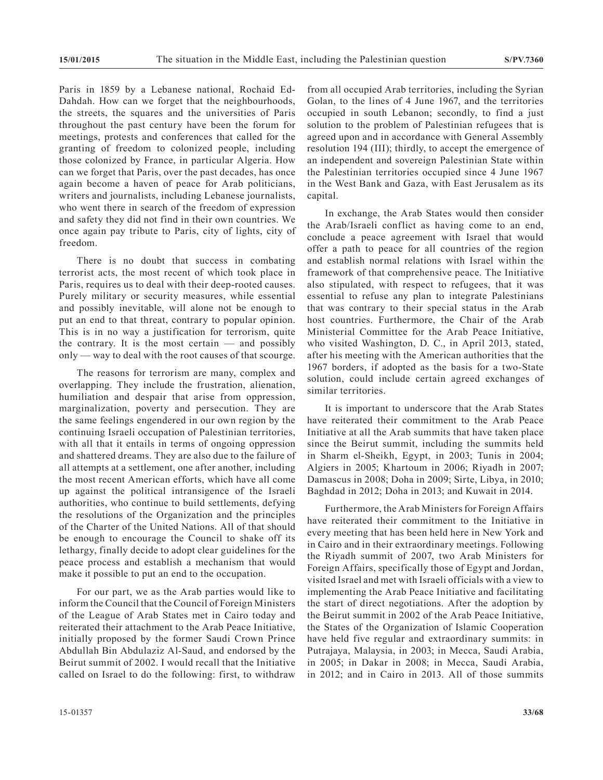Paris in 1859 by a Lebanese national, Rochaid Ed-Dahdah. How can we forget that the neighbourhoods, the streets, the squares and the universities of Paris throughout the past century have been the forum for meetings, protests and conferences that called for the granting of freedom to colonized people, including those colonized by France, in particular Algeria. How can we forget that Paris, over the past decades, has once again become a haven of peace for Arab politicians, writers and journalists, including Lebanese journalists, who went there in search of the freedom of expression and safety they did not find in their own countries. We once again pay tribute to Paris, city of lights, city of freedom.

There is no doubt that success in combating terrorist acts, the most recent of which took place in Paris, requires us to deal with their deep-rooted causes. Purely military or security measures, while essential and possibly inevitable, will alone not be enough to put an end to that threat, contrary to popular opinion. This is in no way a justification for terrorism, quite the contrary. It is the most certain — and possibly only — way to deal with the root causes of that scourge.

The reasons for terrorism are many, complex and overlapping. They include the frustration, alienation, humiliation and despair that arise from oppression, marginalization, poverty and persecution. They are the same feelings engendered in our own region by the continuing Israeli occupation of Palestinian territories, with all that it entails in terms of ongoing oppression and shattered dreams. They are also due to the failure of all attempts at a settlement, one after another, including the most recent American efforts, which have all come up against the political intransigence of the Israeli authorities, who continue to build settlements, defying the resolutions of the Organization and the principles of the Charter of the United Nations. All of that should be enough to encourage the Council to shake off its lethargy, finally decide to adopt clear guidelines for the peace process and establish a mechanism that would make it possible to put an end to the occupation.

For our part, we as the Arab parties would like to inform the Council that the Council of Foreign Ministers of the League of Arab States met in Cairo today and reiterated their attachment to the Arab Peace Initiative, initially proposed by the former Saudi Crown Prince Abdullah Bin Abdulaziz Al-Saud, and endorsed by the Beirut summit of 2002. I would recall that the Initiative called on Israel to do the following: first, to withdraw

from all occupied Arab territories, including the Syrian Golan, to the lines of 4 June 1967, and the territories occupied in south Lebanon; secondly, to find a just solution to the problem of Palestinian refugees that is agreed upon and in accordance with General Assembly resolution 194 (III); thirdly, to accept the emergence of an independent and sovereign Palestinian State within the Palestinian territories occupied since 4 June 1967 in the West Bank and Gaza, with East Jerusalem as its capital.

In exchange, the Arab States would then consider the Arab/Israeli conflict as having come to an end, conclude a peace agreement with Israel that would offer a path to peace for all countries of the region and establish normal relations with Israel within the framework of that comprehensive peace. The Initiative also stipulated, with respect to refugees, that it was essential to refuse any plan to integrate Palestinians that was contrary to their special status in the Arab host countries. Furthermore, the Chair of the Arab Ministerial Committee for the Arab Peace Initiative, who visited Washington, D. C., in April 2013, stated, after his meeting with the American authorities that the 1967 borders, if adopted as the basis for a two-State solution, could include certain agreed exchanges of similar territories.

It is important to underscore that the Arab States have reiterated their commitment to the Arab Peace Initiative at all the Arab summits that have taken place since the Beirut summit, including the summits held in Sharm el-Sheikh, Egypt, in 2003; Tunis in 2004; Algiers in 2005; Khartoum in 2006; Riyadh in 2007; Damascus in 2008; Doha in 2009; Sirte, Libya, in 2010; Baghdad in 2012; Doha in 2013; and Kuwait in 2014.

Furthermore, the Arab Ministers for Foreign Affairs have reiterated their commitment to the Initiative in every meeting that has been held here in New York and in Cairo and in their extraordinary meetings. Following the Riyadh summit of 2007, two Arab Ministers for Foreign Affairs, specifically those of Egypt and Jordan, visited Israel and met with Israeli officials with a view to implementing the Arab Peace Initiative and facilitating the start of direct negotiations. After the adoption by the Beirut summit in 2002 of the Arab Peace Initiative, the States of the Organization of Islamic Cooperation have held five regular and extraordinary summits: in Putrajaya, Malaysia, in 2003; in Mecca, Saudi Arabia, in 2005; in Dakar in 2008; in Mecca, Saudi Arabia, in 2012; and in Cairo in 2013. All of those summits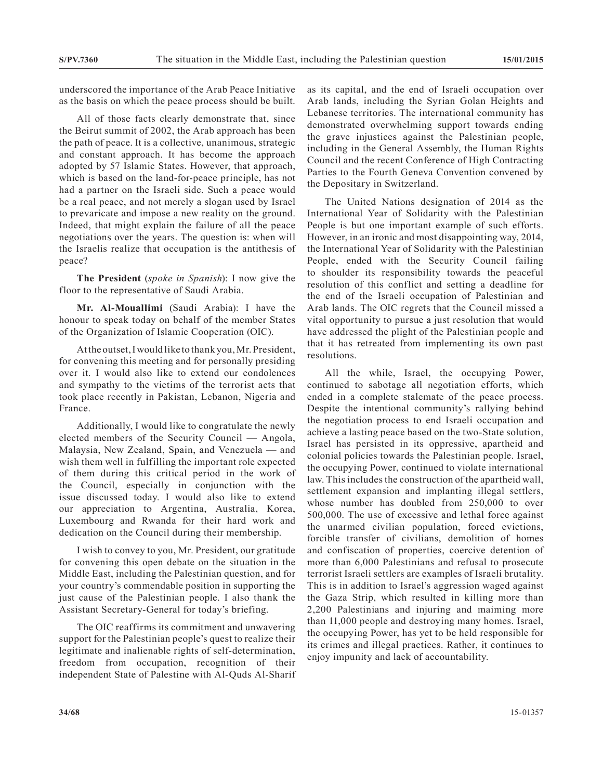underscored the importance of the Arab Peace Initiative as the basis on which the peace process should be built.

All of those facts clearly demonstrate that, since the Beirut summit of 2002, the Arab approach has been the path of peace. It is a collective, unanimous, strategic and constant approach. It has become the approach adopted by 57 Islamic States. However, that approach, which is based on the land-for-peace principle, has not had a partner on the Israeli side. Such a peace would be a real peace, and not merely a slogan used by Israel to prevaricate and impose a new reality on the ground. Indeed, that might explain the failure of all the peace negotiations over the years. The question is: when will the Israelis realize that occupation is the antithesis of peace?

**The President** (*spoke in Spanish*): I now give the floor to the representative of Saudi Arabia.

**Mr. Al-Mouallimi** (Saudi Arabia): I have the honour to speak today on behalf of the member States of the Organization of Islamic Cooperation (OIC).

At the outset, I would like to thank you, Mr. President, for convening this meeting and for personally presiding over it. I would also like to extend our condolences and sympathy to the victims of the terrorist acts that took place recently in Pakistan, Lebanon, Nigeria and France.

Additionally, I would like to congratulate the newly elected members of the Security Council — Angola, Malaysia, New Zealand, Spain, and Venezuela — and wish them well in fulfilling the important role expected of them during this critical period in the work of the Council, especially in conjunction with the issue discussed today. I would also like to extend our appreciation to Argentina, Australia, Korea, Luxembourg and Rwanda for their hard work and dedication on the Council during their membership.

I wish to convey to you, Mr. President, our gratitude for convening this open debate on the situation in the Middle East, including the Palestinian question, and for your country's commendable position in supporting the just cause of the Palestinian people. I also thank the Assistant Secretary-General for today's briefing.

The OIC reaffirms its commitment and unwavering support for the Palestinian people's quest to realize their legitimate and inalienable rights of self-determination, freedom from occupation, recognition of their independent State of Palestine with Al-Quds Al-Sharif as its capital, and the end of Israeli occupation over Arab lands, including the Syrian Golan Heights and Lebanese territories. The international community has demonstrated overwhelming support towards ending the grave injustices against the Palestinian people, including in the General Assembly, the Human Rights Council and the recent Conference of High Contracting Parties to the Fourth Geneva Convention convened by the Depositary in Switzerland.

The United Nations designation of 2014 as the International Year of Solidarity with the Palestinian People is but one important example of such efforts. However, in an ironic and most disappointing way, 2014, the International Year of Solidarity with the Palestinian People, ended with the Security Council failing to shoulder its responsibility towards the peaceful resolution of this conflict and setting a deadline for the end of the Israeli occupation of Palestinian and Arab lands. The OIC regrets that the Council missed a vital opportunity to pursue a just resolution that would have addressed the plight of the Palestinian people and that it has retreated from implementing its own past resolutions.

All the while, Israel, the occupying Power, continued to sabotage all negotiation efforts, which ended in a complete stalemate of the peace process. Despite the intentional community's rallying behind the negotiation process to end Israeli occupation and achieve a lasting peace based on the two-State solution, Israel has persisted in its oppressive, apartheid and colonial policies towards the Palestinian people. Israel, the occupying Power, continued to violate international law. This includes the construction of the apartheid wall, settlement expansion and implanting illegal settlers, whose number has doubled from 250,000 to over 500,000. The use of excessive and lethal force against the unarmed civilian population, forced evictions, forcible transfer of civilians, demolition of homes and confiscation of properties, coercive detention of more than 6,000 Palestinians and refusal to prosecute terrorist Israeli settlers are examples of Israeli brutality. This is in addition to Israel's aggression waged against the Gaza Strip, which resulted in killing more than 2,200 Palestinians and injuring and maiming more than 11,000 people and destroying many homes. Israel, the occupying Power, has yet to be held responsible for its crimes and illegal practices. Rather, it continues to enjoy impunity and lack of accountability.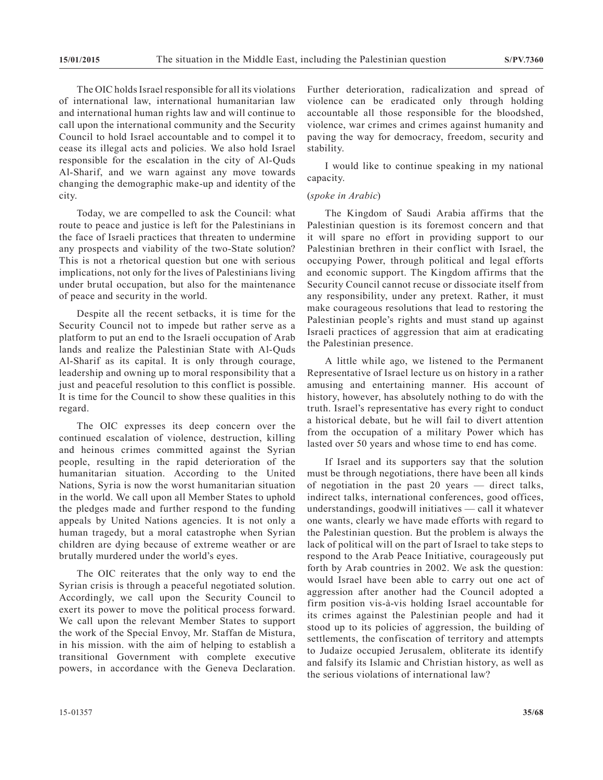The OIC holds Israel responsible for all its violations of international law, international humanitarian law and international human rights law and will continue to call upon the international community and the Security Council to hold Israel accountable and to compel it to cease its illegal acts and policies. We also hold Israel responsible for the escalation in the city of Al-Quds Al-Sharif, and we warn against any move towards changing the demographic make-up and identity of the city.

Today, we are compelled to ask the Council: what route to peace and justice is left for the Palestinians in the face of Israeli practices that threaten to undermine any prospects and viability of the two-State solution? This is not a rhetorical question but one with serious implications, not only for the lives of Palestinians living under brutal occupation, but also for the maintenance of peace and security in the world.

Despite all the recent setbacks, it is time for the Security Council not to impede but rather serve as a platform to put an end to the Israeli occupation of Arab lands and realize the Palestinian State with Al-Quds Al-Sharif as its capital. It is only through courage, leadership and owning up to moral responsibility that a just and peaceful resolution to this conflict is possible. It is time for the Council to show these qualities in this regard.

The OIC expresses its deep concern over the continued escalation of violence, destruction, killing and heinous crimes committed against the Syrian people, resulting in the rapid deterioration of the humanitarian situation. According to the United Nations, Syria is now the worst humanitarian situation in the world. We call upon all Member States to uphold the pledges made and further respond to the funding appeals by United Nations agencies. It is not only a human tragedy, but a moral catastrophe when Syrian children are dying because of extreme weather or are brutally murdered under the world's eyes.

The OIC reiterates that the only way to end the Syrian crisis is through a peaceful negotiated solution. Accordingly, we call upon the Security Council to exert its power to move the political process forward. We call upon the relevant Member States to support the work of the Special Envoy, Mr. Staffan de Mistura, in his mission. with the aim of helping to establish a transitional Government with complete executive powers, in accordance with the Geneva Declaration.

Further deterioration, radicalization and spread of violence can be eradicated only through holding accountable all those responsible for the bloodshed, violence, war crimes and crimes against humanity and paving the way for democracy, freedom, security and stability.

I would like to continue speaking in my national capacity.

## (*spoke in Arabic*)

The Kingdom of Saudi Arabia affirms that the Palestinian question is its foremost concern and that it will spare no effort in providing support to our Palestinian brethren in their conflict with Israel, the occupying Power, through political and legal efforts and economic support. The Kingdom affirms that the Security Council cannot recuse or dissociate itself from any responsibility, under any pretext. Rather, it must make courageous resolutions that lead to restoring the Palestinian people's rights and must stand up against Israeli practices of aggression that aim at eradicating the Palestinian presence.

A little while ago, we listened to the Permanent Representative of Israel lecture us on history in a rather amusing and entertaining manner. His account of history, however, has absolutely nothing to do with the truth. Israel's representative has every right to conduct a historical debate, but he will fail to divert attention from the occupation of a military Power which has lasted over 50 years and whose time to end has come.

If Israel and its supporters say that the solution must be through negotiations, there have been all kinds of negotiation in the past 20 years — direct talks, indirect talks, international conferences, good offices, understandings, goodwill initiatives — call it whatever one wants, clearly we have made efforts with regard to the Palestinian question. But the problem is always the lack of political will on the part of Israel to take steps to respond to the Arab Peace Initiative, courageously put forth by Arab countries in 2002. We ask the question: would Israel have been able to carry out one act of aggression after another had the Council adopted a firm position vis-à-vis holding Israel accountable for its crimes against the Palestinian people and had it stood up to its policies of aggression, the building of settlements, the confiscation of territory and attempts to Judaize occupied Jerusalem, obliterate its identify and falsify its Islamic and Christian history, as well as the serious violations of international law?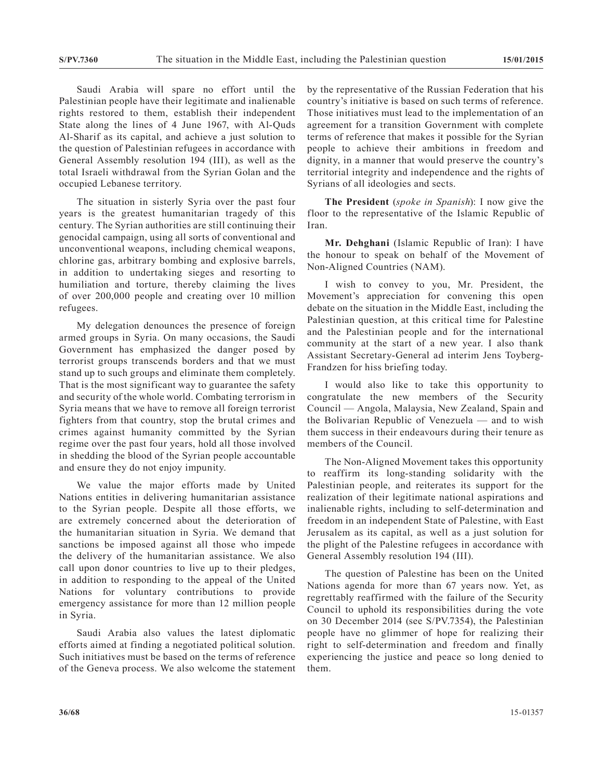Saudi Arabia will spare no effort until the Palestinian people have their legitimate and inalienable rights restored to them, establish their independent State along the lines of 4 June 1967, with Al-Quds Al-Sharif as its capital, and achieve a just solution to the question of Palestinian refugees in accordance with General Assembly resolution 194 (III), as well as the total Israeli withdrawal from the Syrian Golan and the occupied Lebanese territory.

The situation in sisterly Syria over the past four years is the greatest humanitarian tragedy of this century. The Syrian authorities are still continuing their genocidal campaign, using all sorts of conventional and unconventional weapons, including chemical weapons, chlorine gas, arbitrary bombing and explosive barrels, in addition to undertaking sieges and resorting to humiliation and torture, thereby claiming the lives of over 200,000 people and creating over 10 million refugees.

My delegation denounces the presence of foreign armed groups in Syria. On many occasions, the Saudi Government has emphasized the danger posed by terrorist groups transcends borders and that we must stand up to such groups and eliminate them completely. That is the most significant way to guarantee the safety and security of the whole world. Combating terrorism in Syria means that we have to remove all foreign terrorist fighters from that country, stop the brutal crimes and crimes against humanity committed by the Syrian regime over the past four years, hold all those involved in shedding the blood of the Syrian people accountable and ensure they do not enjoy impunity.

We value the major efforts made by United Nations entities in delivering humanitarian assistance to the Syrian people. Despite all those efforts, we are extremely concerned about the deterioration of the humanitarian situation in Syria. We demand that sanctions be imposed against all those who impede the delivery of the humanitarian assistance. We also call upon donor countries to live up to their pledges, in addition to responding to the appeal of the United Nations for voluntary contributions to provide emergency assistance for more than 12 million people in Syria.

Saudi Arabia also values the latest diplomatic efforts aimed at finding a negotiated political solution. Such initiatives must be based on the terms of reference of the Geneva process. We also welcome the statement by the representative of the Russian Federation that his country's initiative is based on such terms of reference. Those initiatives must lead to the implementation of an agreement for a transition Government with complete terms of reference that makes it possible for the Syrian people to achieve their ambitions in freedom and dignity, in a manner that would preserve the country's territorial integrity and independence and the rights of Syrians of all ideologies and sects.

**The President** (*spoke in Spanish*): I now give the floor to the representative of the Islamic Republic of Iran.

**Mr. Dehghani** (Islamic Republic of Iran): I have the honour to speak on behalf of the Movement of Non-Aligned Countries (NAM).

I wish to convey to you, Mr. President, the Movement's appreciation for convening this open debate on the situation in the Middle East, including the Palestinian question, at this critical time for Palestine and the Palestinian people and for the international community at the start of a new year. I also thank Assistant Secretary-General ad interim Jens Toyberg-Frandzen for hiss briefing today.

I would also like to take this opportunity to congratulate the new members of the Security Council — Angola, Malaysia, New Zealand, Spain and the Bolivarian Republic of Venezuela — and to wish them success in their endeavours during their tenure as members of the Council.

The Non-Aligned Movement takes this opportunity to reaffirm its long-standing solidarity with the Palestinian people, and reiterates its support for the realization of their legitimate national aspirations and inalienable rights, including to self-determination and freedom in an independent State of Palestine, with East Jerusalem as its capital, as well as a just solution for the plight of the Palestine refugees in accordance with General Assembly resolution 194 (III).

The question of Palestine has been on the United Nations agenda for more than 67 years now. Yet, as regrettably reaffirmed with the failure of the Security Council to uphold its responsibilities during the vote on 30 December 2014 (see S/PV.7354), the Palestinian people have no glimmer of hope for realizing their right to self-determination and freedom and finally experiencing the justice and peace so long denied to them.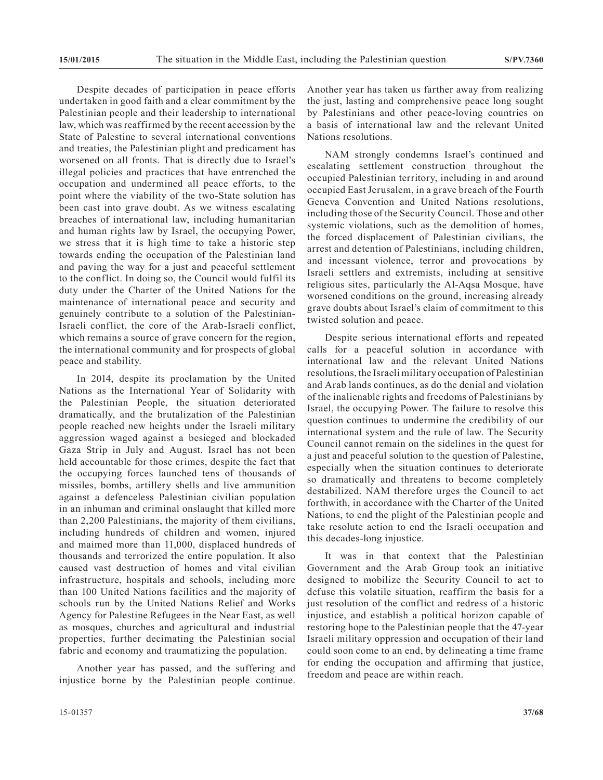Despite decades of participation in peace efforts undertaken in good faith and a clear commitment by the Palestinian people and their leadership to international law, which was reaffirmed by the recent accession by the State of Palestine to several international conventions and treaties, the Palestinian plight and predicament has worsened on all fronts. That is directly due to Israel's illegal policies and practices that have entrenched the occupation and undermined all peace efforts, to the point where the viability of the two-State solution has been cast into grave doubt. As we witness escalating breaches of international law, including humanitarian and human rights law by Israel, the occupying Power, we stress that it is high time to take a historic step towards ending the occupation of the Palestinian land and paving the way for a just and peaceful settlement to the conflict. In doing so, the Council would fulfil its duty under the Charter of the United Nations for the maintenance of international peace and security and genuinely contribute to a solution of the Palestinian-Israeli conflict, the core of the Arab-Israeli conflict, which remains a source of grave concern for the region, the international community and for prospects of global peace and stability.

In 2014, despite its proclamation by the United Nations as the International Year of Solidarity with the Palestinian People, the situation deteriorated dramatically, and the brutalization of the Palestinian people reached new heights under the Israeli military aggression waged against a besieged and blockaded Gaza Strip in July and August. Israel has not been held accountable for those crimes, despite the fact that the occupying forces launched tens of thousands of missiles, bombs, artillery shells and live ammunition against a defenceless Palestinian civilian population in an inhuman and criminal onslaught that killed more than 2,200 Palestinians, the majority of them civilians, including hundreds of children and women, injured and maimed more than 11,000, displaced hundreds of thousands and terrorized the entire population. It also caused vast destruction of homes and vital civilian infrastructure, hospitals and schools, including more than 100 United Nations facilities and the majority of schools run by the United Nations Relief and Works Agency for Palestine Refugees in the Near East, as well as mosques, churches and agricultural and industrial properties, further decimating the Palestinian social fabric and economy and traumatizing the population.

Another year has passed, and the suffering and injustice borne by the Palestinian people continue. Another year has taken us farther away from realizing the just, lasting and comprehensive peace long sought by Palestinians and other peace-loving countries on a basis of international law and the relevant United Nations resolutions.

NAM strongly condemns Israel's continued and escalating settlement construction throughout the occupied Palestinian territory, including in and around occupied East Jerusalem, in a grave breach of the Fourth Geneva Convention and United Nations resolutions, including those of the Security Council. Those and other systemic violations, such as the demolition of homes, the forced displacement of Palestinian civilians, the arrest and detention of Palestinians, including children, and incessant violence, terror and provocations by Israeli settlers and extremists, including at sensitive religious sites, particularly the Al-Aqsa Mosque, have worsened conditions on the ground, increasing already grave doubts about Israel's claim of commitment to this twisted solution and peace.

Despite serious international efforts and repeated calls for a peaceful solution in accordance with international law and the relevant United Nations resolutions, the Israeli military occupation of Palestinian and Arab lands continues, as do the denial and violation of the inalienable rights and freedoms of Palestinians by Israel, the occupying Power. The failure to resolve this question continues to undermine the credibility of our international system and the rule of law. The Security Council cannot remain on the sidelines in the quest for a just and peaceful solution to the question of Palestine, especially when the situation continues to deteriorate so dramatically and threatens to become completely destabilized. NAM therefore urges the Council to act forthwith, in accordance with the Charter of the United Nations, to end the plight of the Palestinian people and take resolute action to end the Israeli occupation and this decades-long injustice.

It was in that context that the Palestinian Government and the Arab Group took an initiative designed to mobilize the Security Council to act to defuse this volatile situation, reaffirm the basis for a just resolution of the conflict and redress of a historic injustice, and establish a political horizon capable of restoring hope to the Palestinian people that the 47-year Israeli military oppression and occupation of their land could soon come to an end, by delineating a time frame for ending the occupation and affirming that justice, freedom and peace are within reach.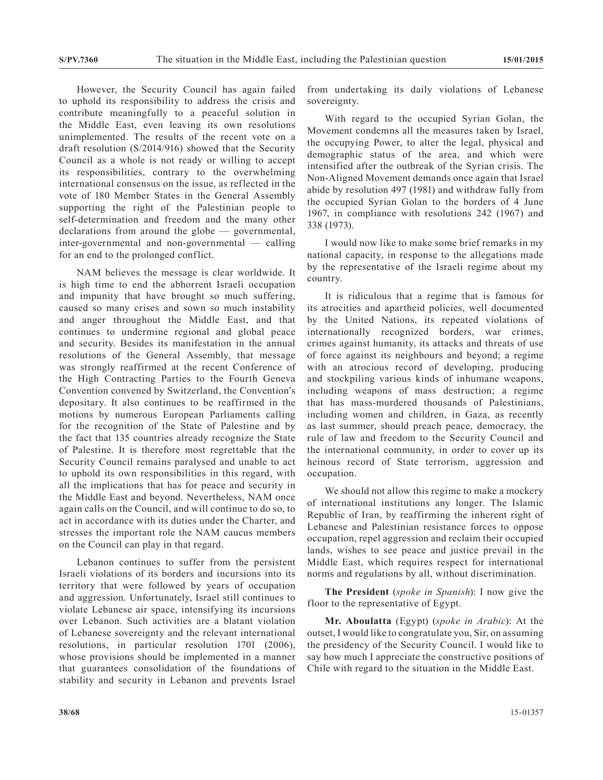However, the Security Council has again failed to uphold its responsibility to address the crisis and contribute meaningfully to a peaceful solution in the Middle East, even leaving its own resolutions unimplemented. The results of the recent vote on a draft resolution (S/2014/916) showed that the Security Council as a whole is not ready or willing to accept its responsibilities, contrary to the overwhelming international consensus on the issue, as reflected in the vote of 180 Member States in the General Assembly supporting the right of the Palestinian people to self-determination and freedom and the many other declarations from around the globe — governmental, inter-governmental and non-governmental — calling for an end to the prolonged conflict.

NAM believes the message is clear worldwide. It is high time to end the abhorrent Israeli occupation and impunity that have brought so much suffering, caused so many crises and sown so much instability and anger throughout the Middle East, and that continues to undermine regional and global peace and security. Besides its manifestation in the annual resolutions of the General Assembly, that message was strongly reaffirmed at the recent Conference of the High Contracting Parties to the Fourth Geneva Convention convened by Switzerland, the Convention's depositary. It also continues to be reaffirmed in the motions by numerous European Parliaments calling for the recognition of the State of Palestine and by the fact that 135 countries already recognize the State of Palestine. It is therefore most regrettable that the Security Council remains paralysed and unable to act to uphold its own responsibilities in this regard, with all the implications that has for peace and security in the Middle East and beyond. Nevertheless, NAM once again calls on the Council, and will continue to do so, to act in accordance with its duties under the Charter, and stresses the important role the NAM caucus members on the Council can play in that regard.

Lebanon continues to suffer from the persistent Israeli violations of its borders and incursions into its territory that were followed by years of occupation and aggression. Unfortunately, Israel still continues to violate Lebanese air space, intensifying its incursions over Lebanon. Such activities are a blatant violation of Lebanese sovereignty and the relevant international resolutions, in particular resolution 1701 (2006), whose provisions should be implemented in a manner that guarantees consolidation of the foundations of stability and security in Lebanon and prevents Israel

from undertaking its daily violations of Lebanese sovereignty.

With regard to the occupied Syrian Golan, the Movement condemns all the measures taken by Israel, the occupying Power, to alter the legal, physical and demographic status of the area, and which were intensified after the outbreak of the Syrian crisis. The Non-Aligned Movement demands once again that Israel abide by resolution 497 (1981) and withdraw fully from the occupied Syrian Golan to the borders of 4 June 1967, in compliance with resolutions 242 (1967) and 338 (1973).

I would now like to make some brief remarks in my national capacity, in response to the allegations made by the representative of the Israeli regime about my country.

It is ridiculous that a regime that is famous for its atrocities and apartheid policies, well documented by the United Nations, its repeated violations of internationally recognized borders, war crimes, crimes against humanity, its attacks and threats of use of force against its neighbours and beyond; a regime with an atrocious record of developing, producing and stockpiling various kinds of inhumane weapons, including weapons of mass destruction; a regime that has mass-murdered thousands of Palestinians, including women and children, in Gaza, as recently as last summer, should preach peace, democracy, the rule of law and freedom to the Security Council and the international community, in order to cover up its heinous record of State terrorism, aggression and occupation.

We should not allow this regime to make a mockery of international institutions any longer. The Islamic Republic of Iran, by reaffirming the inherent right of Lebanese and Palestinian resistance forces to oppose occupation, repel aggression and reclaim their occupied lands, wishes to see peace and justice prevail in the Middle East, which requires respect for international norms and regulations by all, without discrimination.

**The President** (*spoke in Spanish*): I now give the floor to the representative of Egypt.

**Mr. Aboulatta** (Egypt) (*spoke in Arabic*): At the outset, I would like to congratulate you, Sir, on assuming the presidency of the Security Council. I would like to say how much I appreciate the constructive positions of Chile with regard to the situation in the Middle East.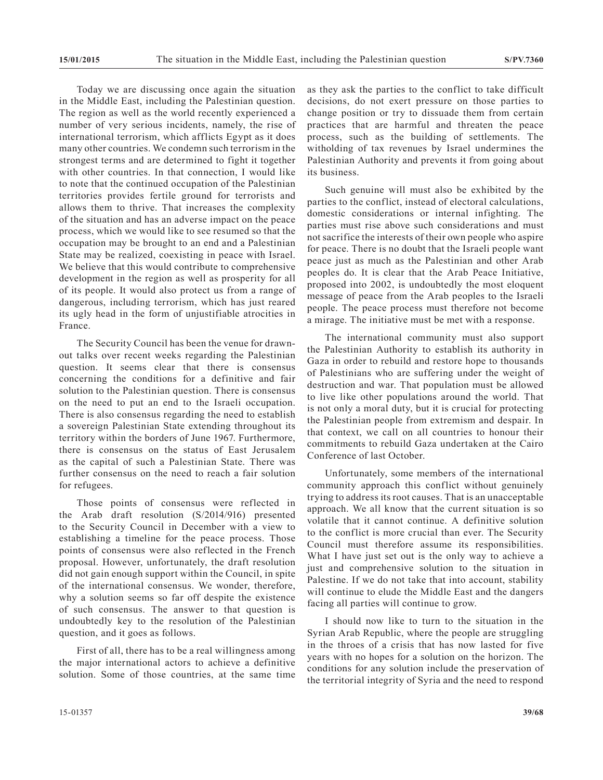Today we are discussing once again the situation in the Middle East, including the Palestinian question. The region as well as the world recently experienced a number of very serious incidents, namely, the rise of international terrorism, which afflicts Egypt as it does many other countries. We condemn such terrorism in the strongest terms and are determined to fight it together with other countries. In that connection, I would like to note that the continued occupation of the Palestinian territories provides fertile ground for terrorists and allows them to thrive. That increases the complexity of the situation and has an adverse impact on the peace process, which we would like to see resumed so that the occupation may be brought to an end and a Palestinian State may be realized, coexisting in peace with Israel. We believe that this would contribute to comprehensive development in the region as well as prosperity for all of its people. It would also protect us from a range of dangerous, including terrorism, which has just reared its ugly head in the form of unjustifiable atrocities in France.

The Security Council has been the venue for drawnout talks over recent weeks regarding the Palestinian question. It seems clear that there is consensus concerning the conditions for a definitive and fair solution to the Palestinian question. There is consensus on the need to put an end to the Israeli occupation. There is also consensus regarding the need to establish a sovereign Palestinian State extending throughout its territory within the borders of June 1967. Furthermore, there is consensus on the status of East Jerusalem as the capital of such a Palestinian State. There was further consensus on the need to reach a fair solution for refugees.

Those points of consensus were reflected in the Arab draft resolution (S/2014/916) presented to the Security Council in December with a view to establishing a timeline for the peace process. Those points of consensus were also reflected in the French proposal. However, unfortunately, the draft resolution did not gain enough support within the Council, in spite of the international consensus. We wonder, therefore, why a solution seems so far off despite the existence of such consensus. The answer to that question is undoubtedly key to the resolution of the Palestinian question, and it goes as follows.

First of all, there has to be a real willingness among the major international actors to achieve a definitive solution. Some of those countries, at the same time as they ask the parties to the conflict to take difficult decisions, do not exert pressure on those parties to change position or try to dissuade them from certain practices that are harmful and threaten the peace process, such as the building of settlements. The witholding of tax revenues by Israel undermines the Palestinian Authority and prevents it from going about its business.

Such genuine will must also be exhibited by the parties to the conflict, instead of electoral calculations, domestic considerations or internal infighting. The parties must rise above such considerations and must not sacrifice the interests of their own people who aspire for peace. There is no doubt that the Israeli people want peace just as much as the Palestinian and other Arab peoples do. It is clear that the Arab Peace Initiative, proposed into 2002, is undoubtedly the most eloquent message of peace from the Arab peoples to the Israeli people. The peace process must therefore not become a mirage. The initiative must be met with a response.

The international community must also support the Palestinian Authority to establish its authority in Gaza in order to rebuild and restore hope to thousands of Palestinians who are suffering under the weight of destruction and war. That population must be allowed to live like other populations around the world. That is not only a moral duty, but it is crucial for protecting the Palestinian people from extremism and despair. In that context, we call on all countries to honour their commitments to rebuild Gaza undertaken at the Cairo Conference of last October.

Unfortunately, some members of the international community approach this conflict without genuinely trying to address its root causes. That is an unacceptable approach. We all know that the current situation is so volatile that it cannot continue. A definitive solution to the conflict is more crucial than ever. The Security Council must therefore assume its responsibilities. What I have just set out is the only way to achieve a just and comprehensive solution to the situation in Palestine. If we do not take that into account, stability will continue to elude the Middle East and the dangers facing all parties will continue to grow.

I should now like to turn to the situation in the Syrian Arab Republic, where the people are struggling in the throes of a crisis that has now lasted for five years with no hopes for a solution on the horizon. The conditions for any solution include the preservation of the territorial integrity of Syria and the need to respond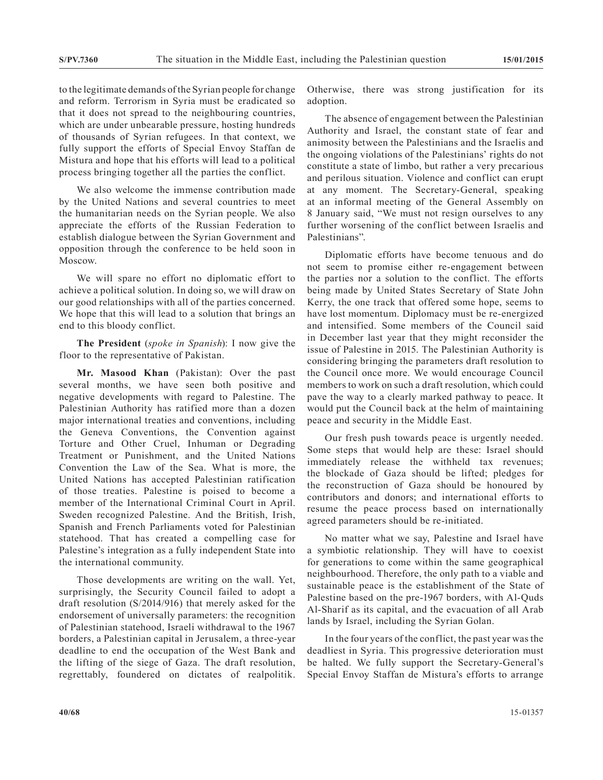to the legitimate demands of the Syrian people for change and reform. Terrorism in Syria must be eradicated so that it does not spread to the neighbouring countries, which are under unbearable pressure, hosting hundreds of thousands of Syrian refugees. In that context, we fully support the efforts of Special Envoy Staffan de Mistura and hope that his efforts will lead to a political process bringing together all the parties the conflict.

We also welcome the immense contribution made by the United Nations and several countries to meet the humanitarian needs on the Syrian people. We also appreciate the efforts of the Russian Federation to establish dialogue between the Syrian Government and opposition through the conference to be held soon in Moscow.

We will spare no effort no diplomatic effort to achieve a political solution. In doing so, we will draw on our good relationships with all of the parties concerned. We hope that this will lead to a solution that brings an end to this bloody conflict.

**The President** (*spoke in Spanish*): I now give the floor to the representative of Pakistan.

**Mr. Masood Khan** (Pakistan): Over the past several months, we have seen both positive and negative developments with regard to Palestine. The Palestinian Authority has ratified more than a dozen major international treaties and conventions, including the Geneva Conventions, the Convention against Torture and Other Cruel, Inhuman or Degrading Treatment or Punishment, and the United Nations Convention the Law of the Sea. What is more, the United Nations has accepted Palestinian ratification of those treaties. Palestine is poised to become a member of the International Criminal Court in April. Sweden recognized Palestine. And the British, Irish, Spanish and French Parliaments voted for Palestinian statehood. That has created a compelling case for Palestine's integration as a fully independent State into the international community.

Those developments are writing on the wall. Yet, surprisingly, the Security Council failed to adopt a draft resolution (S/2014/916) that merely asked for the endorsement of universally parameters: the recognition of Palestinian statehood, Israeli withdrawal to the 1967 borders, a Palestinian capital in Jerusalem, a three-year deadline to end the occupation of the West Bank and the lifting of the siege of Gaza. The draft resolution, regrettably, foundered on dictates of realpolitik. Otherwise, there was strong justification for its adoption.

The absence of engagement between the Palestinian Authority and Israel, the constant state of fear and animosity between the Palestinians and the Israelis and the ongoing violations of the Palestinians' rights do not constitute a state of limbo, but rather a very precarious and perilous situation. Violence and conflict can erupt at any moment. The Secretary-General, speaking at an informal meeting of the General Assembly on 8 January said, "We must not resign ourselves to any further worsening of the conflict between Israelis and Palestinians".

Diplomatic efforts have become tenuous and do not seem to promise either re-engagement between the parties nor a solution to the conflict. The efforts being made by United States Secretary of State John Kerry, the one track that offered some hope, seems to have lost momentum. Diplomacy must be re-energized and intensified. Some members of the Council said in December last year that they might reconsider the issue of Palestine in 2015. The Palestinian Authority is considering bringing the parameters draft resolution to the Council once more. We would encourage Council members to work on such a draft resolution, which could pave the way to a clearly marked pathway to peace. It would put the Council back at the helm of maintaining peace and security in the Middle East.

Our fresh push towards peace is urgently needed. Some steps that would help are these: Israel should immediately release the withheld tax revenues; the blockade of Gaza should be lifted; pledges for the reconstruction of Gaza should be honoured by contributors and donors; and international efforts to resume the peace process based on internationally agreed parameters should be re-initiated.

No matter what we say, Palestine and Israel have a symbiotic relationship. They will have to coexist for generations to come within the same geographical neighbourhood. Therefore, the only path to a viable and sustainable peace is the establishment of the State of Palestine based on the pre-1967 borders, with Al-Quds Al-Sharif as its capital, and the evacuation of all Arab lands by Israel, including the Syrian Golan.

In the four years of the conflict, the past year was the deadliest in Syria. This progressive deterioration must be halted. We fully support the Secretary-General's Special Envoy Staffan de Mistura's efforts to arrange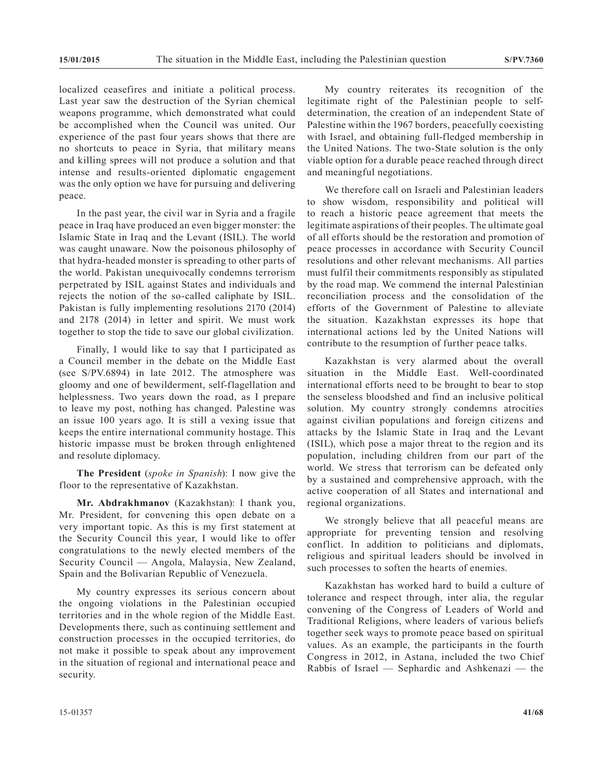localized ceasefires and initiate a political process. Last year saw the destruction of the Syrian chemical weapons programme, which demonstrated what could be accomplished when the Council was united. Our experience of the past four years shows that there are no shortcuts to peace in Syria, that military means and killing sprees will not produce a solution and that intense and results-oriented diplomatic engagement was the only option we have for pursuing and delivering peace.

In the past year, the civil war in Syria and a fragile peace in Iraq have produced an even bigger monster: the Islamic State in Iraq and the Levant (ISIL). The world was caught unaware. Now the poisonous philosophy of that hydra-headed monster is spreading to other parts of the world. Pakistan unequivocally condemns terrorism perpetrated by ISIL against States and individuals and rejects the notion of the so-called caliphate by ISIL. Pakistan is fully implementing resolutions 2170 (2014) and 2178 (2014) in letter and spirit. We must work together to stop the tide to save our global civilization.

Finally, I would like to say that I participated as a Council member in the debate on the Middle East (see S/PV.6894) in late 2012. The atmosphere was gloomy and one of bewilderment, self-flagellation and helplessness. Two years down the road, as I prepare to leave my post, nothing has changed. Palestine was an issue 100 years ago. It is still a vexing issue that keeps the entire international community hostage. This historic impasse must be broken through enlightened and resolute diplomacy.

**The President** (*spoke in Spanish*): I now give the floor to the representative of Kazakhstan.

**Mr. Abdrakhmanov** (Kazakhstan): I thank you, Mr. President, for convening this open debate on a very important topic. As this is my first statement at the Security Council this year, I would like to offer congratulations to the newly elected members of the Security Council — Angola, Malaysia, New Zealand, Spain and the Bolivarian Republic of Venezuela.

My country expresses its serious concern about the ongoing violations in the Palestinian occupied territories and in the whole region of the Middle East. Developments there, such as continuing settlement and construction processes in the occupied territories, do not make it possible to speak about any improvement in the situation of regional and international peace and security.

My country reiterates its recognition of the legitimate right of the Palestinian people to selfdetermination, the creation of an independent State of Palestine within the 1967 borders, peacefully coexisting with Israel, and obtaining full-fledged membership in the United Nations. The two-State solution is the only viable option for a durable peace reached through direct and meaningful negotiations.

We therefore call on Israeli and Palestinian leaders to show wisdom, responsibility and political will to reach a historic peace agreement that meets the legitimate aspirations of their peoples. The ultimate goal of all efforts should be the restoration and promotion of peace processes in accordance with Security Council resolutions and other relevant mechanisms. All parties must fulfil their commitments responsibly as stipulated by the road map. We commend the internal Palestinian reconciliation process and the consolidation of the efforts of the Government of Palestine to alleviate the situation. Kazakhstan expresses its hope that international actions led by the United Nations will contribute to the resumption of further peace talks.

Kazakhstan is very alarmed about the overall situation in the Middle East. Well-coordinated international efforts need to be brought to bear to stop the senseless bloodshed and find an inclusive political solution. My country strongly condemns atrocities against civilian populations and foreign citizens and attacks by the Islamic State in Iraq and the Levant (ISIL), which pose a major threat to the region and its population, including children from our part of the world. We stress that terrorism can be defeated only by a sustained and comprehensive approach, with the active cooperation of all States and international and regional organizations.

We strongly believe that all peaceful means are appropriate for preventing tension and resolving conflict. In addition to politicians and diplomats, religious and spiritual leaders should be involved in such processes to soften the hearts of enemies.

Kazakhstan has worked hard to build a culture of tolerance and respect through, inter alia, the regular convening of the Congress of Leaders of World and Traditional Religions, where leaders of various beliefs together seek ways to promote peace based on spiritual values. As an example, the participants in the fourth Congress in 2012, in Astana, included the two Chief Rabbis of Israel — Sephardic and Ashkenazi — the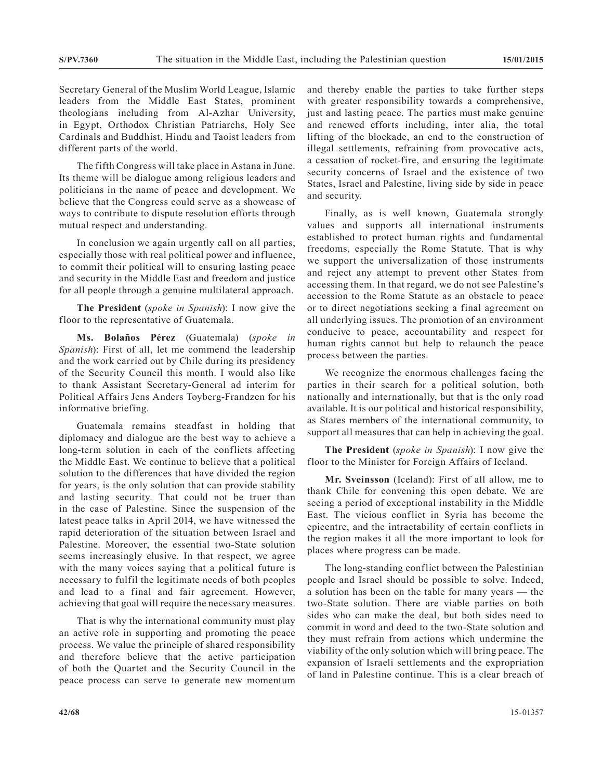Secretary General of the Muslim World League, Islamic leaders from the Middle East States, prominent theologians including from Al-Azhar University, in Egypt, Orthodox Christian Patriarchs, Holy See Cardinals and Buddhist, Hindu and Taoist leaders from different parts of the world.

The fifth Congress will take place in Astana in June. Its theme will be dialogue among religious leaders and politicians in the name of peace and development. We believe that the Congress could serve as a showcase of ways to contribute to dispute resolution efforts through mutual respect and understanding.

In conclusion we again urgently call on all parties, especially those with real political power and influence, to commit their political will to ensuring lasting peace and security in the Middle East and freedom and justice for all people through a genuine multilateral approach.

**The President** (*spoke in Spanish*): I now give the floor to the representative of Guatemala.

**Ms. Bolaños Pérez** (Guatemala) (*spoke in Spanish*): First of all, let me commend the leadership and the work carried out by Chile during its presidency of the Security Council this month. I would also like to thank Assistant Secretary-General ad interim for Political Affairs Jens Anders Toyberg-Frandzen for his informative briefing.

Guatemala remains steadfast in holding that diplomacy and dialogue are the best way to achieve a long-term solution in each of the conflicts affecting the Middle East. We continue to believe that a political solution to the differences that have divided the region for years, is the only solution that can provide stability and lasting security. That could not be truer than in the case of Palestine. Since the suspension of the latest peace talks in April 2014, we have witnessed the rapid deterioration of the situation between Israel and Palestine. Moreover, the essential two-State solution seems increasingly elusive. In that respect, we agree with the many voices saying that a political future is necessary to fulfil the legitimate needs of both peoples and lead to a final and fair agreement. However, achieving that goal will require the necessary measures.

That is why the international community must play an active role in supporting and promoting the peace process. We value the principle of shared responsibility and therefore believe that the active participation of both the Quartet and the Security Council in the peace process can serve to generate new momentum

and thereby enable the parties to take further steps with greater responsibility towards a comprehensive, just and lasting peace. The parties must make genuine and renewed efforts including, inter alia, the total lifting of the blockade, an end to the construction of illegal settlements, refraining from provocative acts, a cessation of rocket-fire, and ensuring the legitimate security concerns of Israel and the existence of two States, Israel and Palestine, living side by side in peace and security.

Finally, as is well known, Guatemala strongly values and supports all international instruments established to protect human rights and fundamental freedoms, especially the Rome Statute. That is why we support the universalization of those instruments and reject any attempt to prevent other States from accessing them. In that regard, we do not see Palestine's accession to the Rome Statute as an obstacle to peace or to direct negotiations seeking a final agreement on all underlying issues. The promotion of an environment conducive to peace, accountability and respect for human rights cannot but help to relaunch the peace process between the parties.

We recognize the enormous challenges facing the parties in their search for a political solution, both nationally and internationally, but that is the only road available. It is our political and historical responsibility, as States members of the international community, to support all measures that can help in achieving the goal.

**The President** (*spoke in Spanish*): I now give the floor to the Minister for Foreign Affairs of Iceland.

**Mr. Sveinsson** (Iceland): First of all allow, me to thank Chile for convening this open debate. We are seeing a period of exceptional instability in the Middle East. The vicious conflict in Syria has become the epicentre, and the intractability of certain conflicts in the region makes it all the more important to look for places where progress can be made.

The long-standing conflict between the Palestinian people and Israel should be possible to solve. Indeed, a solution has been on the table for many years — the two-State solution. There are viable parties on both sides who can make the deal, but both sides need to commit in word and deed to the two-State solution and they must refrain from actions which undermine the viability of the only solution which will bring peace. The expansion of Israeli settlements and the expropriation of land in Palestine continue. This is a clear breach of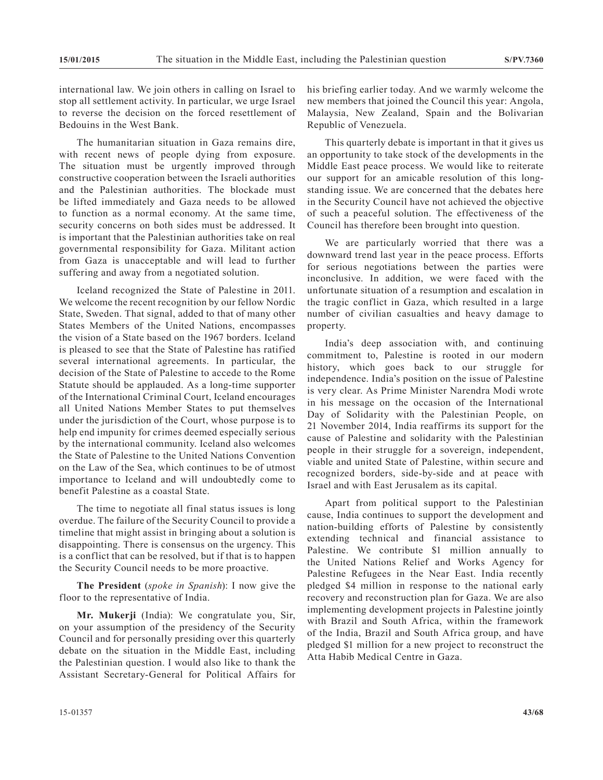international law. We join others in calling on Israel to stop all settlement activity. In particular, we urge Israel to reverse the decision on the forced resettlement of Bedouins in the West Bank.

The humanitarian situation in Gaza remains dire, with recent news of people dying from exposure. The situation must be urgently improved through constructive cooperation between the Israeli authorities and the Palestinian authorities. The blockade must be lifted immediately and Gaza needs to be allowed to function as a normal economy. At the same time, security concerns on both sides must be addressed. It is important that the Palestinian authorities take on real governmental responsibility for Gaza. Militant action from Gaza is unacceptable and will lead to further suffering and away from a negotiated solution.

Iceland recognized the State of Palestine in 2011. We welcome the recent recognition by our fellow Nordic State, Sweden. That signal, added to that of many other States Members of the United Nations, encompasses the vision of a State based on the 1967 borders. Iceland is pleased to see that the State of Palestine has ratified several international agreements. In particular, the decision of the State of Palestine to accede to the Rome Statute should be applauded. As a long-time supporter of the International Criminal Court, Iceland encourages all United Nations Member States to put themselves under the jurisdiction of the Court, whose purpose is to help end impunity for crimes deemed especially serious by the international community. Iceland also welcomes the State of Palestine to the United Nations Convention on the Law of the Sea, which continues to be of utmost importance to Iceland and will undoubtedly come to benefit Palestine as a coastal State.

The time to negotiate all final status issues is long overdue. The failure of the Security Council to provide a timeline that might assist in bringing about a solution is disappointing. There is consensus on the urgency. This is a conflict that can be resolved, but if that is to happen the Security Council needs to be more proactive.

**The President** (*spoke in Spanish*): I now give the floor to the representative of India.

**Mr. Mukerji** (India): We congratulate you, Sir, on your assumption of the presidency of the Security Council and for personally presiding over this quarterly debate on the situation in the Middle East, including the Palestinian question. I would also like to thank the Assistant Secretary-General for Political Affairs for his briefing earlier today. And we warmly welcome the new members that joined the Council this year: Angola, Malaysia, New Zealand, Spain and the Bolivarian Republic of Venezuela.

This quarterly debate is important in that it gives us an opportunity to take stock of the developments in the Middle East peace process. We would like to reiterate our support for an amicable resolution of this longstanding issue. We are concerned that the debates here in the Security Council have not achieved the objective of such a peaceful solution. The effectiveness of the Council has therefore been brought into question.

We are particularly worried that there was a downward trend last year in the peace process. Efforts for serious negotiations between the parties were inconclusive. In addition, we were faced with the unfortunate situation of a resumption and escalation in the tragic conflict in Gaza, which resulted in a large number of civilian casualties and heavy damage to property.

India's deep association with, and continuing commitment to, Palestine is rooted in our modern history, which goes back to our struggle for independence. India's position on the issue of Palestine is very clear. As Prime Minister Narendra Modi wrote in his message on the occasion of the International Day of Solidarity with the Palestinian People, on 21 November 2014, India reaffirms its support for the cause of Palestine and solidarity with the Palestinian people in their struggle for a sovereign, independent, viable and united State of Palestine, within secure and recognized borders, side-by-side and at peace with Israel and with East Jerusalem as its capital.

Apart from political support to the Palestinian cause, India continues to support the development and nation-building efforts of Palestine by consistently extending technical and financial assistance to Palestine. We contribute \$1 million annually to the United Nations Relief and Works Agency for Palestine Refugees in the Near East. India recently pledged \$4 million in response to the national early recovery and reconstruction plan for Gaza. We are also implementing development projects in Palestine jointly with Brazil and South Africa, within the framework of the India, Brazil and South Africa group, and have pledged \$1 million for a new project to reconstruct the Atta Habib Medical Centre in Gaza.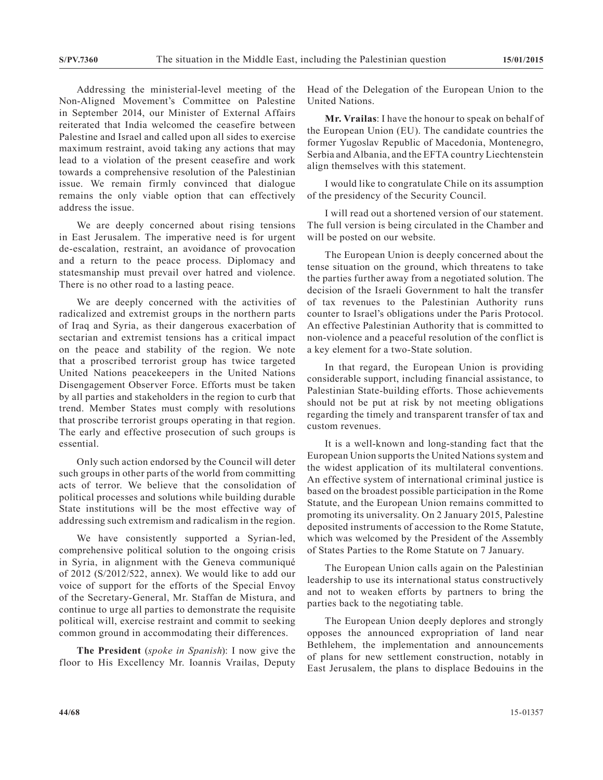Addressing the ministerial-level meeting of the Non-Aligned Movement's Committee on Palestine in September 2014, our Minister of External Affairs reiterated that India welcomed the ceasefire between Palestine and Israel and called upon all sides to exercise maximum restraint, avoid taking any actions that may lead to a violation of the present ceasefire and work towards a comprehensive resolution of the Palestinian issue. We remain firmly convinced that dialogue remains the only viable option that can effectively address the issue.

We are deeply concerned about rising tensions in East Jerusalem. The imperative need is for urgent de-escalation, restraint, an avoidance of provocation and a return to the peace process. Diplomacy and statesmanship must prevail over hatred and violence. There is no other road to a lasting peace.

We are deeply concerned with the activities of radicalized and extremist groups in the northern parts of Iraq and Syria, as their dangerous exacerbation of sectarian and extremist tensions has a critical impact on the peace and stability of the region. We note that a proscribed terrorist group has twice targeted United Nations peacekeepers in the United Nations Disengagement Observer Force. Efforts must be taken by all parties and stakeholders in the region to curb that trend. Member States must comply with resolutions that proscribe terrorist groups operating in that region. The early and effective prosecution of such groups is essential.

Only such action endorsed by the Council will deter such groups in other parts of the world from committing acts of terror. We believe that the consolidation of political processes and solutions while building durable State institutions will be the most effective way of addressing such extremism and radicalism in the region.

We have consistently supported a Syrian-led, comprehensive political solution to the ongoing crisis in Syria, in alignment with the Geneva communiqué of 2012 (S/2012/522, annex). We would like to add our voice of support for the efforts of the Special Envoy of the Secretary-General, Mr. Staffan de Mistura, and continue to urge all parties to demonstrate the requisite political will, exercise restraint and commit to seeking common ground in accommodating their differences.

**The President** (*spoke in Spanish*): I now give the floor to His Excellency Mr. Ioannis Vrailas, Deputy Head of the Delegation of the European Union to the United Nations.

**Mr. Vrailas**: I have the honour to speak on behalf of the European Union (EU). The candidate countries the former Yugoslav Republic of Macedonia, Montenegro, Serbia and Albania, and the EFTA country Liechtenstein align themselves with this statement.

I would like to congratulate Chile on its assumption of the presidency of the Security Council.

I will read out a shortened version of our statement. The full version is being circulated in the Chamber and will be posted on our website.

The European Union is deeply concerned about the tense situation on the ground, which threatens to take the parties further away from a negotiated solution. The decision of the Israeli Government to halt the transfer of tax revenues to the Palestinian Authority runs counter to Israel's obligations under the Paris Protocol. An effective Palestinian Authority that is committed to non-violence and a peaceful resolution of the conflict is a key element for a two-State solution.

In that regard, the European Union is providing considerable support, including financial assistance, to Palestinian State-building efforts. Those achievements should not be put at risk by not meeting obligations regarding the timely and transparent transfer of tax and custom revenues.

It is a well-known and long-standing fact that the European Union supports the United Nations system and the widest application of its multilateral conventions. An effective system of international criminal justice is based on the broadest possible participation in the Rome Statute, and the European Union remains committed to promoting its universality. On 2 January 2015, Palestine deposited instruments of accession to the Rome Statute, which was welcomed by the President of the Assembly of States Parties to the Rome Statute on 7 January.

The European Union calls again on the Palestinian leadership to use its international status constructively and not to weaken efforts by partners to bring the parties back to the negotiating table.

The European Union deeply deplores and strongly opposes the announced expropriation of land near Bethlehem, the implementation and announcements of plans for new settlement construction, notably in East Jerusalem, the plans to displace Bedouins in the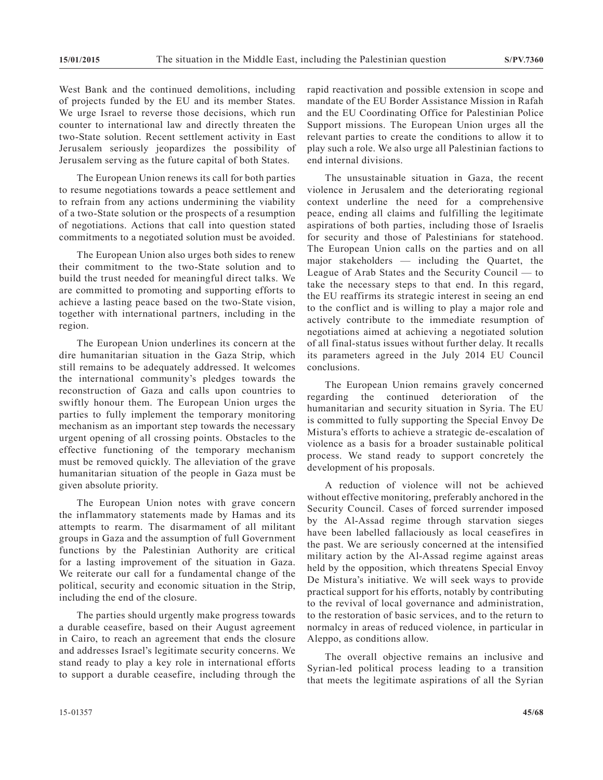West Bank and the continued demolitions, including of projects funded by the EU and its member States. We urge Israel to reverse those decisions, which run counter to international law and directly threaten the two-State solution. Recent settlement activity in East Jerusalem seriously jeopardizes the possibility of Jerusalem serving as the future capital of both States.

The European Union renews its call for both parties to resume negotiations towards a peace settlement and to refrain from any actions undermining the viability of a two-State solution or the prospects of a resumption of negotiations. Actions that call into question stated commitments to a negotiated solution must be avoided.

The European Union also urges both sides to renew their commitment to the two-State solution and to build the trust needed for meaningful direct talks. We are committed to promoting and supporting efforts to achieve a lasting peace based on the two-State vision, together with international partners, including in the region.

The European Union underlines its concern at the dire humanitarian situation in the Gaza Strip, which still remains to be adequately addressed. It welcomes the international community's pledges towards the reconstruction of Gaza and calls upon countries to swiftly honour them. The European Union urges the parties to fully implement the temporary monitoring mechanism as an important step towards the necessary urgent opening of all crossing points. Obstacles to the effective functioning of the temporary mechanism must be removed quickly. The alleviation of the grave humanitarian situation of the people in Gaza must be given absolute priority.

The European Union notes with grave concern the inflammatory statements made by Hamas and its attempts to rearm. The disarmament of all militant groups in Gaza and the assumption of full Government functions by the Palestinian Authority are critical for a lasting improvement of the situation in Gaza. We reiterate our call for a fundamental change of the political, security and economic situation in the Strip, including the end of the closure.

The parties should urgently make progress towards a durable ceasefire, based on their August agreement in Cairo, to reach an agreement that ends the closure and addresses Israel's legitimate security concerns. We stand ready to play a key role in international efforts to support a durable ceasefire, including through the rapid reactivation and possible extension in scope and mandate of the EU Border Assistance Mission in Rafah and the EU Coordinating Office for Palestinian Police Support missions. The European Union urges all the relevant parties to create the conditions to allow it to play such a role. We also urge all Palestinian factions to end internal divisions.

The unsustainable situation in Gaza, the recent violence in Jerusalem and the deteriorating regional context underline the need for a comprehensive peace, ending all claims and fulfilling the legitimate aspirations of both parties, including those of Israelis for security and those of Palestinians for statehood. The European Union calls on the parties and on all major stakeholders — including the Quartet, the League of Arab States and the Security Council — to take the necessary steps to that end. In this regard, the EU reaffirms its strategic interest in seeing an end to the conflict and is willing to play a major role and actively contribute to the immediate resumption of negotiations aimed at achieving a negotiated solution of all final-status issues without further delay. It recalls its parameters agreed in the July 2014 EU Council conclusions.

The European Union remains gravely concerned regarding the continued deterioration of the humanitarian and security situation in Syria. The EU is committed to fully supporting the Special Envoy De Mistura's efforts to achieve a strategic de-escalation of violence as a basis for a broader sustainable political process. We stand ready to support concretely the development of his proposals.

A reduction of violence will not be achieved without effective monitoring, preferably anchored in the Security Council. Cases of forced surrender imposed by the Al-Assad regime through starvation sieges have been labelled fallaciously as local ceasefires in the past. We are seriously concerned at the intensified military action by the Al-Assad regime against areas held by the opposition, which threatens Special Envoy De Mistura's initiative. We will seek ways to provide practical support for his efforts, notably by contributing to the revival of local governance and administration, to the restoration of basic services, and to the return to normalcy in areas of reduced violence, in particular in Aleppo, as conditions allow.

The overall objective remains an inclusive and Syrian-led political process leading to a transition that meets the legitimate aspirations of all the Syrian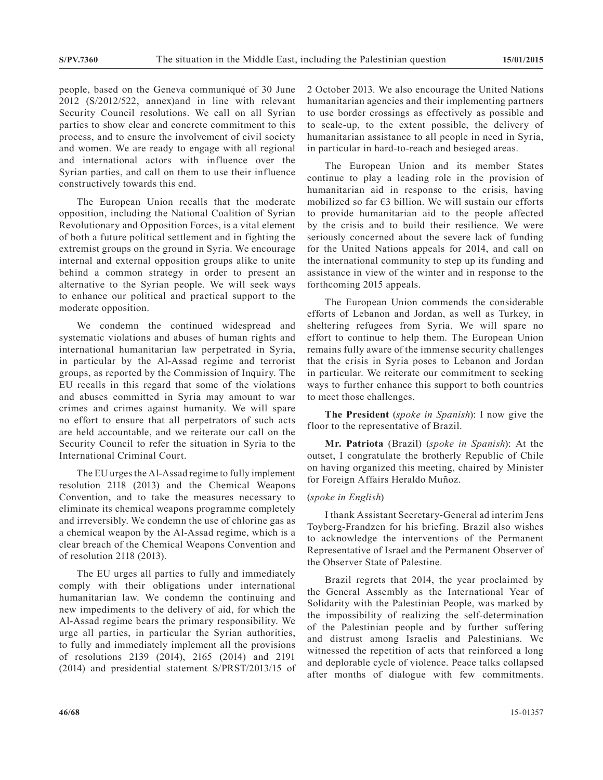people, based on the Geneva communiqué of 30 June 2012 (S/2012/522, annex)and in line with relevant Security Council resolutions. We call on all Syrian parties to show clear and concrete commitment to this process, and to ensure the involvement of civil society and women. We are ready to engage with all regional and international actors with influence over the Syrian parties, and call on them to use their influence constructively towards this end.

The European Union recalls that the moderate opposition, including the National Coalition of Syrian Revolutionary and Opposition Forces, is a vital element of both a future political settlement and in fighting the extremist groups on the ground in Syria. We encourage internal and external opposition groups alike to unite behind a common strategy in order to present an alternative to the Syrian people. We will seek ways to enhance our political and practical support to the moderate opposition.

We condemn the continued widespread and systematic violations and abuses of human rights and international humanitarian law perpetrated in Syria, in particular by the Al-Assad regime and terrorist groups, as reported by the Commission of Inquiry. The EU recalls in this regard that some of the violations and abuses committed in Syria may amount to war crimes and crimes against humanity. We will spare no effort to ensure that all perpetrators of such acts are held accountable, and we reiterate our call on the Security Council to refer the situation in Syria to the International Criminal Court.

The EU urges the Al-Assad regime to fully implement resolution 2118 (2013) and the Chemical Weapons Convention, and to take the measures necessary to eliminate its chemical weapons programme completely and irreversibly. We condemn the use of chlorine gas as a chemical weapon by the Al-Assad regime, which is a clear breach of the Chemical Weapons Convention and of resolution 2118 (2013).

The EU urges all parties to fully and immediately comply with their obligations under international humanitarian law. We condemn the continuing and new impediments to the delivery of aid, for which the Al-Assad regime bears the primary responsibility. We urge all parties, in particular the Syrian authorities, to fully and immediately implement all the provisions of resolutions 2139 (2014), 2165 (2014) and 2191 (2014) and presidential statement S/PRST/2013/15 of 2 October 2013. We also encourage the United Nations humanitarian agencies and their implementing partners to use border crossings as effectively as possible and to scale-up, to the extent possible, the delivery of humanitarian assistance to all people in need in Syria, in particular in hard-to-reach and besieged areas.

The European Union and its member States continue to play a leading role in the provision of humanitarian aid in response to the crisis, having mobilized so far  $E3$  billion. We will sustain our efforts to provide humanitarian aid to the people affected by the crisis and to build their resilience. We were seriously concerned about the severe lack of funding for the United Nations appeals for 2014, and call on the international community to step up its funding and assistance in view of the winter and in response to the forthcoming 2015 appeals.

The European Union commends the considerable efforts of Lebanon and Jordan, as well as Turkey, in sheltering refugees from Syria. We will spare no effort to continue to help them. The European Union remains fully aware of the immense security challenges that the crisis in Syria poses to Lebanon and Jordan in particular. We reiterate our commitment to seeking ways to further enhance this support to both countries to meet those challenges.

**The President** (*spoke in Spanish*): I now give the floor to the representative of Brazil.

**Mr. Patriota** (Brazil) (*spoke in Spanish*): At the outset, I congratulate the brotherly Republic of Chile on having organized this meeting, chaired by Minister for Foreign Affairs Heraldo Muñoz.

#### (*spoke in English*)

I thank Assistant Secretary-General ad interim Jens Toyberg-Frandzen for his briefing. Brazil also wishes to acknowledge the interventions of the Permanent Representative of Israel and the Permanent Observer of the Observer State of Palestine.

Brazil regrets that 2014, the year proclaimed by the General Assembly as the International Year of Solidarity with the Palestinian People, was marked by the impossibility of realizing the self-determination of the Palestinian people and by further suffering and distrust among Israelis and Palestinians. We witnessed the repetition of acts that reinforced a long and deplorable cycle of violence. Peace talks collapsed after months of dialogue with few commitments.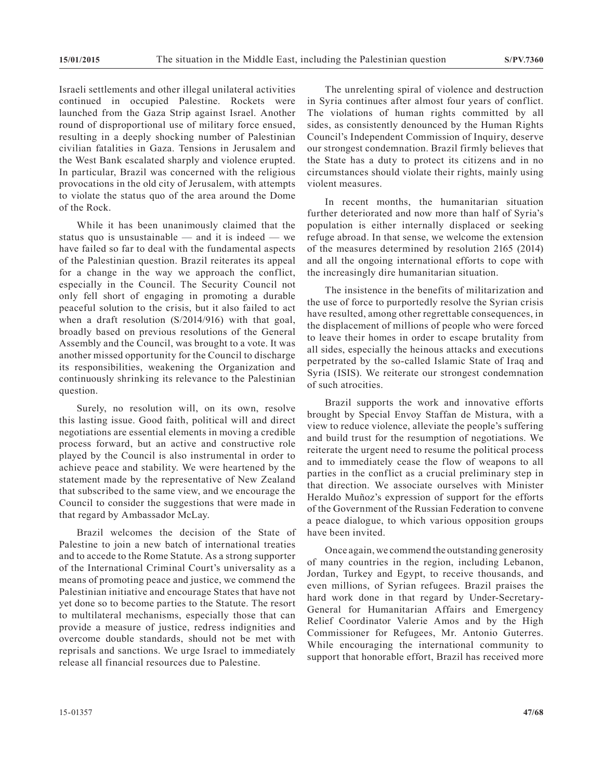Israeli settlements and other illegal unilateral activities continued in occupied Palestine. Rockets were launched from the Gaza Strip against Israel. Another round of disproportional use of military force ensued, resulting in a deeply shocking number of Palestinian civilian fatalities in Gaza. Tensions in Jerusalem and the West Bank escalated sharply and violence erupted. In particular, Brazil was concerned with the religious provocations in the old city of Jerusalem, with attempts to violate the status quo of the area around the Dome of the Rock.

While it has been unanimously claimed that the status quo is unsustainable — and it is indeed — we have failed so far to deal with the fundamental aspects of the Palestinian question. Brazil reiterates its appeal for a change in the way we approach the conflict, especially in the Council. The Security Council not only fell short of engaging in promoting a durable peaceful solution to the crisis, but it also failed to act when a draft resolution (S/2014/916) with that goal, broadly based on previous resolutions of the General Assembly and the Council, was brought to a vote. It was another missed opportunity for the Council to discharge its responsibilities, weakening the Organization and continuously shrinking its relevance to the Palestinian question.

Surely, no resolution will, on its own, resolve this lasting issue. Good faith, political will and direct negotiations are essential elements in moving a credible process forward, but an active and constructive role played by the Council is also instrumental in order to achieve peace and stability. We were heartened by the statement made by the representative of New Zealand that subscribed to the same view, and we encourage the Council to consider the suggestions that were made in that regard by Ambassador McLay.

Brazil welcomes the decision of the State of Palestine to join a new batch of international treaties and to accede to the Rome Statute. As a strong supporter of the International Criminal Court's universality as a means of promoting peace and justice, we commend the Palestinian initiative and encourage States that have not yet done so to become parties to the Statute. The resort to multilateral mechanisms, especially those that can provide a measure of justice, redress indignities and overcome double standards, should not be met with reprisals and sanctions. We urge Israel to immediately release all financial resources due to Palestine.

The unrelenting spiral of violence and destruction in Syria continues after almost four years of conflict. The violations of human rights committed by all sides, as consistently denounced by the Human Rights Council's Independent Commission of Inquiry, deserve our strongest condemnation. Brazil firmly believes that the State has a duty to protect its citizens and in no circumstances should violate their rights, mainly using violent measures.

In recent months, the humanitarian situation further deteriorated and now more than half of Syria's population is either internally displaced or seeking refuge abroad. In that sense, we welcome the extension of the measures determined by resolution 2165 (2014) and all the ongoing international efforts to cope with the increasingly dire humanitarian situation.

The insistence in the benefits of militarization and the use of force to purportedly resolve the Syrian crisis have resulted, among other regrettable consequences, in the displacement of millions of people who were forced to leave their homes in order to escape brutality from all sides, especially the heinous attacks and executions perpetrated by the so-called Islamic State of Iraq and Syria (ISIS). We reiterate our strongest condemnation of such atrocities.

Brazil supports the work and innovative efforts brought by Special Envoy Staffan de Mistura, with a view to reduce violence, alleviate the people's suffering and build trust for the resumption of negotiations. We reiterate the urgent need to resume the political process and to immediately cease the flow of weapons to all parties in the conflict as a crucial preliminary step in that direction. We associate ourselves with Minister Heraldo Muñoz's expression of support for the efforts of the Government of the Russian Federation to convene a peace dialogue, to which various opposition groups have been invited.

Once again, we commend the outstanding generosity of many countries in the region, including Lebanon, Jordan, Turkey and Egypt, to receive thousands, and even millions, of Syrian refugees. Brazil praises the hard work done in that regard by Under-Secretary-General for Humanitarian Affairs and Emergency Relief Coordinator Valerie Amos and by the High Commissioner for Refugees, Mr. Antonio Guterres. While encouraging the international community to support that honorable effort, Brazil has received more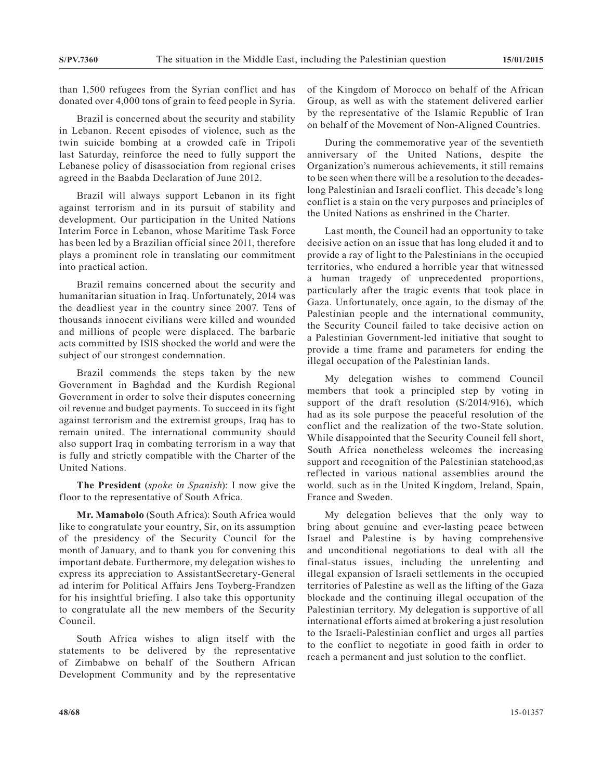than 1,500 refugees from the Syrian conflict and has donated over 4,000 tons of grain to feed people in Syria.

Brazil is concerned about the security and stability in Lebanon. Recent episodes of violence, such as the twin suicide bombing at a crowded cafe in Tripoli last Saturday, reinforce the need to fully support the Lebanese policy of disassociation from regional crises agreed in the Baabda Declaration of June 2012.

Brazil will always support Lebanon in its fight against terrorism and in its pursuit of stability and development. Our participation in the United Nations Interim Force in Lebanon, whose Maritime Task Force has been led by a Brazilian official since 2011, therefore plays a prominent role in translating our commitment into practical action.

Brazil remains concerned about the security and humanitarian situation in Iraq. Unfortunately, 2014 was the deadliest year in the country since 2007. Tens of thousands innocent civilians were killed and wounded and millions of people were displaced. The barbaric acts committed by ISIS shocked the world and were the subject of our strongest condemnation.

Brazil commends the steps taken by the new Government in Baghdad and the Kurdish Regional Government in order to solve their disputes concerning oil revenue and budget payments. To succeed in its fight against terrorism and the extremist groups, Iraq has to remain united. The international community should also support Iraq in combating terrorism in a way that is fully and strictly compatible with the Charter of the United Nations.

**The President** (*spoke in Spanish*): I now give the floor to the representative of South Africa.

**Mr. Mamabolo** (South Africa): South Africa would like to congratulate your country, Sir, on its assumption of the presidency of the Security Council for the month of January, and to thank you for convening this important debate. Furthermore, my delegation wishes to express its appreciation to AssistantSecretary-General ad interim for Political Affairs Jens Toyberg-Frandzen for his insightful briefing. I also take this opportunity to congratulate all the new members of the Security Council.

South Africa wishes to align itself with the statements to be delivered by the representative of Zimbabwe on behalf of the Southern African Development Community and by the representative of the Kingdom of Morocco on behalf of the African Group, as well as with the statement delivered earlier by the representative of the Islamic Republic of Iran on behalf of the Movement of Non-Aligned Countries.

During the commemorative year of the seventieth anniversary of the United Nations, despite the Organization's numerous achievements, it still remains to be seen when there will be a resolution to the decadeslong Palestinian and Israeli conflict. This decade's long conflict is a stain on the very purposes and principles of the United Nations as enshrined in the Charter.

Last month, the Council had an opportunity to take decisive action on an issue that has long eluded it and to provide a ray of light to the Palestinians in the occupied territories, who endured a horrible year that witnessed a human tragedy of unprecedented proportions, particularly after the tragic events that took place in Gaza. Unfortunately, once again, to the dismay of the Palestinian people and the international community, the Security Council failed to take decisive action on a Palestinian Government-led initiative that sought to provide a time frame and parameters for ending the illegal occupation of the Palestinian lands.

My delegation wishes to commend Council members that took a principled step by voting in support of the draft resolution (S/2014/916), which had as its sole purpose the peaceful resolution of the conflict and the realization of the two-State solution. While disappointed that the Security Council fell short, South Africa nonetheless welcomes the increasing support and recognition of the Palestinian statehood,as reflected in various national assemblies around the world. such as in the United Kingdom, Ireland, Spain, France and Sweden.

My delegation believes that the only way to bring about genuine and ever-lasting peace between Israel and Palestine is by having comprehensive and unconditional negotiations to deal with all the final-status issues, including the unrelenting and illegal expansion of Israeli settlements in the occupied territories of Palestine as well as the lifting of the Gaza blockade and the continuing illegal occupation of the Palestinian territory. My delegation is supportive of all international efforts aimed at brokering a just resolution to the Israeli-Palestinian conflict and urges all parties to the conflict to negotiate in good faith in order to reach a permanent and just solution to the conflict.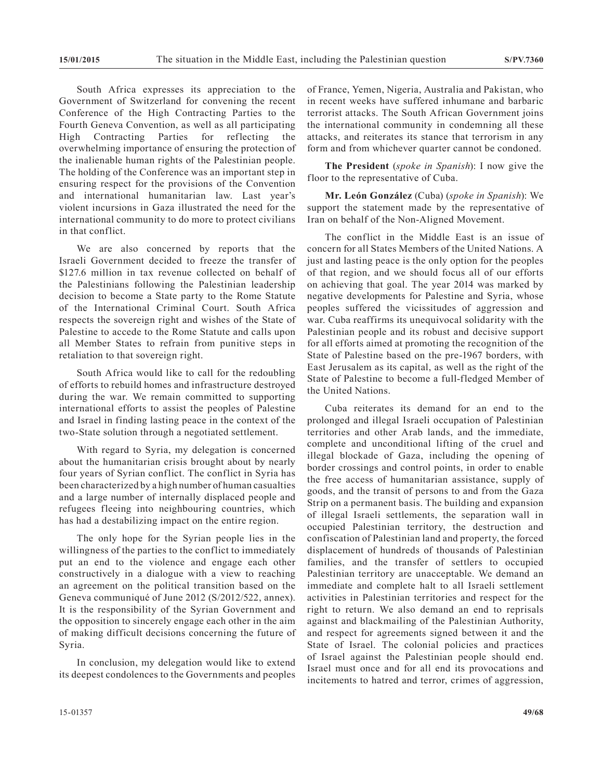South Africa expresses its appreciation to the Government of Switzerland for convening the recent Conference of the High Contracting Parties to the Fourth Geneva Convention, as well as all participating High Contracting Parties for reflecting the overwhelming importance of ensuring the protection of the inalienable human rights of the Palestinian people. The holding of the Conference was an important step in ensuring respect for the provisions of the Convention and international humanitarian law. Last year's violent incursions in Gaza illustrated the need for the international community to do more to protect civilians in that conflict.

We are also concerned by reports that the Israeli Government decided to freeze the transfer of \$127.6 million in tax revenue collected on behalf of the Palestinians following the Palestinian leadership decision to become a State party to the Rome Statute of the International Criminal Court. South Africa respects the sovereign right and wishes of the State of Palestine to accede to the Rome Statute and calls upon all Member States to refrain from punitive steps in retaliation to that sovereign right.

South Africa would like to call for the redoubling of efforts to rebuild homes and infrastructure destroyed during the war. We remain committed to supporting international efforts to assist the peoples of Palestine and Israel in finding lasting peace in the context of the two-State solution through a negotiated settlement.

With regard to Syria, my delegation is concerned about the humanitarian crisis brought about by nearly four years of Syrian conflict. The conflict in Syria has been characterized by a high number of human casualties and a large number of internally displaced people and refugees fleeing into neighbouring countries, which has had a destabilizing impact on the entire region.

The only hope for the Syrian people lies in the willingness of the parties to the conflict to immediately put an end to the violence and engage each other constructively in a dialogue with a view to reaching an agreement on the political transition based on the Geneva communiqué of June 2012 (S/2012/522, annex). It is the responsibility of the Syrian Government and the opposition to sincerely engage each other in the aim of making difficult decisions concerning the future of Syria.

In conclusion, my delegation would like to extend its deepest condolences to the Governments and peoples of France, Yemen, Nigeria, Australia and Pakistan, who in recent weeks have suffered inhumane and barbaric terrorist attacks. The South African Government joins the international community in condemning all these attacks, and reiterates its stance that terrorism in any form and from whichever quarter cannot be condoned.

**The President** (*spoke in Spanish*): I now give the floor to the representative of Cuba.

**Mr. León González** (Cuba) (*spoke in Spanish*): We support the statement made by the representative of Iran on behalf of the Non-Aligned Movement.

The conflict in the Middle East is an issue of concern for all States Members of the United Nations. A just and lasting peace is the only option for the peoples of that region, and we should focus all of our efforts on achieving that goal. The year 2014 was marked by negative developments for Palestine and Syria, whose peoples suffered the vicissitudes of aggression and war. Cuba reaffirms its unequivocal solidarity with the Palestinian people and its robust and decisive support for all efforts aimed at promoting the recognition of the State of Palestine based on the pre-1967 borders, with East Jerusalem as its capital, as well as the right of the State of Palestine to become a full-fledged Member of the United Nations.

Cuba reiterates its demand for an end to the prolonged and illegal Israeli occupation of Palestinian territories and other Arab lands, and the immediate, complete and unconditional lifting of the cruel and illegal blockade of Gaza, including the opening of border crossings and control points, in order to enable the free access of humanitarian assistance, supply of goods, and the transit of persons to and from the Gaza Strip on a permanent basis. The building and expansion of illegal Israeli settlements, the separation wall in occupied Palestinian territory, the destruction and confiscation of Palestinian land and property, the forced displacement of hundreds of thousands of Palestinian families, and the transfer of settlers to occupied Palestinian territory are unacceptable. We demand an immediate and complete halt to all Israeli settlement activities in Palestinian territories and respect for the right to return. We also demand an end to reprisals against and blackmailing of the Palestinian Authority, and respect for agreements signed between it and the State of Israel. The colonial policies and practices of Israel against the Palestinian people should end. Israel must once and for all end its provocations and incitements to hatred and terror, crimes of aggression,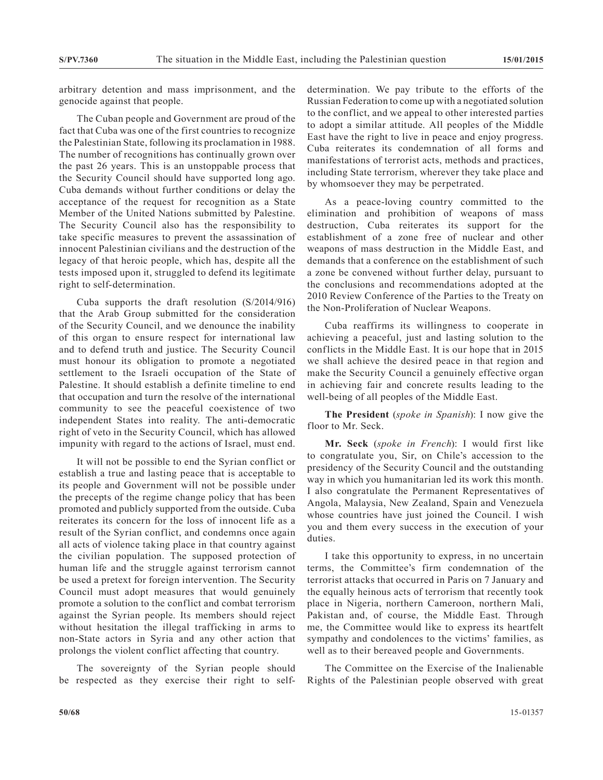arbitrary detention and mass imprisonment, and the genocide against that people.

The Cuban people and Government are proud of the fact that Cuba was one of the first countries to recognize the Palestinian State, following its proclamation in 1988. The number of recognitions has continually grown over the past 26 years. This is an unstoppable process that the Security Council should have supported long ago. Cuba demands without further conditions or delay the acceptance of the request for recognition as a State Member of the United Nations submitted by Palestine. The Security Council also has the responsibility to take specific measures to prevent the assassination of innocent Palestinian civilians and the destruction of the legacy of that heroic people, which has, despite all the tests imposed upon it, struggled to defend its legitimate right to self-determination.

Cuba supports the draft resolution (S/2014/916) that the Arab Group submitted for the consideration of the Security Council, and we denounce the inability of this organ to ensure respect for international law and to defend truth and justice. The Security Council must honour its obligation to promote a negotiated settlement to the Israeli occupation of the State of Palestine. It should establish a definite timeline to end that occupation and turn the resolve of the international community to see the peaceful coexistence of two independent States into reality. The anti-democratic right of veto in the Security Council, which has allowed impunity with regard to the actions of Israel, must end.

It will not be possible to end the Syrian conflict or establish a true and lasting peace that is acceptable to its people and Government will not be possible under the precepts of the regime change policy that has been promoted and publicly supported from the outside. Cuba reiterates its concern for the loss of innocent life as a result of the Syrian conflict, and condemns once again all acts of violence taking place in that country against the civilian population. The supposed protection of human life and the struggle against terrorism cannot be used a pretext for foreign intervention. The Security Council must adopt measures that would genuinely promote a solution to the conflict and combat terrorism against the Syrian people. Its members should reject without hesitation the illegal trafficking in arms to non-State actors in Syria and any other action that prolongs the violent conflict affecting that country.

The sovereignty of the Syrian people should be respected as they exercise their right to selfdetermination. We pay tribute to the efforts of the Russian Federation to come up with a negotiated solution to the conflict, and we appeal to other interested parties to adopt a similar attitude. All peoples of the Middle East have the right to live in peace and enjoy progress. Cuba reiterates its condemnation of all forms and manifestations of terrorist acts, methods and practices, including State terrorism, wherever they take place and by whomsoever they may be perpetrated.

As a peace-loving country committed to the elimination and prohibition of weapons of mass destruction, Cuba reiterates its support for the establishment of a zone free of nuclear and other weapons of mass destruction in the Middle East, and demands that a conference on the establishment of such a zone be convened without further delay, pursuant to the conclusions and recommendations adopted at the 2010 Review Conference of the Parties to the Treaty on the Non-Proliferation of Nuclear Weapons.

Cuba reaffirms its willingness to cooperate in achieving a peaceful, just and lasting solution to the conflicts in the Middle East. It is our hope that in 2015 we shall achieve the desired peace in that region and make the Security Council a genuinely effective organ in achieving fair and concrete results leading to the well-being of all peoples of the Middle East.

**The President** (*spoke in Spanish*): I now give the floor to Mr. Seck.

**Mr. Seck** (*spoke in French*): I would first like to congratulate you, Sir, on Chile's accession to the presidency of the Security Council and the outstanding way in which you humanitarian led its work this month. I also congratulate the Permanent Representatives of Angola, Malaysia, New Zealand, Spain and Venezuela whose countries have just joined the Council. I wish you and them every success in the execution of your duties.

I take this opportunity to express, in no uncertain terms, the Committee's firm condemnation of the terrorist attacks that occurred in Paris on 7 January and the equally heinous acts of terrorism that recently took place in Nigeria, northern Cameroon, northern Mali, Pakistan and, of course, the Middle East. Through me, the Committee would like to express its heartfelt sympathy and condolences to the victims' families, as well as to their bereaved people and Governments.

The Committee on the Exercise of the Inalienable Rights of the Palestinian people observed with great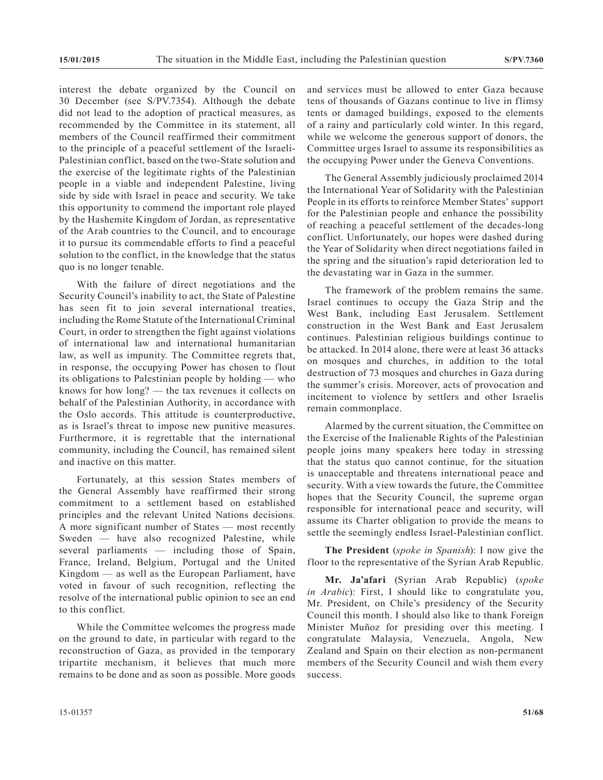interest the debate organized by the Council on 30 December (see S/PV.7354). Although the debate did not lead to the adoption of practical measures, as recommended by the Committee in its statement, all members of the Council reaffirmed their commitment to the principle of a peaceful settlement of the Israeli-Palestinian conflict, based on the two-State solution and the exercise of the legitimate rights of the Palestinian people in a viable and independent Palestine, living side by side with Israel in peace and security. We take this opportunity to commend the important role played by the Hashemite Kingdom of Jordan, as representative of the Arab countries to the Council, and to encourage it to pursue its commendable efforts to find a peaceful solution to the conflict, in the knowledge that the status quo is no longer tenable.

With the failure of direct negotiations and the Security Council's inability to act, the State of Palestine has seen fit to join several international treaties, including the Rome Statute of the International Criminal Court, in order to strengthen the fight against violations of international law and international humanitarian law, as well as impunity. The Committee regrets that, in response, the occupying Power has chosen to flout its obligations to Palestinian people by holding — who knows for how long? — the tax revenues it collects on behalf of the Palestinian Authority, in accordance with the Oslo accords. This attitude is counterproductive, as is Israel's threat to impose new punitive measures. Furthermore, it is regrettable that the international community, including the Council, has remained silent and inactive on this matter.

Fortunately, at this session States members of the General Assembly have reaffirmed their strong commitment to a settlement based on established principles and the relevant United Nations decisions. A more significant number of States — most recently Sweden — have also recognized Palestine, while several parliaments — including those of Spain, France, Ireland, Belgium, Portugal and the United Kingdom — as well as the European Parliament, have voted in favour of such recognition, reflecting the resolve of the international public opinion to see an end to this conflict.

While the Committee welcomes the progress made on the ground to date, in particular with regard to the reconstruction of Gaza, as provided in the temporary tripartite mechanism, it believes that much more remains to be done and as soon as possible. More goods and services must be allowed to enter Gaza because tens of thousands of Gazans continue to live in flimsy tents or damaged buildings, exposed to the elements of a rainy and particularly cold winter. In this regard, while we welcome the generous support of donors, the Committee urges Israel to assume its responsibilities as the occupying Power under the Geneva Conventions.

The General Assembly judiciously proclaimed 2014 the International Year of Solidarity with the Palestinian People in its efforts to reinforce Member States' support for the Palestinian people and enhance the possibility of reaching a peaceful settlement of the decades-long conflict. Unfortunately, our hopes were dashed during the Year of Solidarity when direct negotiations failed in the spring and the situation's rapid deterioration led to the devastating war in Gaza in the summer.

The framework of the problem remains the same. Israel continues to occupy the Gaza Strip and the West Bank, including East Jerusalem. Settlement construction in the West Bank and East Jerusalem continues. Palestinian religious buildings continue to be attacked. In 2014 alone, there were at least 36 attacks on mosques and churches, in addition to the total destruction of 73 mosques and churches in Gaza during the summer's crisis. Moreover, acts of provocation and incitement to violence by settlers and other Israelis remain commonplace.

Alarmed by the current situation, the Committee on the Exercise of the Inalienable Rights of the Palestinian people joins many speakers here today in stressing that the status quo cannot continue, for the situation is unacceptable and threatens international peace and security. With a view towards the future, the Committee hopes that the Security Council, the supreme organ responsible for international peace and security, will assume its Charter obligation to provide the means to settle the seemingly endless Israel-Palestinian conflict.

**The President** (*spoke in Spanish*): I now give the floor to the representative of the Syrian Arab Republic.

**Mr. Ja'afari** (Syrian Arab Republic) (*spoke in Arabic*): First, I should like to congratulate you, Mr. President, on Chile's presidency of the Security Council this month. I should also like to thank Foreign Minister Muñoz for presiding over this meeting. I congratulate Malaysia, Venezuela, Angola, New Zealand and Spain on their election as non-permanent members of the Security Council and wish them every success.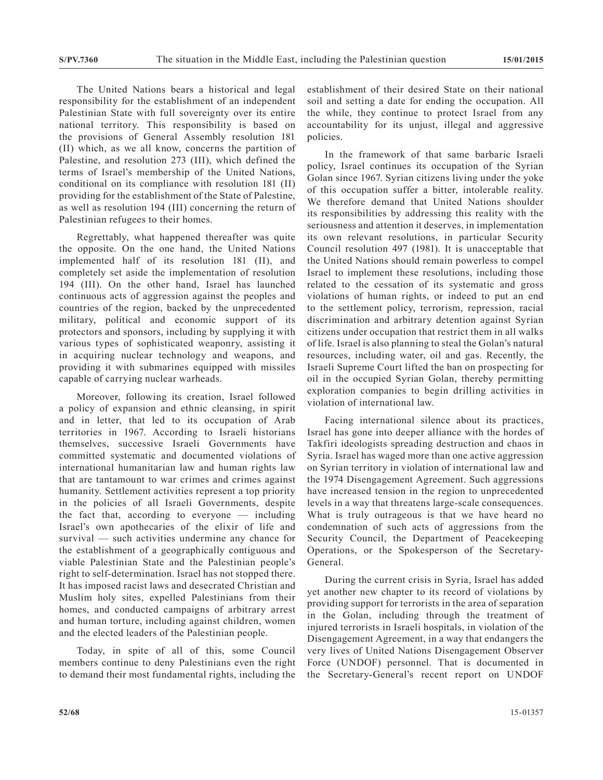The United Nations bears a historical and legal responsibility for the establishment of an independent Palestinian State with full sovereignty over its entire national territory. This responsibility is based on the provisions of General Assembly resolution 181 (II) which, as we all know, concerns the partition of Palestine, and resolution 273 (III), which defined the terms of Israel's membership of the United Nations, conditional on its compliance with resolution 181 (II) providing for the establishment of the State of Palestine, as well as resolution 194 (III) concerning the return of Palestinian refugees to their homes.

Regrettably, what happened thereafter was quite the opposite. On the one hand, the United Nations implemented half of its resolution 181 (II), and completely set aside the implementation of resolution 194 (III). On the other hand, Israel has launched continuous acts of aggression against the peoples and countries of the region, backed by the unprecedented military, political and economic support of its protectors and sponsors, including by supplying it with various types of sophisticated weaponry, assisting it in acquiring nuclear technology and weapons, and providing it with submarines equipped with missiles capable of carrying nuclear warheads.

Moreover, following its creation, Israel followed a policy of expansion and ethnic cleansing, in spirit and in letter, that led to its occupation of Arab territories in 1967. According to Israeli historians themselves, successive Israeli Governments have committed systematic and documented violations of international humanitarian law and human rights law that are tantamount to war crimes and crimes against humanity. Settlement activities represent a top priority in the policies of all Israeli Governments, despite the fact that, according to everyone — including Israel's own apothecaries of the elixir of life and survival — such activities undermine any chance for the establishment of a geographically contiguous and viable Palestinian State and the Palestinian people's right to self-determination. Israel has not stopped there. It has imposed racist laws and desecrated Christian and Muslim holy sites, expelled Palestinians from their homes, and conducted campaigns of arbitrary arrest and human torture, including against children, women and the elected leaders of the Palestinian people.

Today, in spite of all of this, some Council members continue to deny Palestinians even the right to demand their most fundamental rights, including the establishment of their desired State on their national soil and setting a date for ending the occupation. All the while, they continue to protect Israel from any accountability for its unjust, illegal and aggressive policies.

In the framework of that same barbaric Israeli policy, Israel continues its occupation of the Syrian Golan since 1967. Syrian citizens living under the yoke of this occupation suffer a bitter, intolerable reality. We therefore demand that United Nations shoulder its responsibilities by addressing this reality with the seriousness and attention it deserves, in implementation its own relevant resolutions, in particular Security Council resolution 497 (1981). It is unacceptable that the United Nations should remain powerless to compel Israel to implement these resolutions, including those related to the cessation of its systematic and gross violations of human rights, or indeed to put an end to the settlement policy, terrorism, repression, racial discrimination and arbitrary detention against Syrian citizens under occupation that restrict them in all walks of life. Israel is also planning to steal the Golan's natural resources, including water, oil and gas. Recently, the Israeli Supreme Court lifted the ban on prospecting for oil in the occupied Syrian Golan, thereby permitting exploration companies to begin drilling activities in violation of international law.

Facing international silence about its practices, Israel has gone into deeper alliance with the hordes of Takfiri ideologists spreading destruction and chaos in Syria. Israel has waged more than one active aggression on Syrian territory in violation of international law and the 1974 Disengagement Agreement. Such aggressions have increased tension in the region to unprecedented levels in a way that threatens large-scale consequences. What is truly outrageous is that we have heard no condemnation of such acts of aggressions from the Security Council, the Department of Peacekeeping Operations, or the Spokesperson of the Secretary-General.

During the current crisis in Syria, Israel has added yet another new chapter to its record of violations by providing support for terrorists in the area of separation in the Golan, including through the treatment of injured terrorists in Israeli hospitals, in violation of the Disengagement Agreement, in a way that endangers the very lives of United Nations Disengagement Observer Force (UNDOF) personnel. That is documented in the Secretary-General's recent report on UNDOF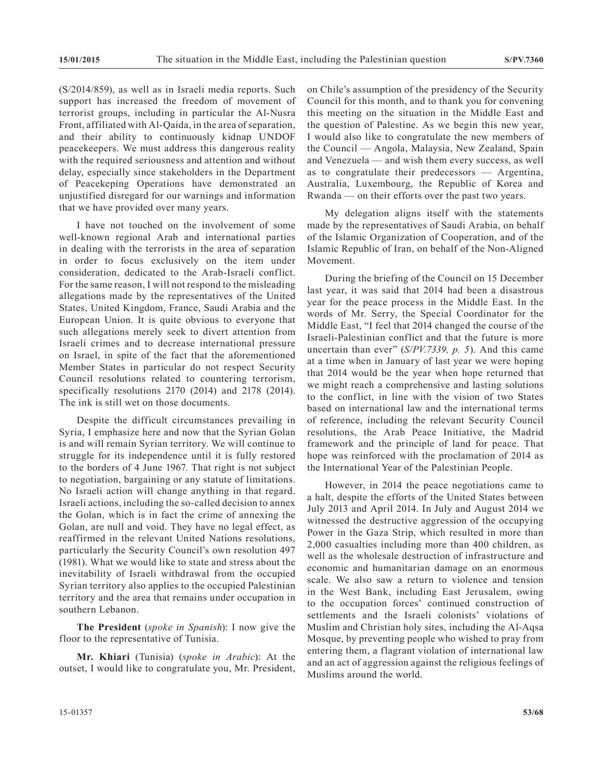(S/2014/859), as well as in Israeli media reports. Such support has increased the freedom of movement of terrorist groups, including in particular the Al-Nusra Front, affiliated with Al-Qaida, in the area of separation, and their ability to continuously kidnap UNDOF peacekeepers. We must address this dangerous reality with the required seriousness and attention and without delay, especially since stakeholders in the Department of Peacekeping Operations have demonstrated an unjustified disregard for our warnings and information that we have provided over many years.

I have not touched on the involvement of some well-known regional Arab and international parties in dealing with the terrorists in the area of separation in order to focus exclusively on the item under consideration, dedicated to the Arab-Israeli conflict. For the same reason, I will not respond to the misleading allegations made by the representatives of the United States, United Kingdom, France, Saudi Arabia and the European Union. It is quite obvious to everyone that such allegations merely seek to divert attention from Israeli crimes and to decrease international pressure on Israel, in spite of the fact that the aforementioned Member States in particular do not respect Security Council resolutions related to countering terrorism, specifically resolutions 2170 (2014) and 2178 (2014). The ink is still wet on those documents.

Despite the difficult circumstances prevailing in Syria, I emphasize here and now that the Syrian Golan is and will remain Syrian territory. We will continue to struggle for its independence until it is fully restored to the borders of 4 June 1967. That right is not subject to negotiation, bargaining or any statute of limitations. No Israeli action will change anything in that regard. Israeli actions, including the so-called decision to annex the Golan, which is in fact the crime of annexing the Golan, are null and void. They have no legal effect, as reaffirmed in the relevant United Nations resolutions, particularly the Security Council's own resolution 497 (1981). What we would like to state and stress about the inevitability of Israeli withdrawal from the occupied Syrian territory also applies to the occupied Palestinian territory and the area that remains under occupation in southern Lebanon.

**The President** (*spoke in Spanish*): I now give the floor to the representative of Tunisia.

**Mr. Khiari** (Tunisia) (*spoke in Arabic*): At the outset, I would like to congratulate you, Mr. President, on Chile's assumption of the presidency of the Security Council for this month, and to thank you for convening this meeting on the situation in the Middle East and the question of Palestine. As we begin this new year, I would also like to congratulate the new members of the Council — Angola, Malaysia, New Zealand, Spain and Venezuela — and wish them every success, as well as to congratulate their predecessors — Argentina, Australia, Luxembourg, the Republic of Korea and Rwanda — on their efforts over the past two years.

My delegation aligns itself with the statements made by the representatives of Saudi Arabia, on behalf of the Islamic Organization of Cooperation, and of the Islamic Republic of Iran, on behalf of the Non-Aligned Movement.

During the briefing of the Council on 15 December last year, it was said that 2014 had been a disastrous year for the peace process in the Middle East. In the words of Mr. Serry, the Special Coordinator for the Middle East, "I feel that 2014 changed the course of the Israeli-Palestinian conflict and that the future is more uncertain than ever" (*S/PV.7339, p. 5*). And this came at a time when in January of last year we were hoping that 2014 would be the year when hope returned that we might reach a comprehensive and lasting solutions to the conflict, in line with the vision of two States based on international law and the international terms of reference, including the relevant Security Council resolutions, the Arab Peace Initiative, the Madrid framework and the principle of land for peace. That hope was reinforced with the proclamation of 2014 as the International Year of the Palestinian People.

However, in 2014 the peace negotiations came to a halt, despite the efforts of the United States between July 2013 and April 2014. In July and August 2014 we witnessed the destructive aggression of the occupying Power in the Gaza Strip, which resulted in more than 2,000 casualties including more than 400 children, as well as the wholesale destruction of infrastructure and economic and humanitarian damage on an enormous scale. We also saw a return to violence and tension in the West Bank, including East Jerusalem, owing to the occupation forces' continued construction of settlements and the Israeli colonists' violations of Muslim and Christian holy sites, including the Al-Aqsa Mosque, by preventing people who wished to pray from entering them, a flagrant violation of international law and an act of aggression against the religious feelings of Muslims around the world.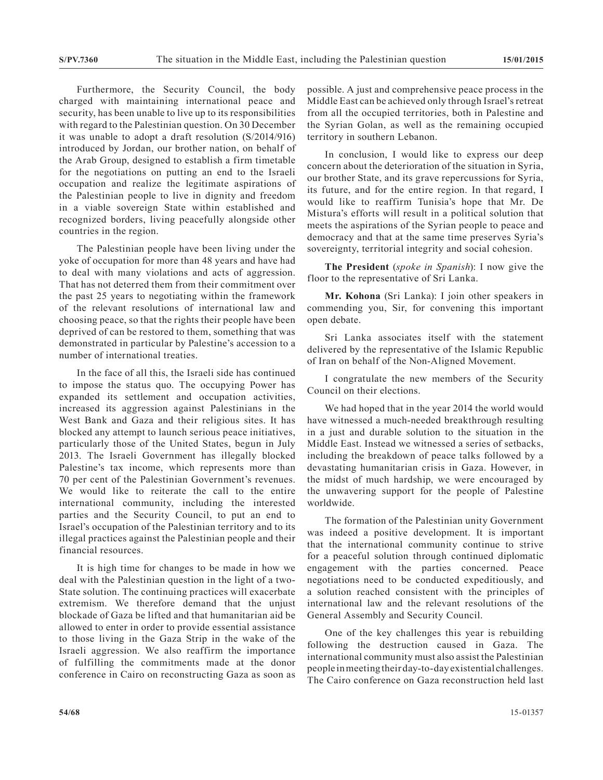Furthermore, the Security Council, the body charged with maintaining international peace and security, has been unable to live up to its responsibilities with regard to the Palestinian question. On 30 December it was unable to adopt a draft resolution (S/2014/916) introduced by Jordan, our brother nation, on behalf of the Arab Group, designed to establish a firm timetable for the negotiations on putting an end to the Israeli occupation and realize the legitimate aspirations of the Palestinian people to live in dignity and freedom in a viable sovereign State within established and recognized borders, living peacefully alongside other countries in the region.

The Palestinian people have been living under the yoke of occupation for more than 48 years and have had to deal with many violations and acts of aggression. That has not deterred them from their commitment over the past 25 years to negotiating within the framework of the relevant resolutions of international law and choosing peace, so that the rights their people have been deprived of can be restored to them, something that was demonstrated in particular by Palestine's accession to a number of international treaties.

In the face of all this, the Israeli side has continued to impose the status quo. The occupying Power has expanded its settlement and occupation activities, increased its aggression against Palestinians in the West Bank and Gaza and their religious sites. It has blocked any attempt to launch serious peace initiatives, particularly those of the United States, begun in July 2013. The Israeli Government has illegally blocked Palestine's tax income, which represents more than 70 per cent of the Palestinian Government's revenues. We would like to reiterate the call to the entire international community, including the interested parties and the Security Council, to put an end to Israel's occupation of the Palestinian territory and to its illegal practices against the Palestinian people and their financial resources.

It is high time for changes to be made in how we deal with the Palestinian question in the light of a two-State solution. The continuing practices will exacerbate extremism. We therefore demand that the unjust blockade of Gaza be lifted and that humanitarian aid be allowed to enter in order to provide essential assistance to those living in the Gaza Strip in the wake of the Israeli aggression. We also reaffirm the importance of fulfilling the commitments made at the donor conference in Cairo on reconstructing Gaza as soon as

possible. A just and comprehensive peace process in the Middle East can be achieved only through Israel's retreat from all the occupied territories, both in Palestine and the Syrian Golan, as well as the remaining occupied territory in southern Lebanon.

In conclusion, I would like to express our deep concern about the deterioration of the situation in Syria, our brother State, and its grave repercussions for Syria, its future, and for the entire region. In that regard, I would like to reaffirm Tunisia's hope that Mr. De Mistura's efforts will result in a political solution that meets the aspirations of the Syrian people to peace and democracy and that at the same time preserves Syria's sovereignty, territorial integrity and social cohesion.

**The President** (*spoke in Spanish*): I now give the floor to the representative of Sri Lanka.

**Mr. Kohona** (Sri Lanka): I join other speakers in commending you, Sir, for convening this important open debate.

Sri Lanka associates itself with the statement delivered by the representative of the Islamic Republic of Iran on behalf of the Non-Aligned Movement.

I congratulate the new members of the Security Council on their elections.

We had hoped that in the year 2014 the world would have witnessed a much-needed breakthrough resulting in a just and durable solution to the situation in the Middle East. Instead we witnessed a series of setbacks, including the breakdown of peace talks followed by a devastating humanitarian crisis in Gaza. However, in the midst of much hardship, we were encouraged by the unwavering support for the people of Palestine worldwide.

The formation of the Palestinian unity Government was indeed a positive development. It is important that the international community continue to strive for a peaceful solution through continued diplomatic engagement with the parties concerned. Peace negotiations need to be conducted expeditiously, and a solution reached consistent with the principles of international law and the relevant resolutions of the General Assembly and Security Council.

One of the key challenges this year is rebuilding following the destruction caused in Gaza. The international community must also assist the Palestinian people in meeting their day-to-day existential challenges. The Cairo conference on Gaza reconstruction held last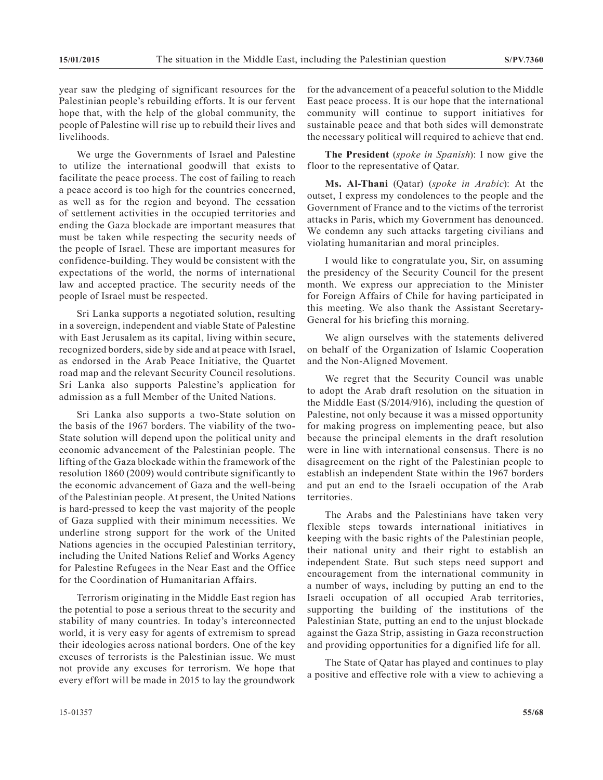year saw the pledging of significant resources for the Palestinian people's rebuilding efforts. It is our fervent hope that, with the help of the global community, the people of Palestine will rise up to rebuild their lives and livelihoods.

We urge the Governments of Israel and Palestine to utilize the international goodwill that exists to facilitate the peace process. The cost of failing to reach a peace accord is too high for the countries concerned, as well as for the region and beyond. The cessation of settlement activities in the occupied territories and ending the Gaza blockade are important measures that must be taken while respecting the security needs of the people of Israel. These are important measures for confidence-building. They would be consistent with the expectations of the world, the norms of international law and accepted practice. The security needs of the people of Israel must be respected.

Sri Lanka supports a negotiated solution, resulting in a sovereign, independent and viable State of Palestine with East Jerusalem as its capital, living within secure, recognized borders, side by side and at peace with Israel, as endorsed in the Arab Peace Initiative, the Quartet road map and the relevant Security Council resolutions. Sri Lanka also supports Palestine's application for admission as a full Member of the United Nations.

Sri Lanka also supports a two-State solution on the basis of the 1967 borders. The viability of the two-State solution will depend upon the political unity and economic advancement of the Palestinian people. The lifting of the Gaza blockade within the framework of the resolution 1860 (2009) would contribute significantly to the economic advancement of Gaza and the well-being of the Palestinian people. At present, the United Nations is hard-pressed to keep the vast majority of the people of Gaza supplied with their minimum necessities. We underline strong support for the work of the United Nations agencies in the occupied Palestinian territory, including the United Nations Relief and Works Agency for Palestine Refugees in the Near East and the Office for the Coordination of Humanitarian Affairs.

Terrorism originating in the Middle East region has the potential to pose a serious threat to the security and stability of many countries. In today's interconnected world, it is very easy for agents of extremism to spread their ideologies across national borders. One of the key excuses of terrorists is the Palestinian issue. We must not provide any excuses for terrorism. We hope that every effort will be made in 2015 to lay the groundwork

for the advancement of a peaceful solution to the Middle East peace process. It is our hope that the international community will continue to support initiatives for sustainable peace and that both sides will demonstrate the necessary political will required to achieve that end.

**The President** (*spoke in Spanish*): I now give the floor to the representative of Qatar.

**Ms. Al-Thani** (Qatar) (*spoke in Arabic*): At the outset, I express my condolences to the people and the Government of France and to the victims of the terrorist attacks in Paris, which my Government has denounced. We condemn any such attacks targeting civilians and violating humanitarian and moral principles.

I would like to congratulate you, Sir, on assuming the presidency of the Security Council for the present month. We express our appreciation to the Minister for Foreign Affairs of Chile for having participated in this meeting. We also thank the Assistant Secretary-General for his briefing this morning.

We align ourselves with the statements delivered on behalf of the Organization of Islamic Cooperation and the Non-Aligned Movement.

We regret that the Security Council was unable to adopt the Arab draft resolution on the situation in the Middle East (S/2014/916), including the question of Palestine, not only because it was a missed opportunity for making progress on implementing peace, but also because the principal elements in the draft resolution were in line with international consensus. There is no disagreement on the right of the Palestinian people to establish an independent State within the 1967 borders and put an end to the Israeli occupation of the Arab territories.

The Arabs and the Palestinians have taken very flexible steps towards international initiatives in keeping with the basic rights of the Palestinian people, their national unity and their right to establish an independent State. But such steps need support and encouragement from the international community in a number of ways, including by putting an end to the Israeli occupation of all occupied Arab territories, supporting the building of the institutions of the Palestinian State, putting an end to the unjust blockade against the Gaza Strip, assisting in Gaza reconstruction and providing opportunities for a dignified life for all.

The State of Qatar has played and continues to play a positive and effective role with a view to achieving a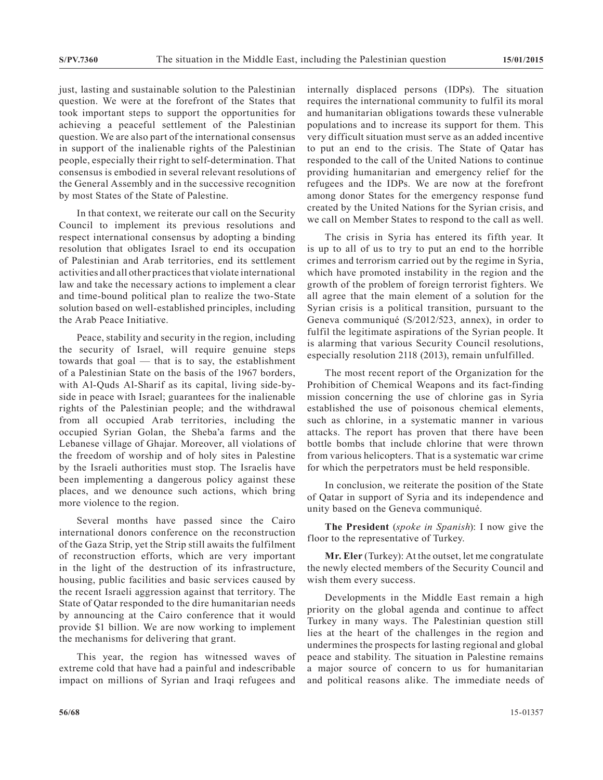just, lasting and sustainable solution to the Palestinian question. We were at the forefront of the States that took important steps to support the opportunities for achieving a peaceful settlement of the Palestinian question. We are also part of the international consensus in support of the inalienable rights of the Palestinian people, especially their right to self-determination. That consensus is embodied in several relevant resolutions of the General Assembly and in the successive recognition by most States of the State of Palestine.

In that context, we reiterate our call on the Security Council to implement its previous resolutions and respect international consensus by adopting a binding resolution that obligates Israel to end its occupation of Palestinian and Arab territories, end its settlement activities and all other practices that violate international law and take the necessary actions to implement a clear and time-bound political plan to realize the two-State solution based on well-established principles, including the Arab Peace Initiative.

Peace, stability and security in the region, including the security of Israel, will require genuine steps towards that goal — that is to say, the establishment of a Palestinian State on the basis of the 1967 borders, with Al-Quds Al-Sharif as its capital, living side-byside in peace with Israel; guarantees for the inalienable rights of the Palestinian people; and the withdrawal from all occupied Arab territories, including the occupied Syrian Golan, the Sheba'a farms and the Lebanese village of Ghajar. Moreover, all violations of the freedom of worship and of holy sites in Palestine by the Israeli authorities must stop. The Israelis have been implementing a dangerous policy against these places, and we denounce such actions, which bring more violence to the region.

Several months have passed since the Cairo international donors conference on the reconstruction of the Gaza Strip, yet the Strip still awaits the fulfilment of reconstruction efforts, which are very important in the light of the destruction of its infrastructure, housing, public facilities and basic services caused by the recent Israeli aggression against that territory. The State of Qatar responded to the dire humanitarian needs by announcing at the Cairo conference that it would provide \$1 billion. We are now working to implement the mechanisms for delivering that grant.

This year, the region has witnessed waves of extreme cold that have had a painful and indescribable impact on millions of Syrian and Iraqi refugees and

internally displaced persons (IDPs). The situation requires the international community to fulfil its moral and humanitarian obligations towards these vulnerable populations and to increase its support for them. This very difficult situation must serve as an added incentive to put an end to the crisis. The State of Qatar has responded to the call of the United Nations to continue providing humanitarian and emergency relief for the refugees and the IDPs. We are now at the forefront among donor States for the emergency response fund created by the United Nations for the Syrian crisis, and we call on Member States to respond to the call as well.

The crisis in Syria has entered its fifth year. It is up to all of us to try to put an end to the horrible crimes and terrorism carried out by the regime in Syria, which have promoted instability in the region and the growth of the problem of foreign terrorist fighters. We all agree that the main element of a solution for the Syrian crisis is a political transition, pursuant to the Geneva communiqué (S/2012/523, annex), in order to fulfil the legitimate aspirations of the Syrian people. It is alarming that various Security Council resolutions, especially resolution 2118 (2013), remain unfulfilled.

The most recent report of the Organization for the Prohibition of Chemical Weapons and its fact-finding mission concerning the use of chlorine gas in Syria established the use of poisonous chemical elements, such as chlorine, in a systematic manner in various attacks. The report has proven that there have been bottle bombs that include chlorine that were thrown from various helicopters. That is a systematic war crime for which the perpetrators must be held responsible.

In conclusion, we reiterate the position of the State of Qatar in support of Syria and its independence and unity based on the Geneva communiqué.

**The President** (*spoke in Spanish*): I now give the floor to the representative of Turkey.

**Mr. Eler** (Turkey): At the outset, let me congratulate the newly elected members of the Security Council and wish them every success.

Developments in the Middle East remain a high priority on the global agenda and continue to affect Turkey in many ways. The Palestinian question still lies at the heart of the challenges in the region and undermines the prospects for lasting regional and global peace and stability. The situation in Palestine remains a major source of concern to us for humanitarian and political reasons alike. The immediate needs of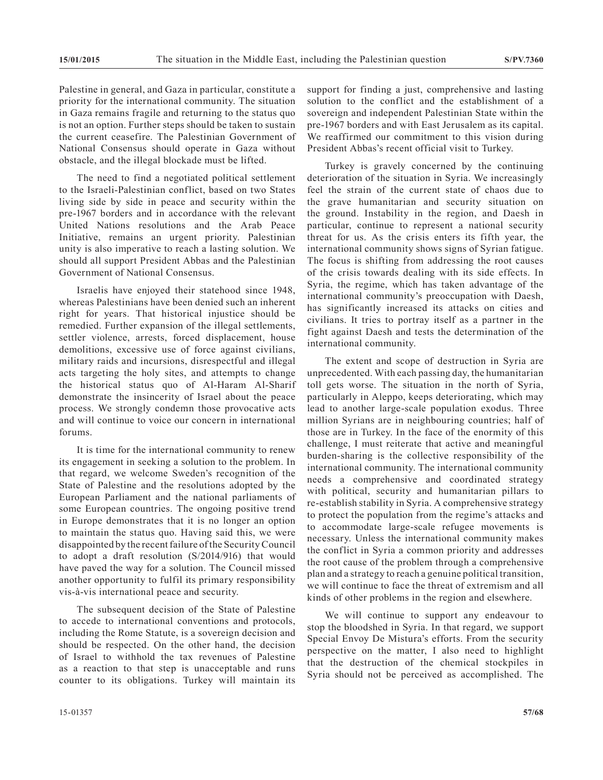Palestine in general, and Gaza in particular, constitute a priority for the international community. The situation in Gaza remains fragile and returning to the status quo is not an option. Further steps should be taken to sustain the current ceasefire. The Palestinian Government of National Consensus should operate in Gaza without obstacle, and the illegal blockade must be lifted.

The need to find a negotiated political settlement to the Israeli-Palestinian conflict, based on two States living side by side in peace and security within the pre-1967 borders and in accordance with the relevant United Nations resolutions and the Arab Peace Initiative, remains an urgent priority. Palestinian unity is also imperative to reach a lasting solution. We should all support President Abbas and the Palestinian Government of National Consensus.

Israelis have enjoyed their statehood since 1948, whereas Palestinians have been denied such an inherent right for years. That historical injustice should be remedied. Further expansion of the illegal settlements, settler violence, arrests, forced displacement, house demolitions, excessive use of force against civilians, military raids and incursions, disrespectful and illegal acts targeting the holy sites, and attempts to change the historical status quo of Al-Haram Al-Sharif demonstrate the insincerity of Israel about the peace process. We strongly condemn those provocative acts and will continue to voice our concern in international forums.

It is time for the international community to renew its engagement in seeking a solution to the problem. In that regard, we welcome Sweden's recognition of the State of Palestine and the resolutions adopted by the European Parliament and the national parliaments of some European countries. The ongoing positive trend in Europe demonstrates that it is no longer an option to maintain the status quo. Having said this, we were disappointed by the recent failure of the Security Council to adopt a draft resolution (S/2014/916) that would have paved the way for a solution. The Council missed another opportunity to fulfil its primary responsibility vis-à-vis international peace and security.

The subsequent decision of the State of Palestine to accede to international conventions and protocols, including the Rome Statute, is a sovereign decision and should be respected. On the other hand, the decision of Israel to withhold the tax revenues of Palestine as a reaction to that step is unacceptable and runs counter to its obligations. Turkey will maintain its support for finding a just, comprehensive and lasting solution to the conflict and the establishment of a sovereign and independent Palestinian State within the pre-1967 borders and with East Jerusalem as its capital. We reaffirmed our commitment to this vision during President Abbas's recent official visit to Turkey.

Turkey is gravely concerned by the continuing deterioration of the situation in Syria. We increasingly feel the strain of the current state of chaos due to the grave humanitarian and security situation on the ground. Instability in the region, and Daesh in particular, continue to represent a national security threat for us. As the crisis enters its fifth year, the international community shows signs of Syrian fatigue. The focus is shifting from addressing the root causes of the crisis towards dealing with its side effects. In Syria, the regime, which has taken advantage of the international community's preoccupation with Daesh, has significantly increased its attacks on cities and civilians. It tries to portray itself as a partner in the fight against Daesh and tests the determination of the international community.

The extent and scope of destruction in Syria are unprecedented. With each passing day, the humanitarian toll gets worse. The situation in the north of Syria, particularly in Aleppo, keeps deteriorating, which may lead to another large-scale population exodus. Three million Syrians are in neighbouring countries; half of those are in Turkey. In the face of the enormity of this challenge, I must reiterate that active and meaningful burden-sharing is the collective responsibility of the international community. The international community needs a comprehensive and coordinated strategy with political, security and humanitarian pillars to re-establish stability in Syria. A comprehensive strategy to protect the population from the regime's attacks and to accommodate large-scale refugee movements is necessary. Unless the international community makes the conflict in Syria a common priority and addresses the root cause of the problem through a comprehensive plan and a strategy to reach a genuine political transition, we will continue to face the threat of extremism and all kinds of other problems in the region and elsewhere.

We will continue to support any endeavour to stop the bloodshed in Syria. In that regard, we support Special Envoy De Mistura's efforts. From the security perspective on the matter, I also need to highlight that the destruction of the chemical stockpiles in Syria should not be perceived as accomplished. The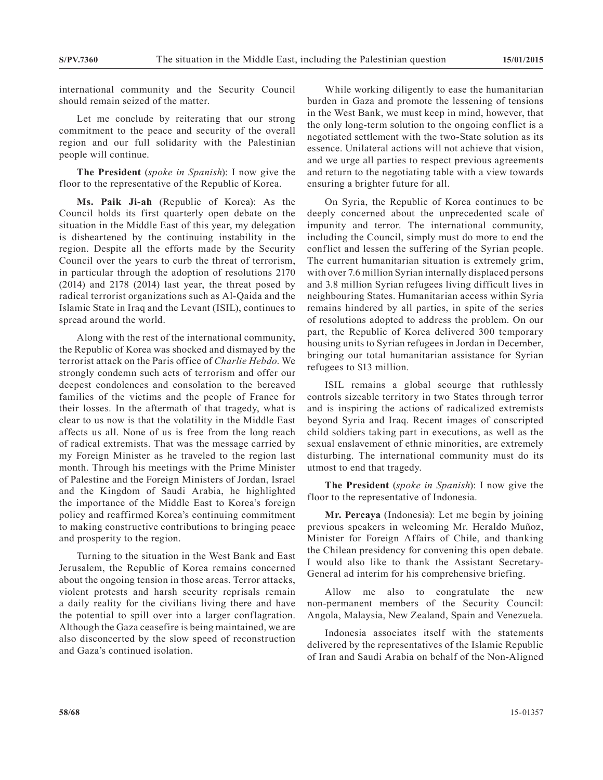international community and the Security Council should remain seized of the matter.

Let me conclude by reiterating that our strong commitment to the peace and security of the overall region and our full solidarity with the Palestinian people will continue.

**The President** (*spoke in Spanish*): I now give the floor to the representative of the Republic of Korea.

**Ms. Paik Ji-ah** (Republic of Korea): As the Council holds its first quarterly open debate on the situation in the Middle East of this year, my delegation is disheartened by the continuing instability in the region. Despite all the efforts made by the Security Council over the years to curb the threat of terrorism, in particular through the adoption of resolutions 2170 (2014) and 2178 (2014) last year, the threat posed by radical terrorist organizations such as Al-Qaida and the Islamic State in Iraq and the Levant (ISIL), continues to spread around the world.

Along with the rest of the international community, the Republic of Korea was shocked and dismayed by the terrorist attack on the Paris office of *Charlie Hebdo*. We strongly condemn such acts of terrorism and offer our deepest condolences and consolation to the bereaved families of the victims and the people of France for their losses. In the aftermath of that tragedy, what is clear to us now is that the volatility in the Middle East affects us all. None of us is free from the long reach of radical extremists. That was the message carried by my Foreign Minister as he traveled to the region last month. Through his meetings with the Prime Minister of Palestine and the Foreign Ministers of Jordan, Israel and the Kingdom of Saudi Arabia, he highlighted the importance of the Middle East to Korea's foreign policy and reaffirmed Korea's continuing commitment to making constructive contributions to bringing peace and prosperity to the region.

Turning to the situation in the West Bank and East Jerusalem, the Republic of Korea remains concerned about the ongoing tension in those areas. Terror attacks, violent protests and harsh security reprisals remain a daily reality for the civilians living there and have the potential to spill over into a larger conflagration. Although the Gaza ceasefire is being maintained, we are also disconcerted by the slow speed of reconstruction and Gaza's continued isolation.

While working diligently to ease the humanitarian burden in Gaza and promote the lessening of tensions in the West Bank, we must keep in mind, however, that the only long-term solution to the ongoing conflict is a negotiated settlement with the two-State solution as its essence. Unilateral actions will not achieve that vision, and we urge all parties to respect previous agreements and return to the negotiating table with a view towards ensuring a brighter future for all.

On Syria, the Republic of Korea continues to be deeply concerned about the unprecedented scale of impunity and terror. The international community, including the Council, simply must do more to end the conflict and lessen the suffering of the Syrian people. The current humanitarian situation is extremely grim, with over 7.6 million Syrian internally displaced persons and 3.8 million Syrian refugees living difficult lives in neighbouring States. Humanitarian access within Syria remains hindered by all parties, in spite of the series of resolutions adopted to address the problem. On our part, the Republic of Korea delivered 300 temporary housing units to Syrian refugees in Jordan in December, bringing our total humanitarian assistance for Syrian refugees to \$13 million.

ISIL remains a global scourge that ruthlessly controls sizeable territory in two States through terror and is inspiring the actions of radicalized extremists beyond Syria and Iraq. Recent images of conscripted child soldiers taking part in executions, as well as the sexual enslavement of ethnic minorities, are extremely disturbing. The international community must do its utmost to end that tragedy.

**The President** (*spoke in Spanish*): I now give the floor to the representative of Indonesia.

**Mr. Percaya** (Indonesia): Let me begin by joining previous speakers in welcoming Mr. Heraldo Muñoz, Minister for Foreign Affairs of Chile, and thanking the Chilean presidency for convening this open debate. I would also like to thank the Assistant Secretary-General ad interim for his comprehensive briefing.

Allow me also to congratulate the new non-permanent members of the Security Council: Angola, Malaysia, New Zealand, Spain and Venezuela.

Indonesia associates itself with the statements delivered by the representatives of the Islamic Republic of Iran and Saudi Arabia on behalf of the Non-Aligned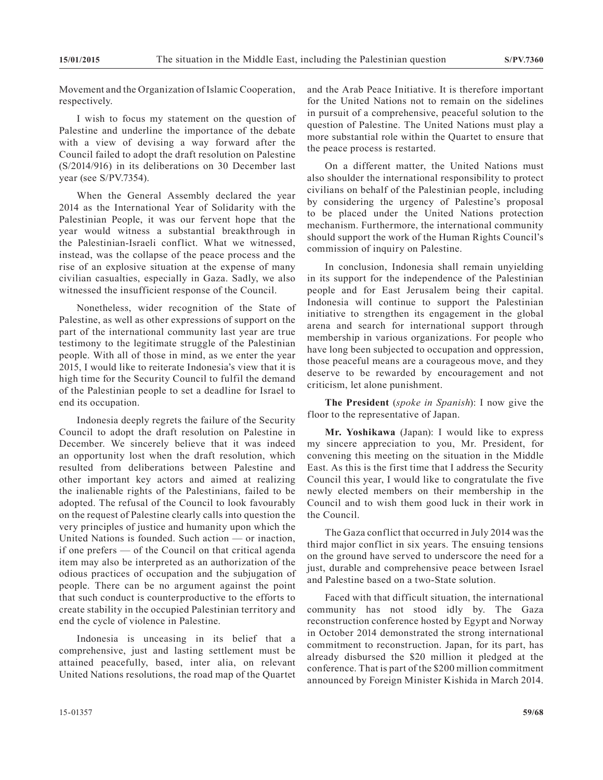Movement and the Organization of Islamic Cooperation, respectively.

I wish to focus my statement on the question of Palestine and underline the importance of the debate with a view of devising a way forward after the Council failed to adopt the draft resolution on Palestine (S/2014/916) in its deliberations on 30 December last year (see S/PV.7354).

When the General Assembly declared the year 2014 as the International Year of Solidarity with the Palestinian People, it was our fervent hope that the year would witness a substantial breakthrough in the Palestinian-Israeli conflict. What we witnessed, instead, was the collapse of the peace process and the rise of an explosive situation at the expense of many civilian casualties, especially in Gaza. Sadly, we also witnessed the insufficient response of the Council.

Nonetheless, wider recognition of the State of Palestine, as well as other expressions of support on the part of the international community last year are true testimony to the legitimate struggle of the Palestinian people. With all of those in mind, as we enter the year 2015, I would like to reiterate Indonesia's view that it is high time for the Security Council to fulfil the demand of the Palestinian people to set a deadline for Israel to end its occupation.

Indonesia deeply regrets the failure of the Security Council to adopt the draft resolution on Palestine in December. We sincerely believe that it was indeed an opportunity lost when the draft resolution, which resulted from deliberations between Palestine and other important key actors and aimed at realizing the inalienable rights of the Palestinians, failed to be adopted. The refusal of the Council to look favourably on the request of Palestine clearly calls into question the very principles of justice and humanity upon which the United Nations is founded. Such action — or inaction, if one prefers — of the Council on that critical agenda item may also be interpreted as an authorization of the odious practices of occupation and the subjugation of people. There can be no argument against the point that such conduct is counterproductive to the efforts to create stability in the occupied Palestinian territory and end the cycle of violence in Palestine.

Indonesia is unceasing in its belief that a comprehensive, just and lasting settlement must be attained peacefully, based, inter alia, on relevant United Nations resolutions, the road map of the Quartet and the Arab Peace Initiative. It is therefore important for the United Nations not to remain on the sidelines in pursuit of a comprehensive, peaceful solution to the question of Palestine. The United Nations must play a more substantial role within the Quartet to ensure that the peace process is restarted.

On a different matter, the United Nations must also shoulder the international responsibility to protect civilians on behalf of the Palestinian people, including by considering the urgency of Palestine's proposal to be placed under the United Nations protection mechanism. Furthermore, the international community should support the work of the Human Rights Council's commission of inquiry on Palestine.

In conclusion, Indonesia shall remain unyielding in its support for the independence of the Palestinian people and for East Jerusalem being their capital. Indonesia will continue to support the Palestinian initiative to strengthen its engagement in the global arena and search for international support through membership in various organizations. For people who have long been subjected to occupation and oppression, those peaceful means are a courageous move, and they deserve to be rewarded by encouragement and not criticism, let alone punishment.

**The President** (*spoke in Spanish*): I now give the floor to the representative of Japan.

**Mr. Yoshikawa** (Japan): I would like to express my sincere appreciation to you, Mr. President, for convening this meeting on the situation in the Middle East. As this is the first time that I address the Security Council this year, I would like to congratulate the five newly elected members on their membership in the Council and to wish them good luck in their work in the Council.

The Gaza conflict that occurred in July 2014 was the third major conflict in six years. The ensuing tensions on the ground have served to underscore the need for a just, durable and comprehensive peace between Israel and Palestine based on a two-State solution.

Faced with that difficult situation, the international community has not stood idly by. The Gaza reconstruction conference hosted by Egypt and Norway in October 2014 demonstrated the strong international commitment to reconstruction. Japan, for its part, has already disbursed the \$20 million it pledged at the conference. That is part of the \$200 million commitment announced by Foreign Minister Kishida in March 2014.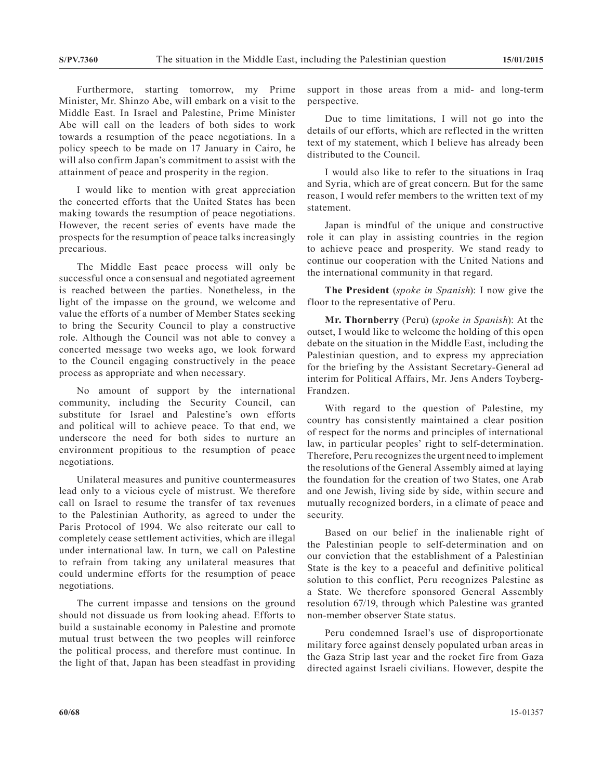Furthermore, starting tomorrow, my Prime Minister, Mr. Shinzo Abe, will embark on a visit to the Middle East. In Israel and Palestine, Prime Minister Abe will call on the leaders of both sides to work towards a resumption of the peace negotiations. In a policy speech to be made on 17 January in Cairo, he will also confirm Japan's commitment to assist with the attainment of peace and prosperity in the region.

I would like to mention with great appreciation the concerted efforts that the United States has been making towards the resumption of peace negotiations. However, the recent series of events have made the prospects for the resumption of peace talks increasingly precarious.

The Middle East peace process will only be successful once a consensual and negotiated agreement is reached between the parties. Nonetheless, in the light of the impasse on the ground, we welcome and value the efforts of a number of Member States seeking to bring the Security Council to play a constructive role. Although the Council was not able to convey a concerted message two weeks ago, we look forward to the Council engaging constructively in the peace process as appropriate and when necessary.

No amount of support by the international community, including the Security Council, can substitute for Israel and Palestine's own efforts and political will to achieve peace. To that end, we underscore the need for both sides to nurture an environment propitious to the resumption of peace negotiations.

Unilateral measures and punitive countermeasures lead only to a vicious cycle of mistrust. We therefore call on Israel to resume the transfer of tax revenues to the Palestinian Authority, as agreed to under the Paris Protocol of 1994. We also reiterate our call to completely cease settlement activities, which are illegal under international law. In turn, we call on Palestine to refrain from taking any unilateral measures that could undermine efforts for the resumption of peace negotiations.

The current impasse and tensions on the ground should not dissuade us from looking ahead. Efforts to build a sustainable economy in Palestine and promote mutual trust between the two peoples will reinforce the political process, and therefore must continue. In the light of that, Japan has been steadfast in providing

support in those areas from a mid- and long-term perspective.

Due to time limitations, I will not go into the details of our efforts, which are reflected in the written text of my statement, which I believe has already been distributed to the Council.

I would also like to refer to the situations in Iraq and Syria, which are of great concern. But for the same reason, I would refer members to the written text of my statement.

Japan is mindful of the unique and constructive role it can play in assisting countries in the region to achieve peace and prosperity. We stand ready to continue our cooperation with the United Nations and the international community in that regard.

**The President** (*spoke in Spanish*): I now give the floor to the representative of Peru.

**Mr. Thornberry** (Peru) (*spoke in Spanish*): At the outset, I would like to welcome the holding of this open debate on the situation in the Middle East, including the Palestinian question, and to express my appreciation for the briefing by the Assistant Secretary-General ad interim for Political Affairs, Mr. Jens Anders Toyberg-Frandzen.

With regard to the question of Palestine, my country has consistently maintained a clear position of respect for the norms and principles of international law, in particular peoples' right to self-determination. Therefore, Peru recognizes the urgent need to implement the resolutions of the General Assembly aimed at laying the foundation for the creation of two States, one Arab and one Jewish, living side by side, within secure and mutually recognized borders, in a climate of peace and security.

Based on our belief in the inalienable right of the Palestinian people to self-determination and on our conviction that the establishment of a Palestinian State is the key to a peaceful and definitive political solution to this conflict, Peru recognizes Palestine as a State. We therefore sponsored General Assembly resolution 67/19, through which Palestine was granted non-member observer State status.

Peru condemned Israel's use of disproportionate military force against densely populated urban areas in the Gaza Strip last year and the rocket fire from Gaza directed against Israeli civilians. However, despite the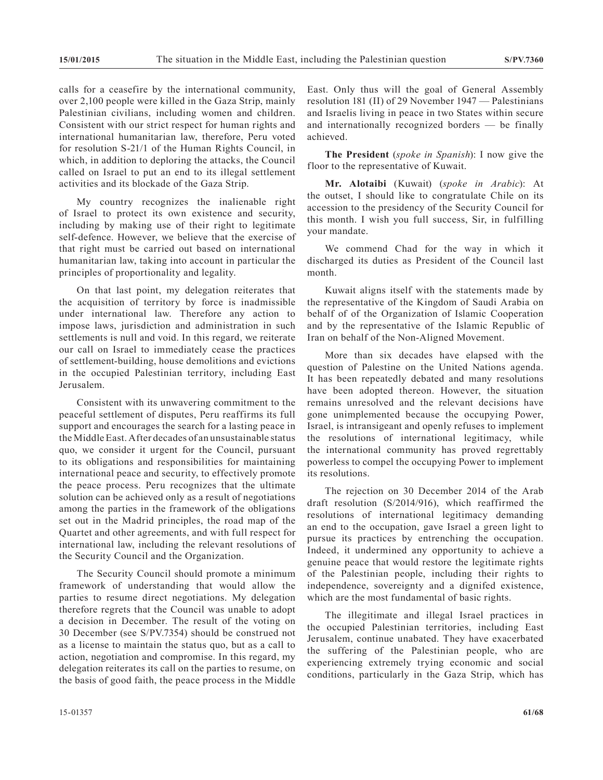calls for a ceasefire by the international community, over 2,100 people were killed in the Gaza Strip, mainly Palestinian civilians, including women and children. Consistent with our strict respect for human rights and international humanitarian law, therefore, Peru voted for resolution S-21/1 of the Human Rights Council, in which, in addition to deploring the attacks, the Council called on Israel to put an end to its illegal settlement activities and its blockade of the Gaza Strip.

My country recognizes the inalienable right of Israel to protect its own existence and security, including by making use of their right to legitimate self-defence. However, we believe that the exercise of that right must be carried out based on international humanitarian law, taking into account in particular the principles of proportionality and legality.

On that last point, my delegation reiterates that the acquisition of territory by force is inadmissible under international law. Therefore any action to impose laws, jurisdiction and administration in such settlements is null and void. In this regard, we reiterate our call on Israel to immediately cease the practices of settlement-building, house demolitions and evictions in the occupied Palestinian territory, including East Jerusalem.

Consistent with its unwavering commitment to the peaceful settlement of disputes, Peru reaffirms its full support and encourages the search for a lasting peace in the Middle East. After decades of an unsustainable status quo, we consider it urgent for the Council, pursuant to its obligations and responsibilities for maintaining international peace and security, to effectively promote the peace process. Peru recognizes that the ultimate solution can be achieved only as a result of negotiations among the parties in the framework of the obligations set out in the Madrid principles, the road map of the Quartet and other agreements, and with full respect for international law, including the relevant resolutions of the Security Council and the Organization.

The Security Council should promote a minimum framework of understanding that would allow the parties to resume direct negotiations. My delegation therefore regrets that the Council was unable to adopt a decision in December. The result of the voting on 30 December (see S/PV.7354) should be construed not as a license to maintain the status quo, but as a call to action, negotiation and compromise. In this regard, my delegation reiterates its call on the parties to resume, on the basis of good faith, the peace process in the Middle

East. Only thus will the goal of General Assembly resolution 181 (II) of 29 November 1947 — Palestinians and Israelis living in peace in two States within secure and internationally recognized borders — be finally achieved.

**The President** (*spoke in Spanish*): I now give the floor to the representative of Kuwait.

**Mr. Alotaibi** (Kuwait) (*spoke in Arabic*): At the outset, I should like to congratulate Chile on its accession to the presidency of the Security Council for this month. I wish you full success, Sir, in fulfilling your mandate.

We commend Chad for the way in which it discharged its duties as President of the Council last month.

Kuwait aligns itself with the statements made by the representative of the Kingdom of Saudi Arabia on behalf of of the Organization of Islamic Cooperation and by the representative of the Islamic Republic of Iran on behalf of the Non-Aligned Movement.

More than six decades have elapsed with the question of Palestine on the United Nations agenda. It has been repeatedly debated and many resolutions have been adopted thereon. However, the situation remains unresolved and the relevant decisions have gone unimplemented because the occupying Power, Israel, is intransigeant and openly refuses to implement the resolutions of international legitimacy, while the international community has proved regrettably powerless to compel the occupying Power to implement its resolutions.

The rejection on 30 December 2014 of the Arab draft resolution (S/2014/916), which reaffirmed the resolutions of international legitimacy demanding an end to the occupation, gave Israel a green light to pursue its practices by entrenching the occupation. Indeed, it undermined any opportunity to achieve a genuine peace that would restore the legitimate rights of the Palestinian people, including their rights to independence, sovereignty and a dignifed existence, which are the most fundamental of basic rights.

The illegitimate and illegal Israel practices in the occupied Palestinian territories, including East Jerusalem, continue unabated. They have exacerbated the suffering of the Palestinian people, who are experiencing extremely trying economic and social conditions, particularly in the Gaza Strip, which has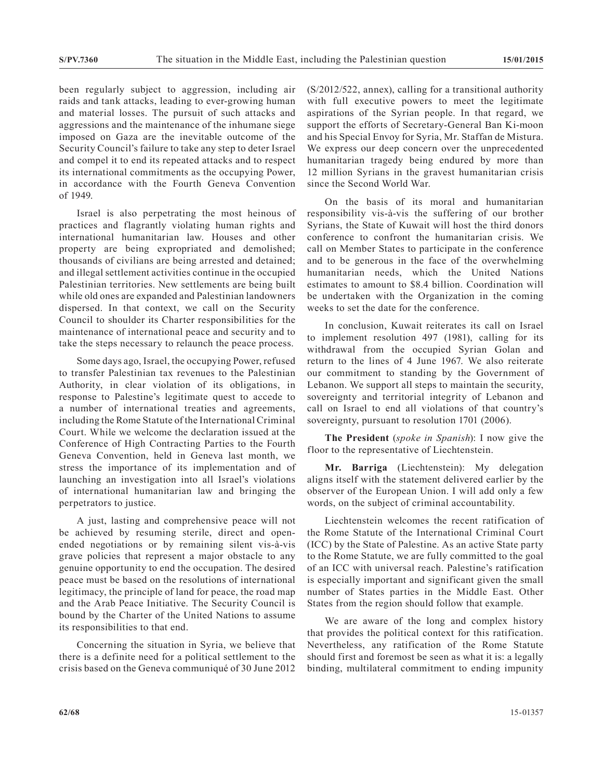been regularly subject to aggression, including air raids and tank attacks, leading to ever-growing human and material losses. The pursuit of such attacks and aggressions and the maintenance of the inhumane siege imposed on Gaza are the inevitable outcome of the Security Council's failure to take any step to deter Israel and compel it to end its repeated attacks and to respect its international commitments as the occupying Power, in accordance with the Fourth Geneva Convention of 1949.

Israel is also perpetrating the most heinous of practices and flagrantly violating human rights and international humanitarian law. Houses and other property are being expropriated and demolished; thousands of civilians are being arrested and detained; and illegal settlement activities continue in the occupied Palestinian territories. New settlements are being built while old ones are expanded and Palestinian landowners dispersed. In that context, we call on the Security Council to shoulder its Charter responsibilities for the maintenance of international peace and security and to take the steps necessary to relaunch the peace process.

Some days ago, Israel, the occupying Power, refused to transfer Palestinian tax revenues to the Palestinian Authority, in clear violation of its obligations, in response to Palestine's legitimate quest to accede to a number of international treaties and agreements, including the Rome Statute of the International Criminal Court. While we welcome the declaration issued at the Conference of High Contracting Parties to the Fourth Geneva Convention, held in Geneva last month, we stress the importance of its implementation and of launching an investigation into all Israel's violations of international humanitarian law and bringing the perpetrators to justice.

A just, lasting and comprehensive peace will not be achieved by resuming sterile, direct and openended negotiations or by remaining silent vis-à-vis grave policies that represent a major obstacle to any genuine opportunity to end the occupation. The desired peace must be based on the resolutions of international legitimacy, the principle of land for peace, the road map and the Arab Peace Initiative. The Security Council is bound by the Charter of the United Nations to assume its responsibilities to that end.

Concerning the situation in Syria, we believe that there is a definite need for a political settlement to the crisis based on the Geneva communiqué of 30 June 2012 (S/2012/522, annex), calling for a transitional authority with full executive powers to meet the legitimate aspirations of the Syrian people. In that regard, we support the efforts of Secretary-General Ban Ki-moon and his Special Envoy for Syria, Mr. Staffan de Mistura. We express our deep concern over the unprecedented humanitarian tragedy being endured by more than 12 million Syrians in the gravest humanitarian crisis since the Second World War.

On the basis of its moral and humanitarian responsibility vis-à-vis the suffering of our brother Syrians, the State of Kuwait will host the third donors conference to confront the humanitarian crisis. We call on Member States to participate in the conference and to be generous in the face of the overwhelming humanitarian needs, which the United Nations estimates to amount to \$8.4 billion. Coordination will be undertaken with the Organization in the coming weeks to set the date for the conference.

In conclusion, Kuwait reiterates its call on Israel to implement resolution 497 (1981), calling for its withdrawal from the occupied Syrian Golan and return to the lines of 4 June 1967. We also reiterate our commitment to standing by the Government of Lebanon. We support all steps to maintain the security, sovereignty and territorial integrity of Lebanon and call on Israel to end all violations of that country's sovereignty, pursuant to resolution 1701 (2006).

**The President** (*spoke in Spanish*): I now give the floor to the representative of Liechtenstein.

**Mr. Barriga** (Liechtenstein): My delegation aligns itself with the statement delivered earlier by the observer of the European Union. I will add only a few words, on the subject of criminal accountability.

Liechtenstein welcomes the recent ratification of the Rome Statute of the International Criminal Court (ICC) by the State of Palestine. As an active State party to the Rome Statute, we are fully committed to the goal of an ICC with universal reach. Palestine's ratification is especially important and significant given the small number of States parties in the Middle East. Other States from the region should follow that example.

We are aware of the long and complex history that provides the political context for this ratification. Nevertheless, any ratification of the Rome Statute should first and foremost be seen as what it is: a legally binding, multilateral commitment to ending impunity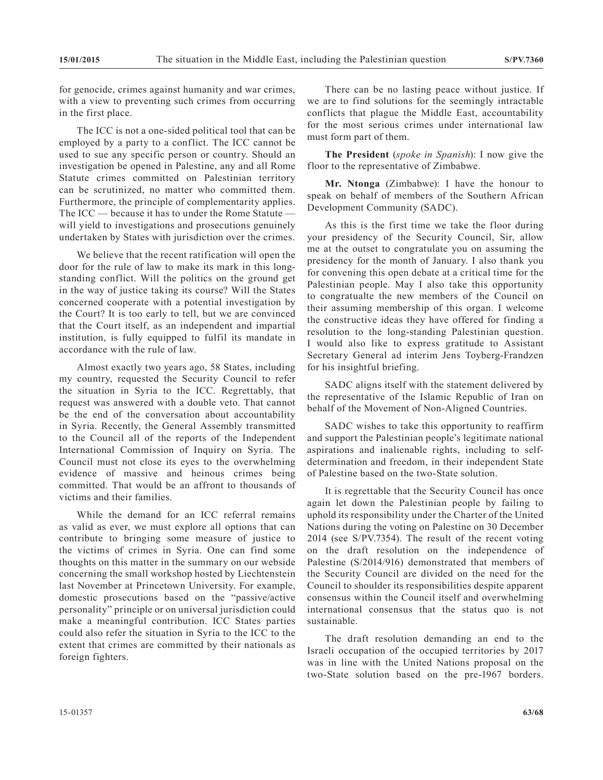for genocide, crimes against humanity and war crimes, with a view to preventing such crimes from occurring in the first place.

The ICC is not a one-sided political tool that can be employed by a party to a conflict. The ICC cannot be used to sue any specific person or country. Should an investigation be opened in Palestine, any and all Rome Statute crimes committed on Palestinian territory can be scrutinized, no matter who committed them. Furthermore, the principle of complementarity applies. The ICC — because it has to under the Rome Statute will yield to investigations and prosecutions genuinely undertaken by States with jurisdiction over the crimes.

We believe that the recent ratification will open the door for the rule of law to make its mark in this longstanding conflict. Will the politics on the ground get in the way of justice taking its course? Will the States concerned cooperate with a potential investigation by the Court? It is too early to tell, but we are convinced that the Court itself, as an independent and impartial institution, is fully equipped to fulfil its mandate in accordance with the rule of law.

Almost exactly two years ago, 58 States, including my country, requested the Security Council to refer the situation in Syria to the ICC. Regrettably, that request was answered with a double veto. That cannot be the end of the conversation about accountability in Syria. Recently, the General Assembly transmitted to the Council all of the reports of the Independent International Commission of Inquiry on Syria. The Council must not close its eyes to the overwhelming evidence of massive and heinous crimes being committed. That would be an affront to thousands of victims and their families.

While the demand for an ICC referral remains as valid as ever, we must explore all options that can contribute to bringing some measure of justice to the victims of crimes in Syria. One can find some thoughts on this matter in the summary on our webside concerning the small workshop hosted by Liechtenstein last November at Princetown University. For example, domestic prosecutions based on the "passive/active personality" principle or on universal jurisdiction could make a meaningful contribution. ICC States parties could also refer the situation in Syria to the ICC to the extent that crimes are committed by their nationals as foreign fighters.

There can be no lasting peace without justice. If we are to find solutions for the seemingly intractable conflicts that plague the Middle East, accountability for the most serious crimes under international law must form part of them.

**The President** (*spoke in Spanish*): I now give the floor to the representative of Zimbabwe.

**Mr. Ntonga** (Zimbabwe): I have the honour to speak on behalf of members of the Southern African Development Community (SADC).

As this is the first time we take the floor during your presidency of the Security Council, Sir, allow me at the outset to congratulate you on assuming the presidency for the month of January. I also thank you for convening this open debate at a critical time for the Palestinian people. May I also take this opportunity to congratualte the new members of the Council on their assuming membership of this organ. I welcome the constructive ideas they have offered for finding a resolution to the long-standing Palestinian question. I would also like to express gratitude to Assistant Secretary General ad interim Jens Toyberg-Frandzen for his insightful briefing.

SADC aligns itself with the statement delivered by the representative of the Islamic Republic of Iran on behalf of the Movement of Non-Aligned Countries.

SADC wishes to take this opportunity to reaffirm and support the Palestinian people's legitimate national aspirations and inalienable rights, including to selfdetermination and freedom, in their independent State of Palestine based on the two-State solution.

It is regrettable that the Security Council has once again let down the Palestinian people by failing to uphold its responsibility under the Charter of the United Nations during the voting on Palestine on 30 December 2014 (see S/PV.7354). The result of the recent voting on the draft resolution on the independence of Palestine (S/2014/916) demonstrated that members of the Security Council are divided on the need for the Council to shoulder its responsibilities despite apparent consensus within the Council itself and overwhelming international consensus that the status quo is not sustainable.

The draft resolution demanding an end to the Israeli occupation of the occupied territories by 2017 was in line with the United Nations proposal on the two-State solution based on the pre-1967 borders.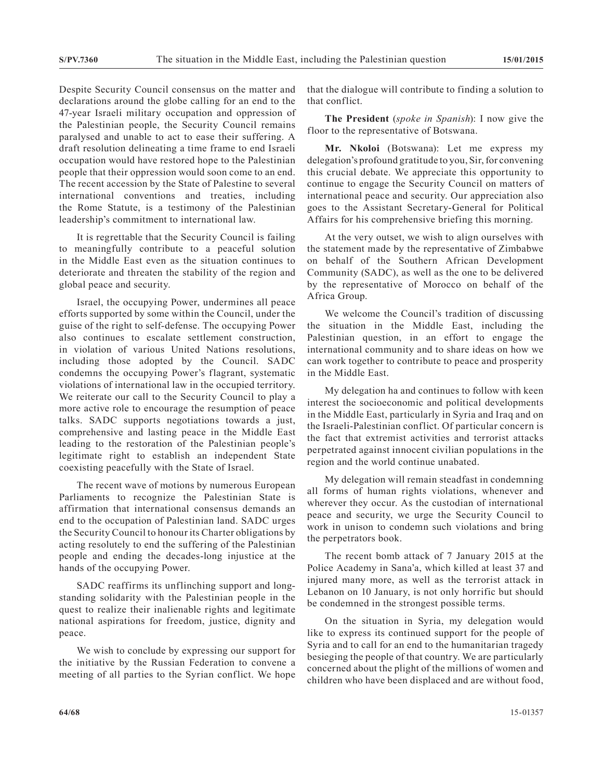Despite Security Council consensus on the matter and declarations around the globe calling for an end to the 47-year Israeli military occupation and oppression of the Palestinian people, the Security Council remains paralysed and unable to act to ease their suffering. A draft resolution delineating a time frame to end Israeli occupation would have restored hope to the Palestinian people that their oppression would soon come to an end. The recent accession by the State of Palestine to several international conventions and treaties, including the Rome Statute, is a testimony of the Palestinian leadership's commitment to international law.

It is regrettable that the Security Council is failing to meaningfully contribute to a peaceful solution in the Middle East even as the situation continues to deteriorate and threaten the stability of the region and global peace and security.

Israel, the occupying Power, undermines all peace efforts supported by some within the Council, under the guise of the right to self-defense. The occupying Power also continues to escalate settlement construction, in violation of various United Nations resolutions, including those adopted by the Council. SADC condemns the occupying Power's flagrant, systematic violations of international law in the occupied territory. We reiterate our call to the Security Council to play a more active role to encourage the resumption of peace talks. SADC supports negotiations towards a just, comprehensive and lasting peace in the Middle East leading to the restoration of the Palestinian people's legitimate right to establish an independent State coexisting peacefully with the State of Israel.

The recent wave of motions by numerous European Parliaments to recognize the Palestinian State is affirmation that international consensus demands an end to the occupation of Palestinian land. SADC urges the Security Council to honour its Charter obligations by acting resolutely to end the suffering of the Palestinian people and ending the decades-long injustice at the hands of the occupying Power.

SADC reaffirms its unflinching support and longstanding solidarity with the Palestinian people in the quest to realize their inalienable rights and legitimate national aspirations for freedom, justice, dignity and peace.

We wish to conclude by expressing our support for the initiative by the Russian Federation to convene a meeting of all parties to the Syrian conflict. We hope

that the dialogue will contribute to finding a solution to that conflict.

**The President** (*spoke in Spanish*): I now give the floor to the representative of Botswana.

**Mr. Nkoloi** (Botswana): Let me express my delegation's profound gratitude to you, Sir, for convening this crucial debate. We appreciate this opportunity to continue to engage the Security Council on matters of international peace and security. Our appreciation also goes to the Assistant Secretary-General for Political Affairs for his comprehensive briefing this morning.

At the very outset, we wish to align ourselves with the statement made by the representative of Zimbabwe on behalf of the Southern African Development Community (SADC), as well as the one to be delivered by the representative of Morocco on behalf of the Africa Group.

We welcome the Council's tradition of discussing the situation in the Middle East, including the Palestinian question, in an effort to engage the international community and to share ideas on how we can work together to contribute to peace and prosperity in the Middle East.

My delegation ha and continues to follow with keen interest the socioeconomic and political developments in the Middle East, particularly in Syria and Iraq and on the Israeli-Palestinian conflict. Of particular concern is the fact that extremist activities and terrorist attacks perpetrated against innocent civilian populations in the region and the world continue unabated.

My delegation will remain steadfast in condemning all forms of human rights violations, whenever and wherever they occur. As the custodian of international peace and security, we urge the Security Council to work in unison to condemn such violations and bring the perpetrators book.

The recent bomb attack of 7 January 2015 at the Police Academy in Sana'a, which killed at least 37 and injured many more, as well as the terrorist attack in Lebanon on 10 January, is not only horrific but should be condemned in the strongest possible terms.

On the situation in Syria, my delegation would like to express its continued support for the people of Syria and to call for an end to the humanitarian tragedy besieging the people of that country. We are particularly concerned about the plight of the millions of women and children who have been displaced and are without food,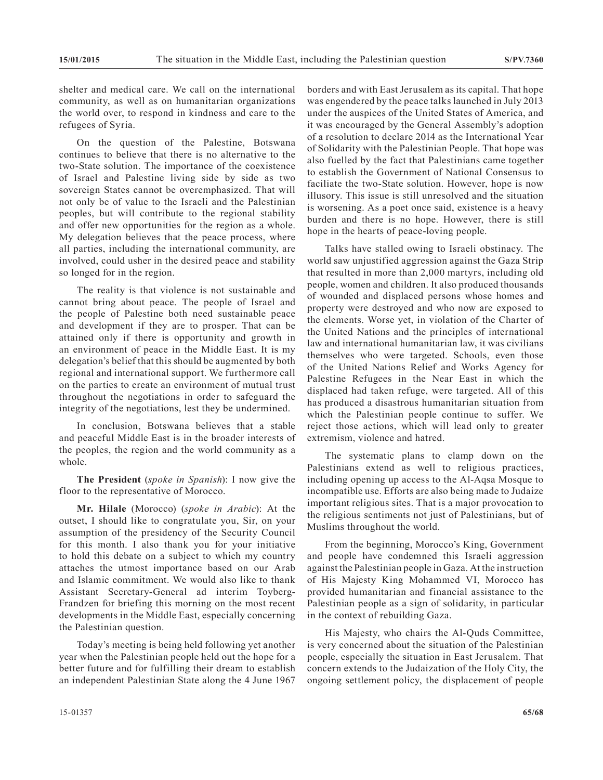shelter and medical care. We call on the international community, as well as on humanitarian organizations the world over, to respond in kindness and care to the refugees of Syria.

On the question of the Palestine, Botswana continues to believe that there is no alternative to the two-State solution. The importance of the coexistence of Israel and Palestine living side by side as two sovereign States cannot be overemphasized. That will not only be of value to the Israeli and the Palestinian peoples, but will contribute to the regional stability and offer new opportunities for the region as a whole. My delegation believes that the peace process, where all parties, including the international community, are involved, could usher in the desired peace and stability so longed for in the region.

The reality is that violence is not sustainable and cannot bring about peace. The people of Israel and the people of Palestine both need sustainable peace and development if they are to prosper. That can be attained only if there is opportunity and growth in an environment of peace in the Middle East. It is my delegation's belief that this should be augmented by both regional and international support. We furthermore call on the parties to create an environment of mutual trust throughout the negotiations in order to safeguard the integrity of the negotiations, lest they be undermined.

In conclusion, Botswana believes that a stable and peaceful Middle East is in the broader interests of the peoples, the region and the world community as a whole.

**The President** (*spoke in Spanish*): I now give the floor to the representative of Morocco.

**Mr. Hilale** (Morocco) (*spoke in Arabic*): At the outset, I should like to congratulate you, Sir, on your assumption of the presidency of the Security Council for this month. I also thank you for your initiative to hold this debate on a subject to which my country attaches the utmost importance based on our Arab and Islamic commitment. We would also like to thank Assistant Secretary-General ad interim Toyberg-Frandzen for briefing this morning on the most recent developments in the Middle East, especially concerning the Palestinian question.

Today's meeting is being held following yet another year when the Palestinian people held out the hope for a better future and for fulfilling their dream to establish an independent Palestinian State along the 4 June 1967

borders and with East Jerusalem as its capital. That hope was engendered by the peace talks launched in July 2013 under the auspices of the United States of America, and it was encouraged by the General Assembly's adoption of a resolution to declare 2014 as the International Year of Solidarity with the Palestinian People. That hope was also fuelled by the fact that Palestinians came together to establish the Government of National Consensus to faciliate the two-State solution. However, hope is now illusory. This issue is still unresolved and the situation is worsening. As a poet once said, existence is a heavy burden and there is no hope. However, there is still hope in the hearts of peace-loving people.

Talks have stalled owing to Israeli obstinacy. The world saw unjustified aggression against the Gaza Strip that resulted in more than 2,000 martyrs, including old people, women and children. It also produced thousands of wounded and displaced persons whose homes and property were destroyed and who now are exposed to the elements. Worse yet, in violation of the Charter of the United Nations and the principles of international law and international humanitarian law, it was civilians themselves who were targeted. Schools, even those of the United Nations Relief and Works Agency for Palestine Refugees in the Near East in which the displaced had taken refuge, were targeted. All of this has produced a disastrous humanitarian situation from which the Palestinian people continue to suffer. We reject those actions, which will lead only to greater extremism, violence and hatred.

The systematic plans to clamp down on the Palestinians extend as well to religious practices, including opening up access to the Al-Aqsa Mosque to incompatible use. Efforts are also being made to Judaize important religious sites. That is a major provocation to the religious sentiments not just of Palestinians, but of Muslims throughout the world.

From the beginning, Morocco's King, Government and people have condemned this Israeli aggression against the Palestinian people in Gaza. At the instruction of His Majesty King Mohammed VI, Morocco has provided humanitarian and financial assistance to the Palestinian people as a sign of solidarity, in particular in the context of rebuilding Gaza.

His Majesty, who chairs the Al-Quds Committee, is very concerned about the situation of the Palestinian people, especially the situation in East Jerusalem. That concern extends to the Judaization of the Holy City, the ongoing settlement policy, the displacement of people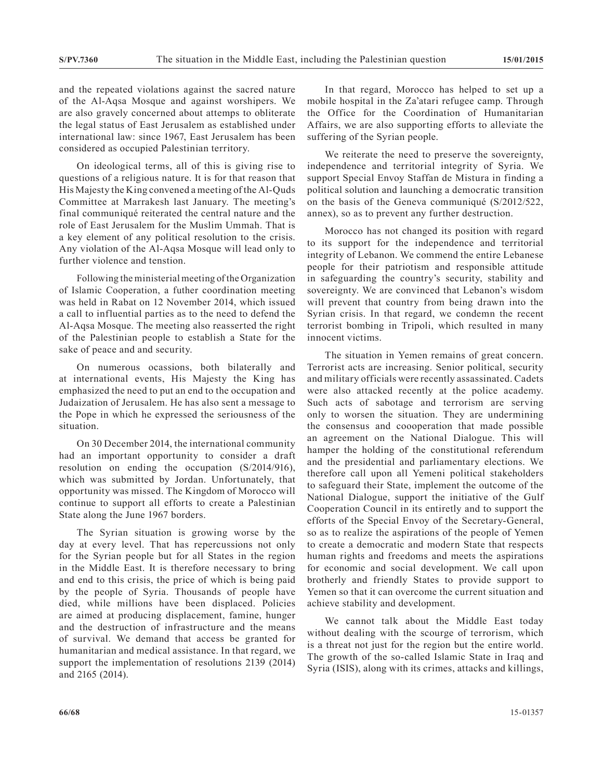and the repeated violations against the sacred nature of the Al-Aqsa Mosque and against worshipers. We are also gravely concerned about attemps to obliterate the legal status of East Jerusalem as established under international law: since 1967, East Jerusalem has been considered as occupied Palestinian territory.

On ideological terms, all of this is giving rise to questions of a religious nature. It is for that reason that His Majesty the King convened a meeting of the Al-Quds Committee at Marrakesh last January. The meeting's final communiqué reiterated the central nature and the role of East Jerusalem for the Muslim Ummah. That is a key element of any political resolution to the crisis. Any violation of the Al-Aqsa Mosque will lead only to further violence and tenstion.

Following the ministerial meeting of the Organization of Islamic Cooperation, a futher coordination meeting was held in Rabat on 12 November 2014, which issued a call to influential parties as to the need to defend the Al-Aqsa Mosque. The meeting also reasserted the right of the Palestinian people to establish a State for the sake of peace and and security.

On numerous ocassions, both bilaterally and at international events, His Majesty the King has emphasized the need to put an end to the occupation and Judaization of Jerusalem. He has also sent a message to the Pope in which he expressed the seriousness of the situation.

On 30 December 2014, the international community had an important opportunity to consider a draft resolution on ending the occupation (S/2014/916), which was submitted by Jordan. Unfortunately, that opportunity was missed. The Kingdom of Morocco will continue to support all efforts to create a Palestinian State along the June 1967 borders.

The Syrian situation is growing worse by the day at every level. That has repercussions not only for the Syrian people but for all States in the region in the Middle East. It is therefore necessary to bring and end to this crisis, the price of which is being paid by the people of Syria. Thousands of people have died, while millions have been displaced. Policies are aimed at producing displacement, famine, hunger and the destruction of infrastructure and the means of survival. We demand that access be granted for humanitarian and medical assistance. In that regard, we support the implementation of resolutions 2139 (2014) and 2165 (2014).

In that regard, Morocco has helped to set up a mobile hospital in the Za'atari refugee camp. Through the Office for the Coordination of Humanitarian Affairs, we are also supporting efforts to alleviate the suffering of the Syrian people.

We reiterate the need to preserve the sovereignty, independence and territorial integrity of Syria. We support Special Envoy Staffan de Mistura in finding a political solution and launching a democratic transition on the basis of the Geneva communiqué (S/2012/522, annex), so as to prevent any further destruction.

Morocco has not changed its position with regard to its support for the independence and territorial integrity of Lebanon. We commend the entire Lebanese people for their patriotism and responsible attitude in safeguarding the country's security, stability and sovereignty. We are convinced that Lebanon's wisdom will prevent that country from being drawn into the Syrian crisis. In that regard, we condemn the recent terrorist bombing in Tripoli, which resulted in many innocent victims.

The situation in Yemen remains of great concern. Terrorist acts are increasing. Senior political, security and military officials were recently assassinated. Cadets were also attacked recently at the police academy. Such acts of sabotage and terrorism are serving only to worsen the situation. They are undermining the consensus and coooperation that made possible an agreement on the National Dialogue. This will hamper the holding of the constitutional referendum and the presidential and parliamentary elections. We therefore call upon all Yemeni political stakeholders to safeguard their State, implement the outcome of the National Dialogue, support the initiative of the Gulf Cooperation Council in its entiretly and to support the efforts of the Special Envoy of the Secretary-General, so as to realize the aspirations of the people of Yemen to create a democratic and modern State that respects human rights and freedoms and meets the aspirations for economic and social development. We call upon brotherly and friendly States to provide support to Yemen so that it can overcome the current situation and achieve stability and development.

We cannot talk about the Middle East today without dealing with the scourge of terrorism, which is a threat not just for the region but the entire world. The growth of the so-called Islamic State in Iraq and Syria (ISIS), along with its crimes, attacks and killings,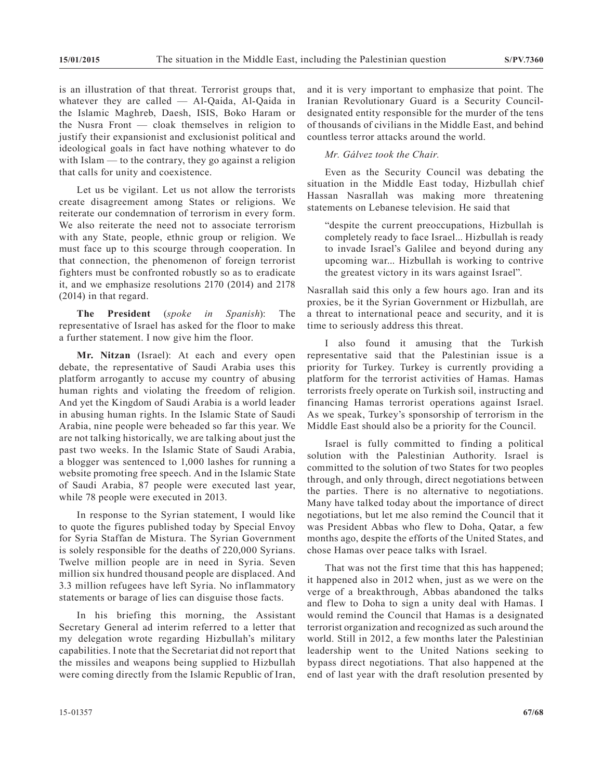is an illustration of that threat. Terrorist groups that, whatever they are called — Al-Qaida, Al-Qaida in the Islamic Maghreb, Daesh, ISIS, Boko Haram or the Nusra Front — cloak themselves in religion to justify their expansionist and exclusionist political and ideological goals in fact have nothing whatever to do with Islam — to the contrary, they go against a religion that calls for unity and coexistence.

Let us be vigilant. Let us not allow the terrorists create disagreement among States or religions. We reiterate our condemnation of terrorism in every form. We also reiterate the need not to associate terrorism with any State, people, ethnic group or religion. We must face up to this scourge through cooperation. In that connection, the phenomenon of foreign terrorist fighters must be confronted robustly so as to eradicate it, and we emphasize resolutions 2170 (2014) and 2178 (2014) in that regard.

**The President** (*spoke in Spanish*): The representative of Israel has asked for the floor to make a further statement. I now give him the floor.

**Mr. Nitzan** (Israel): At each and every open debate, the representative of Saudi Arabia uses this platform arrogantly to accuse my country of abusing human rights and violating the freedom of religion. And yet the Kingdom of Saudi Arabia is a world leader in abusing human rights. In the Islamic State of Saudi Arabia, nine people were beheaded so far this year. We are not talking historically, we are talking about just the past two weeks. In the Islamic State of Saudi Arabia, a blogger was sentenced to 1,000 lashes for running a website promoting free speech. And in the Islamic State of Saudi Arabia, 87 people were executed last year, while 78 people were executed in 2013.

In response to the Syrian statement, I would like to quote the figures published today by Special Envoy for Syria Staffan de Mistura. The Syrian Government is solely responsible for the deaths of 220,000 Syrians. Twelve million people are in need in Syria. Seven million six hundred thousand people are displaced. And 3.3 million refugees have left Syria. No inflammatory statements or barage of lies can disguise those facts.

In his briefing this morning, the Assistant Secretary General ad interim referred to a letter that my delegation wrote regarding Hizbullah's military capabilities. I note that the Secretariat did not report that the missiles and weapons being supplied to Hizbullah were coming directly from the Islamic Republic of Iran,

and it is very important to emphasize that point. The Iranian Revolutionary Guard is a Security Councildesignated entity responsible for the murder of the tens of thousands of civilians in the Middle East, and behind countless terror attacks around the world.

*Mr. Gálvez took the Chair.*

Even as the Security Council was debating the situation in the Middle East today, Hizbullah chief Hassan Nasrallah was making more threatening statements on Lebanese television. He said that

"despite the current preoccupations, Hizbullah is completely ready to face Israel... Hizbullah is ready to invade Israel's Galilee and beyond during any upcoming war... Hizbullah is working to contrive the greatest victory in its wars against Israel".

Nasrallah said this only a few hours ago. Iran and its proxies, be it the Syrian Government or Hizbullah, are a threat to international peace and security, and it is time to seriously address this threat.

I also found it amusing that the Turkish representative said that the Palestinian issue is a priority for Turkey. Turkey is currently providing a platform for the terrorist activities of Hamas. Hamas terrorists freely operate on Turkish soil, instructing and financing Hamas terrorist operations against Israel. As we speak, Turkey's sponsorship of terrorism in the Middle East should also be a priority for the Council.

Israel is fully committed to finding a political solution with the Palestinian Authority. Israel is committed to the solution of two States for two peoples through, and only through, direct negotiations between the parties. There is no alternative to negotiations. Many have talked today about the importance of direct negotiations, but let me also remind the Council that it was President Abbas who flew to Doha, Qatar, a few months ago, despite the efforts of the United States, and chose Hamas over peace talks with Israel.

That was not the first time that this has happened; it happened also in 2012 when, just as we were on the verge of a breakthrough, Abbas abandoned the talks and flew to Doha to sign a unity deal with Hamas. I would remind the Council that Hamas is a designated terrorist organization and recognized as such around the world. Still in 2012, a few months later the Palestinian leadership went to the United Nations seeking to bypass direct negotiations. That also happened at the end of last year with the draft resolution presented by